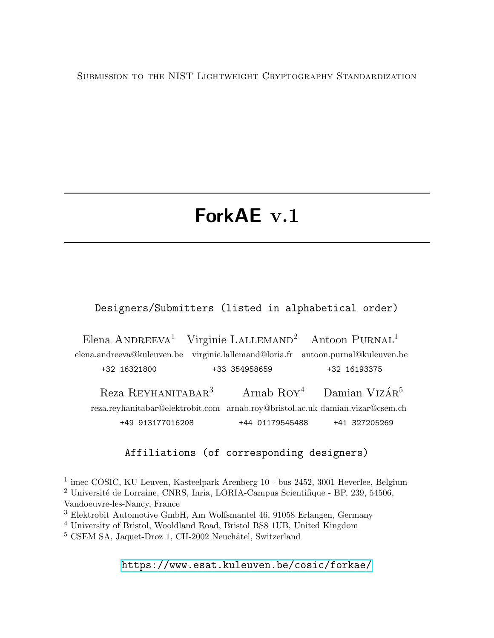Submission to the NIST Lightweight Cryptography Standardization

# ForkAE v.1

Designers/Submitters (listed in alphabetical order)

Elena ANDREEVA<sup>1</sup> Virginie LALLEMAND<sup>2</sup> elena.andreeva@kuleuven.be virginie.lallemand@loria.fr antoon.purnal@kuleuven.be +32 16321800 +33 354958659 Antoon PURNAL<sup>1</sup> +32 16193375 Reza Reyhanitabar<sup>3</sup> reza.reyhanitabar@elektrobit.com arnab.roy@bristol.ac.uk damian.vizar@csem.ch +49 913177016208 Arnab Roy<sup>4</sup> +44 01179545488 Damian Vizá ${\rm R}^5$ +41 327205269

#### Affiliations (of corresponding designers)

<sup>1</sup> imec-COSIC, KU Leuven, Kasteelpark Arenberg 10 - bus 2452, 3001 Heverlee, Belgium <sup>2</sup> Université de Lorraine, CNRS, Inria, LORIA-Campus Scientifique - BP, 239, 54506, Vandoeuvre-les-Nancy, France

<sup>3</sup> Elektrobit Automotive GmbH, Am Wolfsmantel 46, 91058 Erlangen, Germany

<sup>4</sup> University of Bristol, Wooldland Road, Bristol BS8 1UB, United Kingdom

 $5$  CSEM SA, Jaquet-Droz 1, CH-2002 Neuchâtel, Switzerland

<https://www.esat.kuleuven.be/cosic/forkae/>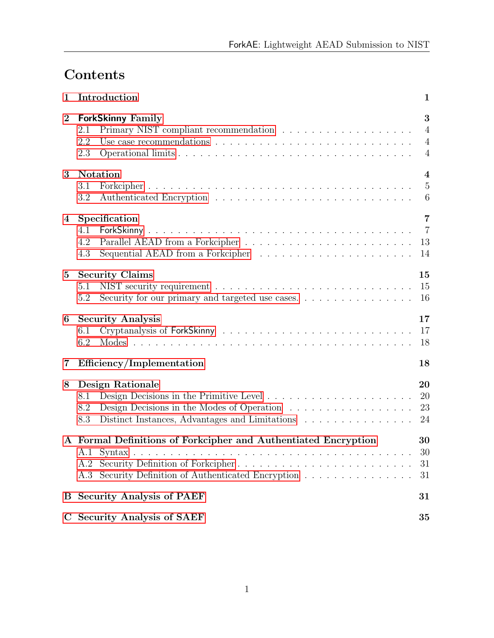# Contents

| 1           | Introduction<br>1                                                                                                                                                                 |                                                              |  |  |  |  |  |
|-------------|-----------------------------------------------------------------------------------------------------------------------------------------------------------------------------------|--------------------------------------------------------------|--|--|--|--|--|
| $\bf{2}$    | <b>ForkSkinny Family</b><br>2.1<br>Use case recommendations $\ldots \ldots \ldots \ldots \ldots \ldots \ldots \ldots \ldots \ldots$<br>2.2<br>2.3                                 | 3<br>$\overline{4}$<br>$\overline{4}$<br>$\overline{4}$      |  |  |  |  |  |
| 3           | <b>Notation</b><br>3.1<br>3.2                                                                                                                                                     | $\overline{\mathbf{4}}$<br>$\overline{5}$<br>$6\phantom{.}6$ |  |  |  |  |  |
| 4           | Specification<br>4.1<br>4.2<br>Sequential AEAD from a Forkcipher $\dots \dots \dots \dots \dots \dots \dots$<br>4.3                                                               | $\overline{7}$<br>$\overline{7}$<br>13<br>14                 |  |  |  |  |  |
| $5^{\circ}$ | <b>Security Claims</b><br>5.1<br>Security for our primary and targeted use cases.<br>5.2                                                                                          | 15<br>15<br>16                                               |  |  |  |  |  |
| 6           | <b>Security Analysis</b><br>6.1<br>6.2                                                                                                                                            | 17<br>17<br>18                                               |  |  |  |  |  |
| 7           | Efficiency/Implementation                                                                                                                                                         | 18                                                           |  |  |  |  |  |
| 8           | <b>Design Rationale</b><br>8.1<br>Design Decisions in the Modes of Operation $\ldots \ldots \ldots \ldots \ldots$<br>8.2<br>Distinct Instances, Advantages and Limitations<br>8.3 | 20<br>20<br>23<br>24                                         |  |  |  |  |  |
|             | A Formal Definitions of Forkcipher and Authentiated Encryption<br>Security Definition of Forkcipher<br>A.2<br>Security Definition of Authenticated Encryption<br>A.3              | 30<br>$30\,$<br>31<br>31                                     |  |  |  |  |  |
| $\bf{B}$    | <b>Security Analysis of PAEF</b>                                                                                                                                                  | 31                                                           |  |  |  |  |  |
| $\mathbf C$ | <b>Security Analysis of SAEF</b><br>35                                                                                                                                            |                                                              |  |  |  |  |  |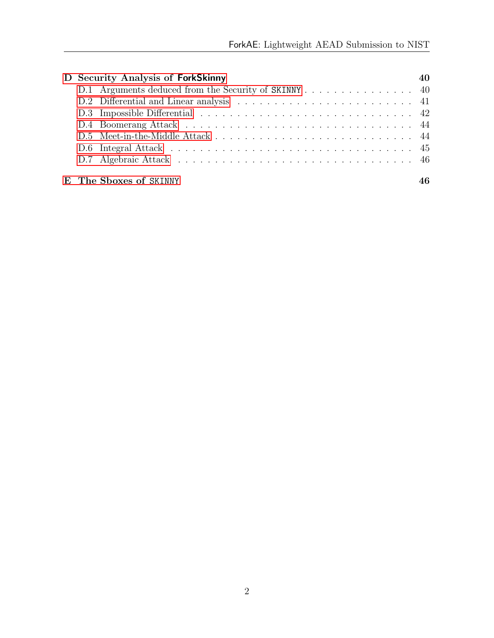|  | D Security Analysis of ForkSkinny                    | 40 |
|--|------------------------------------------------------|----|
|  | D.1 Arguments deduced from the Security of SKINNY 40 |    |
|  |                                                      |    |
|  |                                                      |    |
|  |                                                      |    |
|  |                                                      |    |
|  |                                                      |    |
|  |                                                      |    |
|  |                                                      |    |
|  | E The Sboxes of SKINNY                               |    |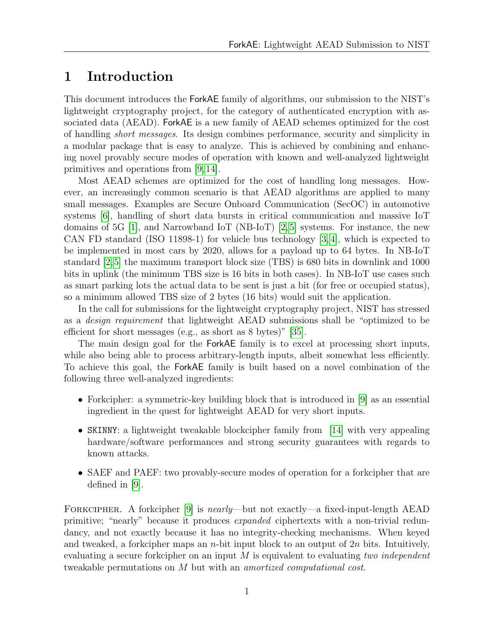# <span id="page-3-0"></span>1 Introduction

This document introduces the ForkAE family of algorithms, our submission to the NIST's lightweight cryptography project, for the category of authenticated encryption with associated data (AEAD). ForkAE is a new family of AEAD schemes optimized for the cost of handling short messages. Its design combines performance, security and simplicity in a modular package that is easy to analyze. This is achieved by combining and enhancing novel provably secure modes of operation with known and well-analyzed lightweight primitives and operations from [\[9,](#page-28-0) [14\]](#page-29-0).

Most AEAD schemes are optimized for the cost of handling long messages. However, an increasingly common scenario is that AEAD algorithms are applied to many small messages. Examples are Secure Onboard Communication (SecOC) in automotive systems [\[6\]](#page-28-1), handling of short data bursts in critical communication and massive IoT domains of 5G  $[1]$ , and Narrowband IoT (NB-IoT)  $[2,5]$  $[2,5]$  systems. For instance, the new CAN FD standard (ISO 11898-1) for vehicle bus technology [\[3,](#page-28-5) [4\]](#page-28-6), which is expected to be implemented in most cars by 2020, allows for a payload up to 64 bytes. In NB-IoT standard [\[2,](#page-28-3)[5\]](#page-28-4) the maximum transport block size (TBS) is 680 bits in downlink and 1000 bits in uplink (the minimum TBS size is 16 bits in both cases). In NB-IoT use cases such as smart parking lots the actual data to be sent is just a bit (for free or occupied status), so a minimum allowed TBS size of 2 bytes (16 bits) would suit the application.

In the call for submissions for the lightweight cryptography project, NIST has stressed as a design requirement that lightweight AEAD submissions shall be "optimized to be efficient for short messages (e.g., as short as 8 bytes)" [\[35\]](#page-31-0).

The main design goal for the ForkAE family is to excel at processing short inputs, while also being able to process arbitrary-length inputs, albeit somewhat less efficiently. To achieve this goal, the ForkAE family is built based on a novel combination of the following three well-analyzed ingredients:

- Forkcipher: a symmetric-key building block that is introduced in [\[9\]](#page-28-0) as an essential ingredient in the quest for lightweight AEAD for very short inputs.
- SKINNY: a lightweight tweakable blockcipher family from [\[14\]](#page-29-0) with very appealing hardware/software performances and strong security guarantees with regards to known attacks.
- SAEF and PAEF: two provably-secure modes of operation for a forkcipher that are defined in [\[9\]](#page-28-0).

FORKCIPHER. A forkcipher [\[9\]](#page-28-0) is *nearly*—but not exactly—a fixed-input-length AEAD primitive; "nearly" because it produces expanded ciphertexts with a non-trivial redundancy, and not exactly because it has no integrity-checking mechanisms. When keyed and tweaked, a forkcipher maps an *n*-bit input block to an output of  $2n$  bits. Intuitively, evaluating a secure forkcipher on an input  $M$  is equivalent to evaluating two independent tweakable permutations on M but with an *amortized computational cost*.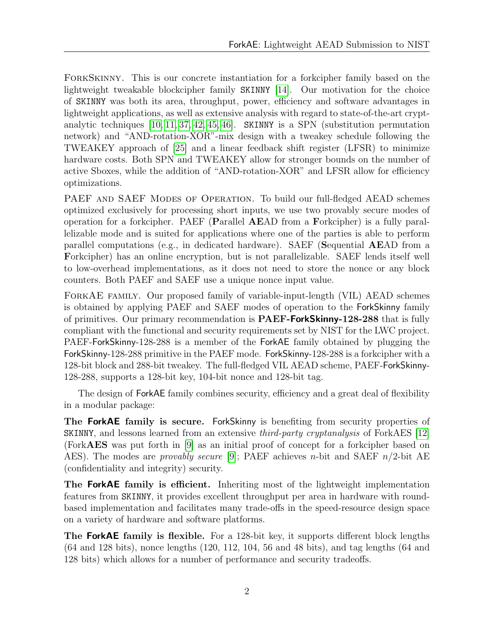ForkSkinny. This is our concrete instantiation for a forkcipher family based on the lightweight tweakable blockcipher family SKINNY [\[14\]](#page-29-0). Our motivation for the choice of SKINNY was both its area, throughput, power, efficiency and software advantages in lightweight applications, as well as extensive analysis with regard to state-of-the-art cryptanalytic techniques [\[10,](#page-28-7) [11,](#page-29-1) [37,](#page-31-1) [42,](#page-31-2) [45,](#page-32-2) [46\]](#page-32-3). SKINNY is a SPN (substitution permutation network) and "AND-rotation-XOR"-mix design with a tweakey schedule following the TWEAKEY approach of [\[25\]](#page-30-0) and a linear feedback shift register (LFSR) to minimize hardware costs. Both SPN and TWEAKEY allow for stronger bounds on the number of active Sboxes, while the addition of "AND-rotation-XOR" and LFSR allow for efficiency optimizations.

PAEF AND SAEF MODES OF OPERATION. To build our full-fledged AEAD schemes optimized exclusively for processing short inputs, we use two provably secure modes of operation for a forkcipher. PAEF (Parallel AEAD from a Forkcipher) is a fully parallelizable mode and is suited for applications where one of the parties is able to perform parallel computations (e.g., in dedicated hardware). SAEF (Sequential AEAD from a Forkcipher) has an online encryption, but is not parallelizable. SAEF lends itself well to low-overhead implementations, as it does not need to store the nonce or any block counters. Both PAEF and SAEF use a unique nonce input value.

ForkAE family. Our proposed family of variable-input-length (VIL) AEAD schemes is obtained by applying PAEF and SAEF modes of operation to the ForkSkinny family of primitives. Our primary recommendation is **PAEF-ForkSkinny-128-288** that is fully compliant with the functional and security requirements set by NIST for the LWC project. PAEF-ForkSkinny-128-288 is a member of the ForkAE family obtained by plugging the ForkSkinny-128-288 primitive in the PAEF mode. ForkSkinny-128-288 is a forkcipher with a 128-bit block and 288-bit tweakey. The full-fledged VIL AEAD scheme, PAEF-ForkSkinny-128-288, supports a 128-bit key, 104-bit nonce and 128-bit tag.

The design of ForkAE family combines security, efficiency and a great deal of flexibility in a modular package:

The ForkAE family is secure. ForkSkinny is benefiting from security properties of SKINNY, and lessons learned from an extensive third-party cryptanalysis of ForkAES [\[12\]](#page-29-2) (ForkAES was put forth in [\[9\]](#page-28-0) as an initial proof of concept for a forkcipher based on AES). The modes are *provably secure* [\[9\]](#page-28-0); PAEF achieves *n*-bit and SAEF  $n/2$ -bit AE (confidentiality and integrity) security.

The ForkAE family is efficient. Inheriting most of the lightweight implementation features from SKINNY, it provides excellent throughput per area in hardware with roundbased implementation and facilitates many trade-offs in the speed-resource design space on a variety of hardware and software platforms.

The ForkAE family is flexible. For a 128-bit key, it supports different block lengths (64 and 128 bits), nonce lengths (120, 112, 104, 56 and 48 bits), and tag lengths (64 and 128 bits) which allows for a number of performance and security tradeoffs.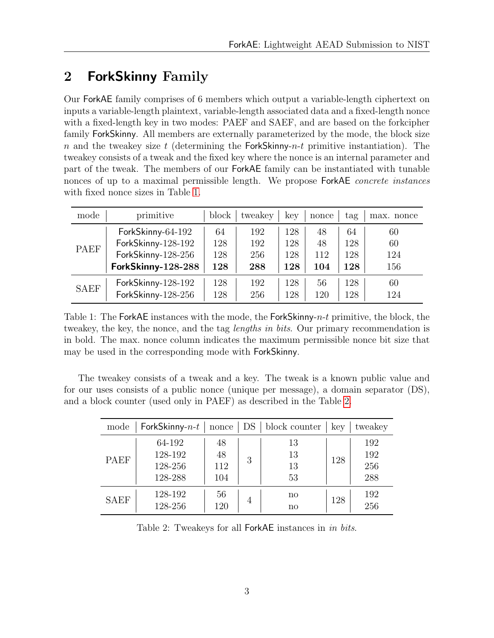# <span id="page-5-0"></span>2 ForkSkinny Family

Our ForkAE family comprises of 6 members which output a variable-length ciphertext on inputs a variable-length plaintext, variable-length associated data and a fixed-length nonce with a fixed-length key in two modes: PAEF and SAEF, and are based on the forkcipher family ForkSkinny. All members are externally parameterized by the mode, the block size n and the tweakey size t (determining the ForkSkinny-n-t primitive instantiation). The tweakey consists of a tweak and the fixed key where the nonce is an internal parameter and part of the tweak. The members of our ForkAE family can be instantiated with tunable nonces of up to a maximal permissible length. We propose ForkAE *concrete instances* with fixed nonce sizes in Table [1.](#page-5-1)

<span id="page-5-1"></span>

| mode        | primitive          | block | tweakey | kev | nonce | tag | nonce<br>max. |
|-------------|--------------------|-------|---------|-----|-------|-----|---------------|
|             | ForkSkinny-64-192  | 64    | 192     | 128 | 48    | 64  | 60            |
| PAEF        | ForkSkinny-128-192 | 128   | 192     | 128 | 48    | 128 | 60            |
|             | ForkSkinny-128-256 | 128   | 256     | 128 | 112   | 128 | 124           |
|             | ForkSkinny-128-288 | 128   | 288     | 128 | 104   | 128 | 156           |
| <b>SAEF</b> | ForkSkinny-128-192 | 128   | 192     | 128 | 56    | 128 | 60            |
|             | ForkSkinny-128-256 | 128   | 256     | 128 | 120   | 128 | 124           |

Table 1: The ForkAE instances with the mode, the ForkSkinny- $n-t$  primitive, the block, the tweakey, the key, the nonce, and the tag *lengths in bits*. Our primary recommendation is in bold. The max. nonce column indicates the maximum permissible nonce bit size that may be used in the corresponding mode with ForkSkinny.

The tweakey consists of a tweak and a key. The tweak is a known public value and for our uses consists of a public nonce (unique per message), a domain separator (DS), and a block counter (used only in PAEF) as described in the Table [2.](#page-5-2)

<span id="page-5-2"></span>

| mode        | ForkSkinny- $n-t$                       | nonce                  | DS | block counter                | key | tweakey                  |
|-------------|-----------------------------------------|------------------------|----|------------------------------|-----|--------------------------|
| PAEF        | 64-192<br>128-192<br>128-256<br>128-288 | 48<br>48<br>112<br>104 | 3  | 13<br>13<br>13<br>53         | 128 | 192<br>192<br>256<br>288 |
| <b>SAEF</b> | 128-192<br>128-256                      | 56<br>120              | 4  | no<br>$\mathbf{n}\mathbf{o}$ | 128 | 192<br>256               |

Table 2: Tweakeys for all ForkAE instances in in bits.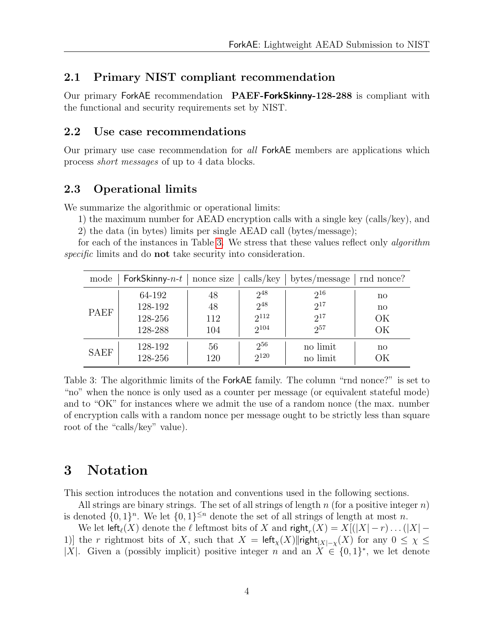#### <span id="page-6-0"></span>2.1 Primary NIST compliant recommendation

Our primary ForkAE recommendation PAEF-ForkSkinny-128-288 is compliant with the functional and security requirements set by NIST.

#### <span id="page-6-1"></span>2.2 Use case recommendations

Our primary use case recommendation for all ForkAE members are applications which process short messages of up to 4 data blocks.

#### <span id="page-6-2"></span>2.3 Operational limits

We summarize the algorithmic or operational limits:

1) the maximum number for AEAD encryption calls with a single key (calls/key), and

2) the data (in bytes) limits per single AEAD call (bytes/message);

for each of the instances in Table [3.](#page-6-4) We stress that these values reflect only *algorithm* specific limits and do **not** take security into consideration.

<span id="page-6-4"></span>

| mode        | <b>ForkSkinny-</b> $n-t$   nonce size |     | $\vert$ calls/key | bytes/message | rnd nonce?             |
|-------------|---------------------------------------|-----|-------------------|---------------|------------------------|
| <b>PAEF</b> | 64-192                                | 48  | $2^{48}$          | $2^{16}$      | $\mathbf{n}$           |
|             | 128-192                               | 48  | $2^{48}$          | $2^{17}$      | $\mathbf{n}\mathbf{o}$ |
|             | 128-256                               | 112 | $2^{112}$         | $2^{17}$      | ОK                     |
|             | 128-288                               | 104 | $2^{104}$         | $2^{57}$      | ОK                     |
| <b>SAEF</b> | 128-192                               | 56  | $2^{56}$          | no limit      | $\mathbf{n}\mathbf{o}$ |
|             | 128-256                               | 120 | $2^{120}$         | no limit      | ЭK                     |

Table 3: The algorithmic limits of the ForkAE family. The column "rnd nonce?" is set to "no" when the nonce is only used as a counter per message (or equivalent stateful mode) and to "OK" for instances where we admit the use of a random nonce (the max. number of encryption calls with a random nonce per message ought to be strictly less than square root of the "calls/key" value).

# <span id="page-6-3"></span>3 Notation

This section introduces the notation and conventions used in the following sections.

All strings are binary strings. The set of all strings of length  $n$  (for a positive integer  $n$ ) is denoted  $\{0,1\}^n$ . We let  $\{0,1\}^{\leq n}$  denote the set of all strings of length at most n.

We let  $\mathsf{left}_{\ell}(X)$  denote the  $\ell$  leftmost bits of X and  $\mathsf{right}_r(X) = X[(|X| - r) \dots (|X| -$ 1)] the r rightmost bits of X, such that  $X = \text{left}_{\chi}(X) ||\text{right}_{|X|-\chi}(X)$  for any  $0 \leq \chi \leq$ |X|. Given a (possibly implicit) positive integer n and an  $X \in \{0,1\}^*$ , we let denote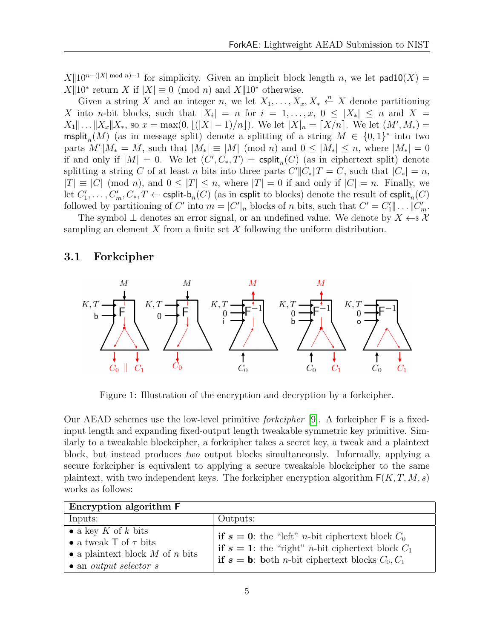$X||10^{n-(|X|\bmod n)-1}$  for simplicity. Given an implicit block length n, we let  $\mathsf{pad10}(X) =$  $X||10^*$  return X if  $|X| \equiv 0 \pmod{n}$  and  $X||10^*$  otherwise.

Given a string X and an integer n, we let  $X_1, \ldots, X_x, X_* \xleftarrow{n} X$  denote partitioning X into n-bit blocks, such that  $|X_i| = n$  for  $i = 1, \ldots, x, 0 \leq |X_*| \leq n$  and  $X =$  $X_1 \| \dots \| X_x \| X_*,$  so  $x = \max(0, \lfloor (|X| - 1)/n \rfloor)$ . We let  $|X|_n = \lceil X/n \rceil$ . We let  $(M', M_*) =$  $\textsf{msplit}_n(M)$  (as in message split) denote a splitting of a string  $M \in \{0,1\}^*$  into two parts  $M'||M_* = M$ , such that  $|M_*| \equiv |M| \pmod{n}$  and  $0 \le |M_*| \le n$ , where  $|M_*| = 0$ if and only if  $|M| = 0$ . We let  $(C', C_*, T) = \text{csplit}_n(C)$  (as in ciphertext split) denote splitting a string C of at least n bits into three parts  $C'$ || $C_*$ || $T = C$ , such that  $|C_*| = n$ ,  $|T| \equiv |C| \pmod{n}$ , and  $0 \leq |T| \leq n$ , where  $|T| = 0$  if and only if  $|C| = n$ . Finally, we let  $C'_1, \ldots, C'_m, C_*, T \leftarrow$  csplit-b<sub>n</sub> $(C)$  (as in csplit to blocks) denote the result of csplit<sub>n</sub> $(C)$ followed by partitioning of C' into  $m = |C'|_n$  blocks of n bits, such that  $C' = C'_1 || \dots || C'_m$ .

The symbol  $\perp$  denotes an error signal, or an undefined value. We denote by  $X \leftarrow \mathcal{X}$ sampling an element X from a finite set  $\mathcal X$  following the uniform distribution.

#### <span id="page-7-0"></span>3.1 Forkcipher

<span id="page-7-1"></span>

Figure 1: Illustration of the encryption and decryption by a forkcipher.

Our AEAD schemes use the low-level primitive forkcipher [\[9\]](#page-28-0). A forkcipher F is a fixedinput length and expanding fixed-output length tweakable symmetric key primitive. Similarly to a tweakable blockcipher, a forkcipher takes a secret key, a tweak and a plaintext block, but instead produces two output blocks simultaneously. Informally, applying a secure forkcipher is equivalent to applying a secure tweakable blockcipher to the same plaintext, with two independent keys. The forkcipher encryption algorithm  $F(K, T, M, s)$ works as follows:

| Encryption algorithm <b>F</b>                                                                                                          |                                                                                                                                                                                                                    |  |  |  |  |
|----------------------------------------------------------------------------------------------------------------------------------------|--------------------------------------------------------------------------------------------------------------------------------------------------------------------------------------------------------------------|--|--|--|--|
| Inputs:                                                                                                                                | Outputs:                                                                                                                                                                                                           |  |  |  |  |
| • a key K of k bits<br>• a tweak $\top$ of $\tau$ bits<br>• a plaintext block $M$ of $n$ bits<br>$\bullet$ an <i>output selector s</i> | <b>if</b> $s = 0$ : the "left" <i>n</i> -bit ciphertext block $C_0$<br><b>if</b> $s = 1$ : the "right" <i>n</i> -bit ciphertext block $C_1$<br><b>if</b> $s = b$ : both <i>n</i> -bit ciphertext blocks $C_0, C_1$ |  |  |  |  |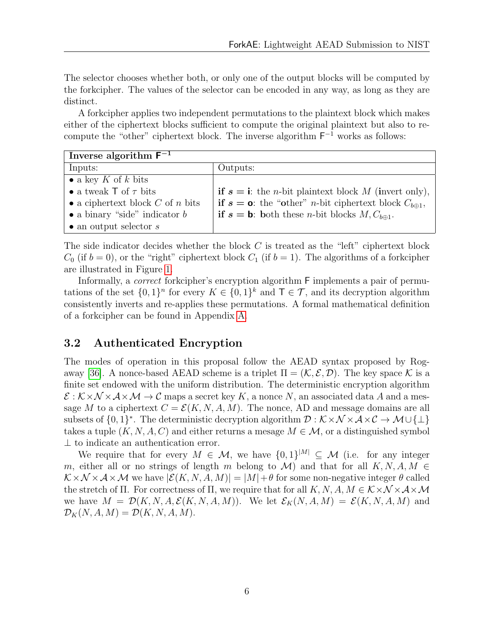The selector chooses whether both, or only one of the output blocks will be computed by the forkcipher. The values of the selector can be encoded in any way, as long as they are distinct.

A forkcipher applies two independent permutations to the plaintext block which makes either of the ciphertext blocks sufficient to compute the original plaintext but also to recompute the "other" ciphertext block. The inverse algorithm  $F^{-1}$  works as follows:

| Inverse algorithm $F^{-1}$           |                                                                                            |
|--------------------------------------|--------------------------------------------------------------------------------------------|
| Inputs:                              | Outputs:                                                                                   |
| • a key K of k bits                  |                                                                                            |
| • a tweak $\top$ of $\tau$ bits      | <b>if</b> $s = i$ : the <i>n</i> -bit plaintext block M (invert only),                     |
| • a ciphertext block $C$ of $n$ bits | <b>if</b> $s = \mathbf{o}$ : the "other" <i>n</i> -bit ciphertext block $C_{b \oplus 1}$ , |
| • a binary "side" indicator $b$      | <b>if</b> $s = b$ : both these <i>n</i> -bit blocks $M, C_{b \oplus 1}$ .                  |
| $\bullet$ an output selector s       |                                                                                            |

The side indicator decides whether the block  $C$  is treated as the "left" ciphertext block  $C_0$  (if  $b = 0$ ), or the "right" ciphertext block  $C_1$  (if  $b = 1$ ). The algorithms of a forkcipher are illustrated in Figure [1.](#page-7-1)

Informally, a correct forkcipher's encryption algorithm F implements a pair of permutations of the set  $\{0,1\}^n$  for every  $K \in \{0,1\}^k$  and  $\mathsf{T} \in \mathcal{T}$ , and its decryption algorithm consistently inverts and re-applies these permutations. A formal mathematical definition of a forkcipher can be found in Appendix [A.](#page-32-0)

### <span id="page-8-0"></span>3.2 Authenticated Encryption

The modes of operation in this proposal follow the AEAD syntax proposed by Rog-away [\[36\]](#page-31-3). A nonce-based AEAD scheme is a triplet  $\Pi = (\mathcal{K}, \mathcal{E}, \mathcal{D})$ . The key space  $\mathcal{K}$  is a finite set endowed with the uniform distribution. The deterministic encryption algorithm  $\mathcal{E}: \mathcal{K} \times \mathcal{N} \times \mathcal{A} \times \mathcal{M} \to \mathcal{C}$  maps a secret key K, a nonce N, an associated data A and a message M to a ciphertext  $C = \mathcal{E}(K, N, A, M)$ . The nonce, AD and message domains are all subsets of  $\{0,1\}^*$ . The deterministic decryption algorithm  $\mathcal{D}: \mathcal{K} \times \mathcal{N} \times \mathcal{A} \times \mathcal{C} \to \mathcal{M} \cup \{\perp\}$ takes a tuple  $(K, N, A, C)$  and either returns a mesage  $M \in \mathcal{M}$ , or a distinguished symbol ⊥ to indicate an authentication error.

We require that for every  $M \in \mathcal{M}$ , we have  $\{0,1\}^{|M|} \subseteq \mathcal{M}$  (i.e. for any integer m, either all or no strings of length m belong to M) and that for all  $K, N, A, M \in$  $\mathcal{K} \times \mathcal{N} \times \mathcal{A} \times \mathcal{M}$  we have  $|\mathcal{E}(K, N, A, M)| = |M| + \theta$  for some non-negative integer  $\theta$  called the stretch of Π. For correctness of Π, we require that for all K, N, A,  $M \in K \times N \times A \times M$ we have  $M = \mathcal{D}(K, N, A, \mathcal{E}(K, N, A, M))$ . We let  $\mathcal{E}_K(N, A, M) = \mathcal{E}(K, N, A, M)$  and  $\mathcal{D}_K(N, A, M) = \mathcal{D}(K, N, A, M).$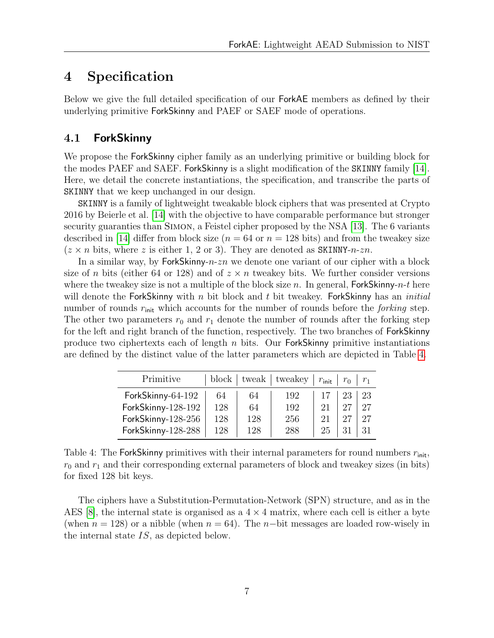# <span id="page-9-0"></span>4 Specification

Below we give the full detailed specification of our ForkAE members as defined by their underlying primitive ForkSkinny and PAEF or SAEF mode of operations.

#### <span id="page-9-1"></span>4.1 ForkSkinny

We propose the **ForkSkinny** cipher family as an underlying primitive or building block for the modes PAEF and SAEF. ForkSkinny is a slight modification of the SKINNY family [\[14\]](#page-29-0). Here, we detail the concrete instantiations, the specification, and transcribe the parts of SKINNY that we keep unchanged in our design.

SKINNY is a family of lightweight tweakable block ciphers that was presented at Crypto 2016 by Beierle et al. [\[14\]](#page-29-0) with the objective to have comparable performance but stronger security guaranties than SIMON, a Feistel cipher proposed by the NSA [\[13\]](#page-29-3). The 6 variants described in [\[14\]](#page-29-0) differ from block size ( $n = 64$  or  $n = 128$  bits) and from the tweakey size  $(z \times n$  bits, where z is either 1, 2 or 3). They are denoted as SKINNY-n-zn.

In a similar way, by ForkSkinny- $n\text{-}zn$  we denote one variant of our cipher with a block size of n bits (either 64 or 128) and of  $z \times n$  tweakey bits. We further consider versions where the tweakey size is not a multiple of the block size n. In general,  $ForkSkinny-n-t$  here will denote the ForkSkinny with n bit block and t bit tweakey. ForkSkinny has an *initial* number of rounds  $r_{\text{init}}$  which accounts for the number of rounds before the *forking* step. The other two parameters  $r_0$  and  $r_1$  denote the number of rounds after the forking step for the left and right branch of the function, respectively. The two branches of ForkSkinny produce two ciphertexts each of length  $n$  bits. Our ForkSkinny primitive instantiations are defined by the distinct value of the latter parameters which are depicted in Table [4.](#page-9-2)

<span id="page-9-2"></span>

| Primitive          |     |     | $block \mid$ tweak $ \mid$ tweakey | $r_{\text{init}}$ | $r_0$ |    |
|--------------------|-----|-----|------------------------------------|-------------------|-------|----|
| ForkSkinny-64-192  | 64  | 64  | 192                                |                   | 23    | 23 |
| ForkSkinny-128-192 | 128 | 64  | 192                                | 21                | 27    | 27 |
| ForkSkinny-128-256 | 128 | 128 | 256                                | 21                | 27    | 27 |
| ForkSkinny-128-288 | 128 | 128 | 288                                | 25                | 21    |    |

Table 4: The ForkSkinny primitives with their internal parameters for round numbers  $r_{\text{init}}$ ,  $r_0$  and  $r_1$  and their corresponding external parameters of block and tweakey sizes (in bits) for fixed 128 bit keys.

The ciphers have a Substitution-Permutation-Network (SPN) structure, and as in the AES  $|8|$ , the internal state is organised as a  $4 \times 4$  matrix, where each cell is either a byte (when  $n = 128$ ) or a nibble (when  $n = 64$ ). The n-bit messages are loaded row-wisely in the internal state IS, as depicted below.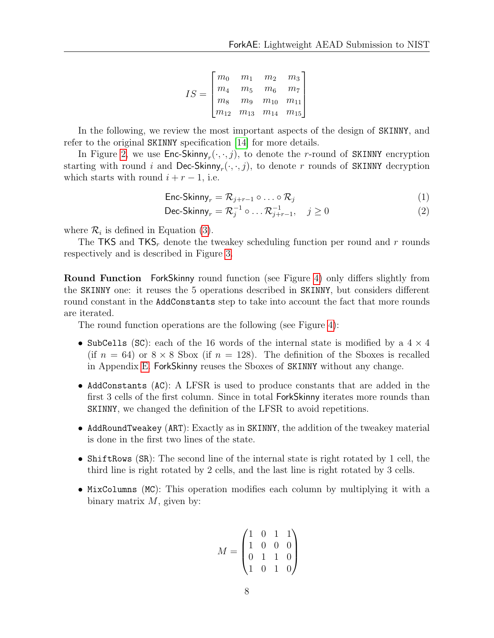$$
IS = \begin{bmatrix} m_0 & m_1 & m_2 & m_3 \\ m_4 & m_5 & m_6 & m_7 \\ m_8 & m_9 & m_{10} & m_{11} \\ m_{12} & m_{13} & m_{14} & m_{15} \end{bmatrix}
$$

In the following, we review the most important aspects of the design of SKINNY, and refer to the original SKINNY specification [\[14\]](#page-29-0) for more details.

In Figure [2,](#page-11-0) we use  $\mathsf{Enc\text{-}Skinny}_r(\cdot,\cdot,j)$ , to denote the *r*-round of SKINNY encryption starting with round  $i$  and  $\mathsf{Dec-Skinny}_r(\cdot,\cdot,j),$  to denote  $r$  rounds of SKINNY decryption which starts with round  $i + r - 1$ , i.e.

$$
\text{Enc-Skinny}_r = \mathcal{R}_{j+r-1} \circ \dots \circ \mathcal{R}_j \tag{1}
$$

$$
\text{Dec-Skinny}_r = \mathcal{R}_j^{-1} \circ \dots \mathcal{R}_{j+r-1}^{-1}, \quad j \ge 0 \tag{2}
$$

where  $\mathcal{R}_i$  is defined in Equation [\(3\)](#page-12-0).

The TKS and TKS<sub>r</sub> denote the tweakey scheduling function per round and r rounds respectively and is described in Figure [3.](#page-49-0)

Round Function ForkSkinny round function (see Figure [4\)](#page-49-1) only differs slightly from the SKINNY one: it reuses the 5 operations described in SKINNY, but considers different round constant in the AddConstants step to take into account the fact that more rounds are iterated.

The round function operations are the following (see Figure [4\)](#page-49-1):

- SubCells (SC): each of the 16 words of the internal state is modified by a  $4 \times 4$ (if  $n = 64$ ) or  $8 \times 8$  Sbox (if  $n = 128$ ). The definition of the Sboxes is recalled in Appendix [E.](#page-48-1) ForkSkinny reuses the Sboxes of SKINNY without any change.
- AddConstants (AC): A LFSR is used to produce constants that are added in the first 3 cells of the first column. Since in total ForkSkinny iterates more rounds than SKINNY, we changed the definition of the LFSR to avoid repetitions.
- AddRoundTweakey (ART): Exactly as in SKINNY, the addition of the tweakey material is done in the first two lines of the state.
- ShiftRows (SR): The second line of the internal state is right rotated by 1 cell, the third line is right rotated by 2 cells, and the last line is right rotated by 3 cells.
- MixColumns (MC): This operation modifies each column by multiplying it with a binary matrix  $M$ , given by:

$$
M = \begin{pmatrix} 1 & 0 & 1 & 1 \\ 1 & 0 & 0 & 0 \\ 0 & 1 & 1 & 0 \\ 1 & 0 & 1 & 0 \end{pmatrix}
$$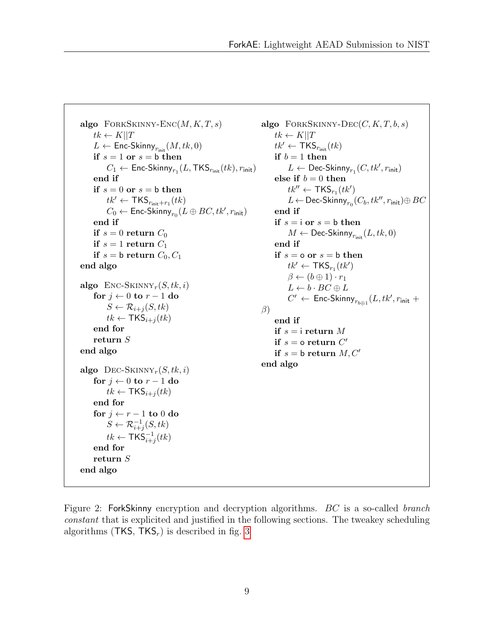```
algo FORKSKINNY-ENC(M, K, T, s)tk \leftarrow K||TL \leftarrow Enc-Skinny<sub>rinit</sub> (M, tk, 0)if s = 1 or s = b then
          C_1 \leftarrow \mathsf{Enc\text{-}Skinny}_{r_1}(L,\mathsf{TKS}_{r_{\mathsf{init}}}(tk),r_{\mathsf{init}})end if
     if s = 0 or s = b then
          tk' \leftarrow \text{TKS}_{r_{\text{init}}+r_1}(tk)C_0 \leftarrow Enc-Skinny_{r_0}(L \oplus BC, tk', r_{\mathsf{init}})end if
     if s = 0 return C_0if s = 1 return C_1if s = b return C_0, C_1end algo
algo Enc-SKINNY_r(S, tk, i)for j \leftarrow 0 to r - 1 do
          S \leftarrow \mathcal{R}_{i+j}(S, tk)tk \leftarrow \mathsf{TKS}_{i+j}(tk)end for
     return S
end algo
algo DEC-SKINNY<sub>r</sub>(S, tk, i)for j \leftarrow 0 to r - 1 do
          tk \leftarrow \text{TKS}_{i+j}(tk)end for
     for j \leftarrow r - 1 to 0 do
          S \leftarrow \mathcal{R}_{i+j}^{-1}(S, tk)tk \leftarrow \textsf{TKS}_{i+j}^{-1}(tk)end for
     return S
end algo
                                                                     \beta
```

```
algo FORKSKINNY-DEC(C, K, T, b, s)
     tk \leftarrow K||Ttk' \leftarrow \text{TKS}_{r_{\text{init}}}(tk)if b = 1 then
           L \leftarrow \mathsf{Dec-Skinny}_{r_1}(C, tk', r_\mathsf{init})else if b = 0 then
           tk'' \leftarrow \text{TKS}_{r_1}(tk')L \leftarrow Dec-Skinny_{r_0}(C_b, tk'', r_\mathsf{init}) \oplus BCend if
     if s = i or s = b then
           M \leftarrow Dec-Skinny<sub>r<sub>init</sub></sub>(L, tk, 0)end if
     if s = o or s = b then
           tk' \leftarrow \textsf{TKS}_{r_1}(tk')\beta \leftarrow (b \oplus 1) \cdot r_1L \leftarrow b \cdot BC \oplus LC' \leftarrow \mathsf{Enc\text{-}Skinny}_{r_{b\oplus 1}}(L, tk', r_{\mathsf{init}} + \right)end if
     if s = i return M
     if s = o return C'if s = b return M, C'end algo
```
Figure 2: ForkSkinny encryption and decryption algorithms. BC is a so-called branch constant that is explicited and justified in the following sections. The tweakey scheduling algorithms (TKS,  $TKS_r$ ) is described in fig. [3](#page-49-0)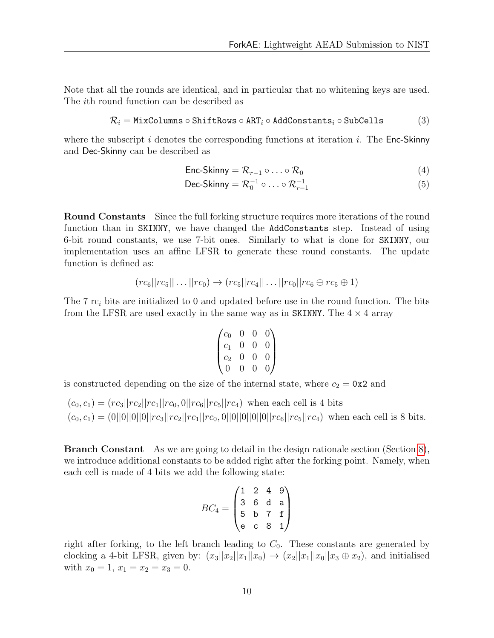Note that all the rounds are identical, and in particular that no whitening keys are used. The ith round function can be described as

<span id="page-12-0"></span>
$$
\mathcal{R}_i = \texttt{MixColumns} \circ \texttt{ShiftRows} \circ \texttt{ART}_i \circ \texttt{AddConstraints}_i \circ \texttt{SubCells} \qquad \qquad (3)
$$

where the subscript i denotes the corresponding functions at iteration i. The  $Enc-Skinny$ and Dec-Skinny can be described as

$$
\text{Enc-Skinny} = \mathcal{R}_{r-1} \circ \ldots \circ \mathcal{R}_0 \tag{4}
$$

$$
\text{Dec-Skinny} = \mathcal{R}_0^{-1} \circ \ldots \circ \mathcal{R}_{r-1}^{-1} \tag{5}
$$

Round Constants Since the full forking structure requires more iterations of the round function than in SKINNY, we have changed the AddConstants step. Instead of using 6-bit round constants, we use 7-bit ones. Similarly to what is done for SKINNY, our implementation uses an affine LFSR to generate these round constants. The update function is defined as:

$$
(rc_6||rc_5||...||rc_0) \rightarrow (rc_5||rc_4||...||rc_0||rc_6 \oplus rc_5 \oplus 1)
$$

The 7 rc<sub>i</sub> bits are initialized to 0 and updated before use in the round function. The bits from the LFSR are used exactly in the same way as in SKINNY. The  $4 \times 4$  array

$$
\begin{pmatrix}c_0&0&0&0\\c_1&0&0&0\\c_2&0&0&0\\0&0&0&0\end{pmatrix}
$$

is constructed depending on the size of the internal state, where  $c_2 = 0 \times 2$  and

 $(c_0, c_1) = (rc_3||rc_2||rc_1||rc_0, 0||rc_6||rc_5||rc_4)$  when each cell is 4 bits  $(c_0, c_1) = (0||0||0||0||rc_3||rc_2||rc_1||rc_0, 0||0||0||0||rc_6||rc_5||rc_4)$  when each cell is 8 bits.

Branch Constant As we are going to detail in the design rationale section (Section [8\)](#page-22-0), we introduce additional constants to be added right after the forking point. Namely, when each cell is made of 4 bits we add the following state:

$$
BC_4 = \begin{pmatrix} 1 & 2 & 4 & 9 \\ 3 & 6 & d & a \\ 5 & b & 7 & f \\ e & c & 8 & 1 \end{pmatrix}
$$

right after forking, to the left branch leading to  $C_0$ . These constants are generated by clocking a 4-bit LFSR, given by:  $(x_3||x_2||x_1||x_0) \rightarrow (x_2||x_1||x_0||x_3 \oplus x_2)$ , and initialised with  $x_0 = 1, x_1 = x_2 = x_3 = 0.$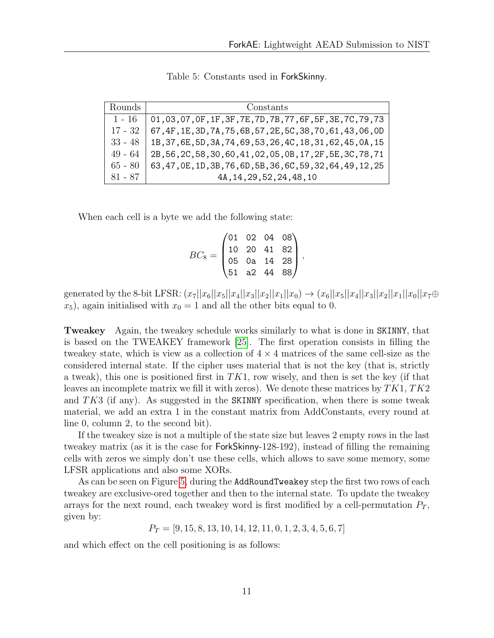| Rounds    | Constants                                                      |
|-----------|----------------------------------------------------------------|
| $1 - 16$  | 01,03,07,0F,1F,3F,7E,7D,7B,77,6F,5F,3E,7C,79,73                |
| 17 - 32   | 67, 4F, 1E, 3D, 7A, 75, 6B, 57, 2E, 5C, 38, 70, 61, 43, 06, 0D |
| $33 - 48$ | 1B, 37, 6E, 5D, 3A, 74, 69, 53, 26, 4C, 18, 31, 62, 45, 0A, 15 |
| $49 - 64$ | 2B, 56, 2C, 58, 30, 60, 41, 02, 05, 0B, 17, 2F, 5E, 3C, 78, 71 |
| $65 - 80$ | 63, 47, 0E, 1D, 3B, 76, 6D, 5B, 36, 6C, 59, 32, 64, 49, 12, 25 |
| 81 - 87   | 4A, 14, 29, 52, 24, 48, 10                                     |

Table 5: Constants used in ForkSkinny.

When each cell is a byte we add the following state:

$$
BC_8=\begin{pmatrix}01&02&04&08\\10&20&41&82\\05&0a&14&28\\51&a2&44&88\end{pmatrix},
$$

generated by the 8-bit LFSR:  $(x_7||x_6||x_5||x_4||x_3||x_2||x_1||x_0 \rightarrow (x_6||x_5||x_4||x_3||x_2||x_1||x_0||x_7 \oplus$  $x_5$ , again initialised with  $x_0 = 1$  and all the other bits equal to 0.

Tweakey Again, the tweakey schedule works similarly to what is done in SKINNY, that is based on the TWEAKEY framework [\[25\]](#page-30-0). The first operation consists in filling the tweakey state, which is view as a collection of  $4 \times 4$  matrices of the same cell-size as the considered internal state. If the cipher uses material that is not the key (that is, strictly a tweak), this one is positioned first in  $TK1$ , row wisely, and then is set the key (if that leaves an incomplete matrix we fill it with zeros). We denote these matrices by  $TK1, TK2$ and  $TK3$  (if any). As suggested in the SKINNY specification, when there is some tweak material, we add an extra 1 in the constant matrix from AddConstants, every round at line 0, column 2, to the second bit).

If the tweakey size is not a multiple of the state size but leaves 2 empty rows in the last tweakey matrix (as it is the case for ForkSkinny-128-192), instead of filling the remaining cells with zeros we simply don't use these cells, which allows to save some memory, some LFSR applications and also some XORs.

As can be seen on Figure [5,](#page-49-2) during the AddRoundTweakey step the first two rows of each tweakey are exclusive-ored together and then to the internal state. To update the tweakey arrays for the next round, each tweakey word is first modified by a cell-permutation  $P_T$ , given by:

 $P_T = [9, 15, 8, 13, 10, 14, 12, 11, 0, 1, 2, 3, 4, 5, 6, 7]$ 

and which effect on the cell positioning is as follows: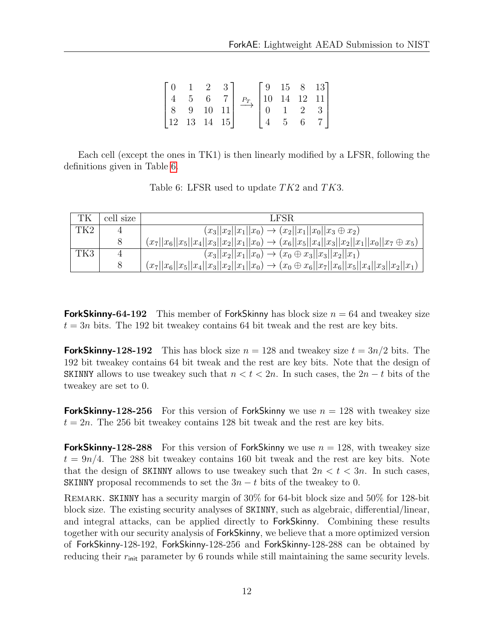|                                                   |                      | 2 3            |                   |                 |   | $\begin{bmatrix} 9 & 15 & 8 & 13 \end{bmatrix}$ |
|---------------------------------------------------|----------------------|----------------|-------------------|-----------------|---|-------------------------------------------------|
|                                                   | $5\phantom{.0}$      | 6 <sup>1</sup> | $P_T$ 10 14 12 11 |                 |   |                                                 |
|                                                   | $8 \t 9 \t 10 \t 11$ |                |                   |                 | 2 | 3 <sup>1</sup>                                  |
| $\begin{vmatrix} 12 & 13 & 14 & 15 \end{vmatrix}$ |                      |                |                   | $5\overline{)}$ |   |                                                 |

<span id="page-14-0"></span>Each cell (except the ones in TK1) is then linearly modified by a LFSR, following the definitions given in Table [6.](#page-14-0)

| Table 6: LFSR used to update $TK2$ and $TK3$ . |  |  |  |  |
|------------------------------------------------|--|--|--|--|
|                                                |  |  |  |  |

| ТK   | cell size | LFSR.                                                                                                      |
|------|-----------|------------------------------------------------------------------------------------------------------------|
| TK2. |           | $(x_3  x_2  x_1  x_0) \rightarrow (x_2  x_1  x_0  x_3 \oplus x_2)$                                         |
|      | 8         | $(x_7  x_6  x_5  x_4  x_3  x_2  x_1  x_0) \rightarrow (x_6  x_5  x_4  x_3  x_2  x_1  x_0  x_7 \oplus x_5)$ |
| TK3  | 4         | $(x_3  x_2  x_1  x_0) \rightarrow (x_0 \oplus x_3  x_3  x_2  x_1)$                                         |
|      | 8         | $(x_7  x_6  x_5  x_4  x_3  x_2  x_1  x_0) \rightarrow (x_0 \oplus x_6  x_7  x_6  x_5  x_4  x_3  x_2  x_1)$ |

**ForkSkinny-64-192** This member of ForkSkinny has block size  $n = 64$  and tweakey size  $t = 3n$  bits. The 192 bit tweakey contains 64 bit tweak and the rest are key bits.

**ForkSkinny-128-192** This has block size  $n = 128$  and tweakey size  $t = 3n/2$  bits. The 192 bit tweakey contains 64 bit tweak and the rest are key bits. Note that the design of SKINNY allows to use tweakey such that  $n < t < 2n$ . In such cases, the  $2n - t$  bits of the tweakey are set to 0.

**ForkSkinny-128-256** For this version of ForkSkinny we use  $n = 128$  with tweakey size  $t = 2n$ . The 256 bit tweakey contains 128 bit tweak and the rest are key bits.

**ForkSkinny-128-288** For this version of ForkSkinny we use  $n = 128$ , with tweakey size  $t = 9n/4$ . The 288 bit tweakey contains 160 bit tweak and the rest are key bits. Note that the design of SKINNY allows to use tweakey such that  $2n < t < 3n$ . In such cases, SKINNY proposal recommends to set the  $3n - t$  bits of the tweakey to 0.

Remark. SKINNY has a security margin of 30% for 64-bit block size and 50% for 128-bit block size. The existing security analyses of SKINNY, such as algebraic, differential/linear, and integral attacks, can be applied directly to ForkSkinny. Combining these results together with our security analysis of ForkSkinny, we believe that a more optimized version of ForkSkinny-128-192, ForkSkinny-128-256 and ForkSkinny-128-288 can be obtained by reducing their  $r_{\text{init}}$  parameter by 6 rounds while still maintaining the same security levels.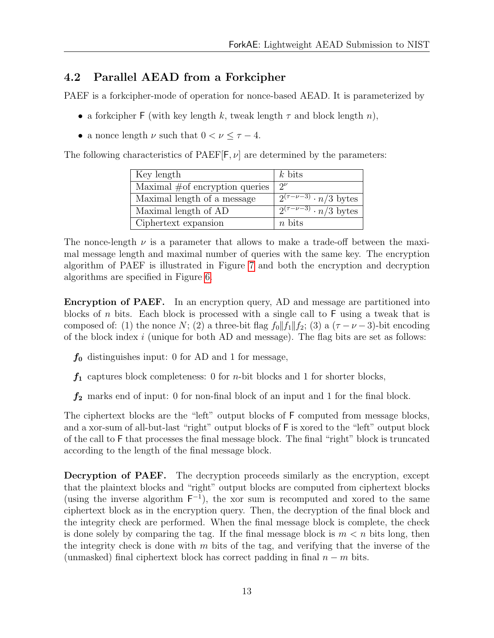#### <span id="page-15-0"></span>4.2 Parallel AEAD from a Forkcipher

PAEF is a forkcipher-mode of operation for nonce-based AEAD. It is parameterized by

- a forkcipher F (with key length k, tweak length  $\tau$  and block length n),
- a nonce length  $\nu$  such that  $0 < \nu \leq \tau 4$ .

The following characteristics of  $PAEF[F, \nu]$  are determined by the parameters:

| Key length                        | $k$ bits                                 |
|-----------------------------------|------------------------------------------|
| Maximal $#$ of encryption queries | $\gamma\nu$                              |
| Maximal length of a message       | $\sqrt{2^{(\tau-\nu-3)}\cdot n/3}$ bytes |
| Maximal length of AD              | $\sqrt{2^{(\tau-\nu-3)}\cdot n/3}$ bytes |
| Ciphertext expansion              | $n$ bits                                 |

The nonce-length  $\nu$  is a parameter that allows to make a trade-off between the maximal message length and maximal number of queries with the same key. The encryption algorithm of PAEF is illustrated in Figure [7](#page-51-0) and both the encryption and decryption algorithms are specified in Figure [6.](#page-50-0)

Encryption of PAEF. In an encryption query, AD and message are partitioned into blocks of n bits. Each block is processed with a single call to  $F$  using a tweak that is composed of: (1) the nonce N; (2) a three-bit flag  $f_0||f_1||f_2$ ; (3) a ( $\tau-\nu-3$ )-bit encoding of the block index  $i$  (unique for both AD and message). The flag bits are set as follows:

- $f_0$  distinguishes input: 0 for AD and 1 for message,
- $f_1$  captures block completeness: 0 for *n*-bit blocks and 1 for shorter blocks,
- $f_2$  marks end of input: 0 for non-final block of an input and 1 for the final block.

The ciphertext blocks are the "left" output blocks of F computed from message blocks, and a xor-sum of all-but-last "right" output blocks of F is xored to the "left" output block of the call to F that processes the final message block. The final "right" block is truncated according to the length of the final message block.

Decryption of PAEF. The decryption proceeds similarly as the encryption, except that the plaintext blocks and "right" output blocks are computed from ciphertext blocks (using the inverse algorithm  $F^{-1}$ ), the xor sum is recomputed and xored to the same ciphertext block as in the encryption query. Then, the decryption of the final block and the integrity check are performed. When the final message block is complete, the check is done solely by comparing the tag. If the final message block is  $m < n$  bits long, then the integrity check is done with  $m$  bits of the tag, and verifying that the inverse of the (unmasked) final ciphertext block has correct padding in final  $n - m$  bits.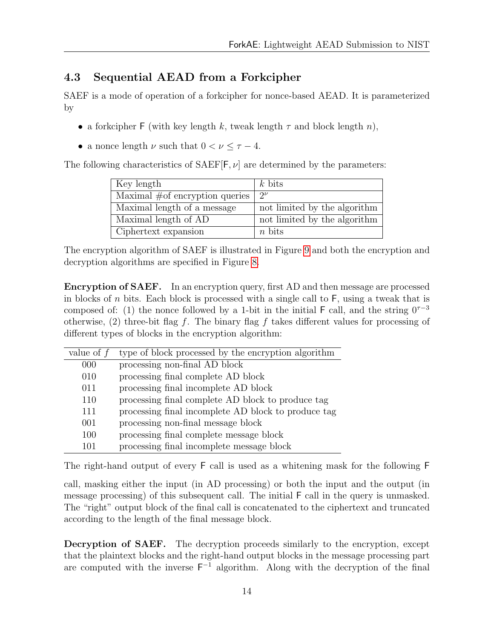### <span id="page-16-0"></span>4.3 Sequential AEAD from a Forkcipher

SAEF is a mode of operation of a forkcipher for nonce-based AEAD. It is parameterized by

- a forkcipher F (with key length k, tweak length  $\tau$  and block length n),
- a nonce length  $\nu$  such that  $0 < \nu \leq \tau 4$ .

The following characteristics of  $SAEF[F, \nu]$  are determined by the parameters:

| Key length                        | $k$ bits                     |
|-----------------------------------|------------------------------|
| Maximal $#$ of encryption queries | $\mathcal{D}^{\nu}$          |
| Maximal length of a message       | not limited by the algorithm |
| Maximal length of AD              | not limited by the algorithm |
| Ciphertext expansion              | $n$ bits                     |

The encryption algorithm of SAEF is illustrated in Figure [9](#page-53-0) and both the encryption and decryption algorithms are specified in Figure [8.](#page-52-0)

Encryption of SAEF. In an encryption query, first AD and then message are processed in blocks of n bits. Each block is processed with a single call to  $F$ , using a tweak that is composed of: (1) the nonce followed by a 1-bit in the initial F call, and the string  $0^{\tau-3}$ otherwise, (2) three-bit flag f. The binary flag f takes different values for processing of different types of blocks in the encryption algorithm:

| value of $f$ | type of block processed by the encryption algorithm |
|--------------|-----------------------------------------------------|
| 000          | processing non-final AD block                       |
| 010          | processing final complete AD block                  |
| 011          | processing final incomplete AD block                |
| 110          | processing final complete AD block to produce tag   |
| 111          | processing final incomplete AD block to produce tag |
| 001          | processing non-final message block                  |
| 100          | processing final complete message block             |
| 101          | processing final incomplete message block           |

The right-hand output of every F call is used as a whitening mask for the following F

call, masking either the input (in AD processing) or both the input and the output (in message processing) of this subsequent call. The initial F call in the query is unmasked. The "right" output block of the final call is concatenated to the ciphertext and truncated according to the length of the final message block.

Decryption of SAEF. The decryption proceeds similarly to the encryption, except that the plaintext blocks and the right-hand output blocks in the message processing part are computed with the inverse  $F^{-1}$  algorithm. Along with the decryption of the final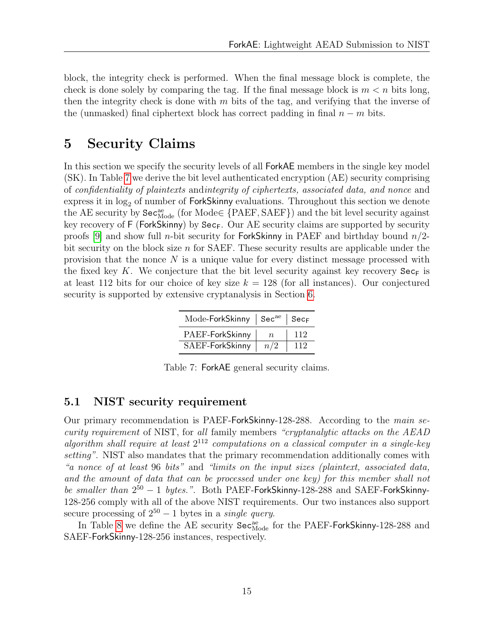block, the integrity check is performed. When the final message block is complete, the check is done solely by comparing the tag. If the final message block is  $m < n$  bits long, then the integrity check is done with  $m$  bits of the tag, and verifying that the inverse of the (unmasked) final ciphertext block has correct padding in final  $n - m$  bits.

# <span id="page-17-0"></span>5 Security Claims

In this section we specify the security levels of all ForkAE members in the single key model (SK). In Table [7](#page-17-2) we derive the bit level authenticated encryption (AE) security comprising of confidentiality of plaintexts andintegrity of ciphertexts, associated data, and nonce and express it in  $log<sub>2</sub>$  of number of ForkSkinny evaluations. Throughout this section we denote the AE security by  $\texttt{Sec}^\text{ae}_\text{Mode}$  (for  $\text{Mode} \in \{\text{PAEF}, \text{SAEF}\}$ ) and the bit level security against key recovery of F (ForkSkinny) by Sec<sub>F</sub>. Our AE security claims are supported by security proofs [\[9\]](#page-28-0) and show full *n*-bit security for **ForkSkinny** in PAEF and birthday bound  $n/2$ bit security on the block size  $n$  for SAEF. These security results are applicable under the provision that the nonce  $N$  is a unique value for every distinct message processed with the fixed key K. We conjecture that the bit level security against key recovery  $\text{Sec}_{F}$  is at least 112 bits for our choice of key size  $k = 128$  (for all instances). Our conjectured security is supported by extensive cryptanalysis in Section [6.](#page-19-0)

| Mode-ForkSkinny   Sec <sup>ae</sup>   Sec <sub>F</sub> |                  |     |
|--------------------------------------------------------|------------------|-----|
| PAEF-ForkSkinny                                        | $\boldsymbol{n}$ | 112 |
| SAEF-ForkSkinny                                        | n/2              | 112 |

Table 7: ForkAE general security claims.

#### <span id="page-17-2"></span><span id="page-17-1"></span>5.1 NIST security requirement

Our primary recommendation is PAEF-ForkSkinny-128-288. According to the main security requirement of NIST, for all family members "cryptanalytic attacks on the AEAD algorithm shall require at least  $2^{112}$  computations on a classical computer in a single-key setting". NIST also mandates that the primary recommendation additionally comes with "a nonce of at least 96 bits" and "limits on the input sizes (plaintext, associated data, and the amount of data that can be processed under one key) for this member shall not be smaller than  $2^{50} - 1$  bytes.". Both PAEF-ForkSkinny-128-288 and SAEF-ForkSkinny-128-256 comply with all of the above NIST requirements. Our two instances also support secure processing of  $2^{50} - 1$  bytes in a *single query*.

In Table [8](#page-18-1) we define the AE security  $\texttt{Sec}^\text{ae}_\text{Mode}$  for the PAEF-ForkSkinny-128-288 and SAEF-ForkSkinny-128-256 instances, respectively.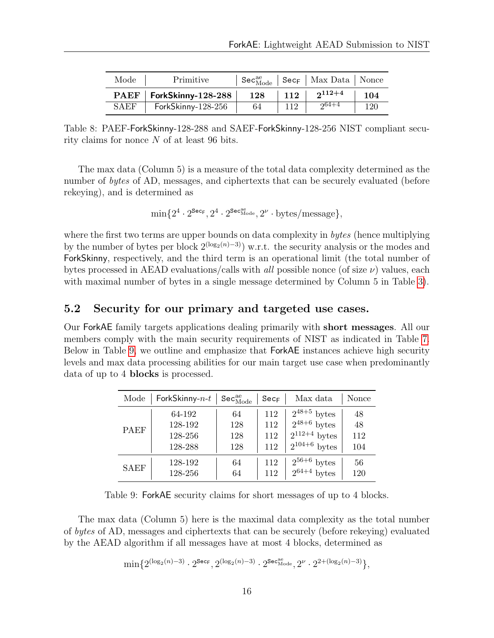<span id="page-18-1"></span>

| Mode        | Primitive          |     |     | $\mathsf{Sec}_{\mathsf{Mode}}^{\mathsf{ae}} \mid \mathsf{Sec}_{\mathsf{F}} \mid \mathsf{Max\ Data} \mid \mathsf{None}$ |     |
|-------------|--------------------|-----|-----|------------------------------------------------------------------------------------------------------------------------|-----|
| <b>PAEF</b> | ForkSkinny-128-288 | 128 | 112 | $2^{112+4}$                                                                                                            | 104 |
| <b>SAEF</b> | ForkSkinny-128-256 | 64  | 112 | $264 + 4$                                                                                                              | 120 |

Table 8: PAEF-ForkSkinny-128-288 and SAEF-ForkSkinny-128-256 NIST compliant security claims for nonce N of at least 96 bits.

The max data (Column 5) is a measure of the total data complexity determined as the number of bytes of AD, messages, and ciphertexts that can be securely evaluated (before rekeying), and is determined as

$$
\min\{2^4\cdot 2^{\texttt{Sec}_{\mathsf{F}}}, 2^4\cdot 2^{\texttt{Sec}^{\texttt{ac}}_{\text{Mode}}}, 2^{\nu}\cdot \text{bytes/message}\},
$$

where the first two terms are upper bounds on data complexity in *bytes* (hence multiplying by the number of bytes per block  $2^{(\log_2(n)-3)}$  w.r.t. the security analysis or the modes and ForkSkinny, respectively, and the third term is an operational limit (the total number of bytes processed in AEAD evaluations/calls with *all* possible nonce (of size  $\nu$ ) values, each with maximal number of bytes in a single message determined by Column 5 in Table [3\)](#page-6-4).

#### <span id="page-18-0"></span>5.2 Security for our primary and targeted use cases.

Our ForkAE family targets applications dealing primarily with short messages. All our members comply with the main security requirements of NIST as indicated in Table [7.](#page-17-2) Below in Table [9,](#page-18-2) we outline and emphasize that ForkAE instances achieve high security levels and max data processing abilities for our main target use case when predominantly data of up to 4 blocks is processed.

<span id="page-18-2"></span>

| Mode        | ForkSkinny- $n-t$ | $\texttt{Sec}_{\text{Mode}}^{\textup{ae}}$ | SecF | Max data          | Nonce |
|-------------|-------------------|--------------------------------------------|------|-------------------|-------|
| PAEF        | 64-192            | 64                                         | 112  | $2^{48+5}$ bytes  | 48    |
|             | 128-192           | 128                                        | 112  | $2^{48+6}$ bytes  | 48    |
|             | 128-256           | 128                                        | 112  | $2^{112+4}$ bytes | 112   |
|             | 128-288           | 128                                        | 112  | $2^{104+6}$ bytes | 104   |
| <b>SAEF</b> | 128-192           | 64                                         | 112  | $2^{56+6}$ bytes  | 56    |
|             | 128-256           | 64                                         | 112  | $2^{64+4}$ bytes  | 120   |

Table 9: ForkAE security claims for short messages of up to 4 blocks.

The max data (Column 5) here is the maximal data complexity as the total number of bytes of AD, messages and ciphertexts that can be securely (before rekeying) evaluated by the AEAD algorithm if all messages have at most 4 blocks, determined as

$$
\min\{2^{(\log_2(n)-3)}\cdot 2^{\mathbf{Sec}_{\mathbf{F}}}, 2^{(\log_2(n)-3)}\cdot 2^{\mathbf{Sec}^{\mathrm{ae}}_{\mathrm{Mode}}}, 2^{\nu}\cdot 2^{2+(\log_2(n)-3)}\},
$$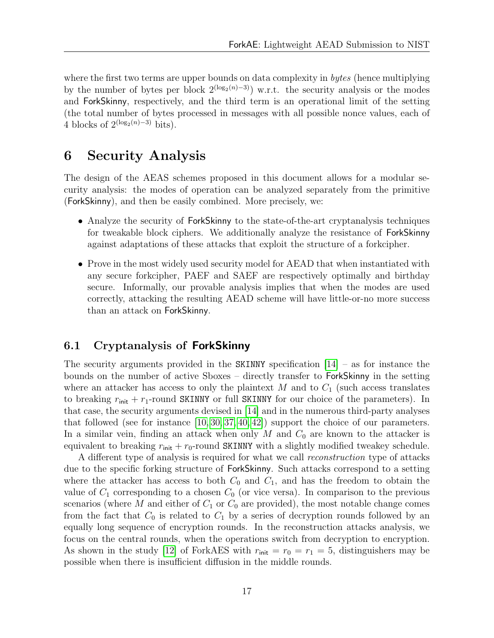where the first two terms are upper bounds on data complexity in *bytes* (hence multiplying by the number of bytes per block  $2^{(\log_2(n)-3)}$  w.r.t. the security analysis or the modes and ForkSkinny, respectively, and the third term is an operational limit of the setting (the total number of bytes processed in messages with all possible nonce values, each of 4 blocks of  $2^{(\log_2(n)-3)}$  bits).

### <span id="page-19-0"></span>6 Security Analysis

The design of the AEAS schemes proposed in this document allows for a modular security analysis: the modes of operation can be analyzed separately from the primitive (ForkSkinny), and then be easily combined. More precisely, we:

- Analyze the security of ForkSkinny to the state-of-the-art cryptanalysis techniques for tweakable block ciphers. We additionally analyze the resistance of ForkSkinny against adaptations of these attacks that exploit the structure of a forkcipher.
- Prove in the most widely used security model for AEAD that when instantiated with any secure forkcipher, PAEF and SAEF are respectively optimally and birthday secure. Informally, our provable analysis implies that when the modes are used correctly, attacking the resulting AEAD scheme will have little-or-no more success than an attack on ForkSkinny.

#### <span id="page-19-1"></span>6.1 Cryptanalysis of ForkSkinny

The security arguments provided in the SKINNY specification  $[14]$  – as for instance the bounds on the number of active Sboxes – directly transfer to ForkSkinny in the setting where an attacker has access to only the plaintext  $M$  and to  $C_1$  (such access translates to breaking  $r_{init} + r_1$ -round SKINNY or full SKINNY for our choice of the parameters). In that case, the security arguments devised in [\[14\]](#page-29-0) and in the numerous third-party analyses that followed (see for instance [\[10,](#page-28-7) [30,](#page-30-1) [37,](#page-31-1) [40,](#page-31-4) [42\]](#page-31-2)) support the choice of our parameters. In a similar vein, finding an attack when only M and  $C_0$  are known to the attacker is equivalent to breaking  $r_{\text{init}} + r_0$ -round SKINNY with a slightly modified tweakey schedule.

A different type of analysis is required for what we call reconstruction type of attacks due to the specific forking structure of ForkSkinny. Such attacks correspond to a setting where the attacker has access to both  $C_0$  and  $C_1$ , and has the freedom to obtain the value of  $C_1$  corresponding to a chosen  $C_0$  (or vice versa). In comparison to the previous scenarios (where M and either of  $C_1$  or  $C_0$  are provided), the most notable change comes from the fact that  $C_0$  is related to  $C_1$  by a series of decryption rounds followed by an equally long sequence of encryption rounds. In the reconstruction attacks analysis, we focus on the central rounds, when the operations switch from decryption to encryption. As shown in the study [\[12\]](#page-29-2) of ForkAES with  $r_{\text{init}} = r_0 = r_1 = 5$ , distinguishers may be possible when there is insufficient diffusion in the middle rounds.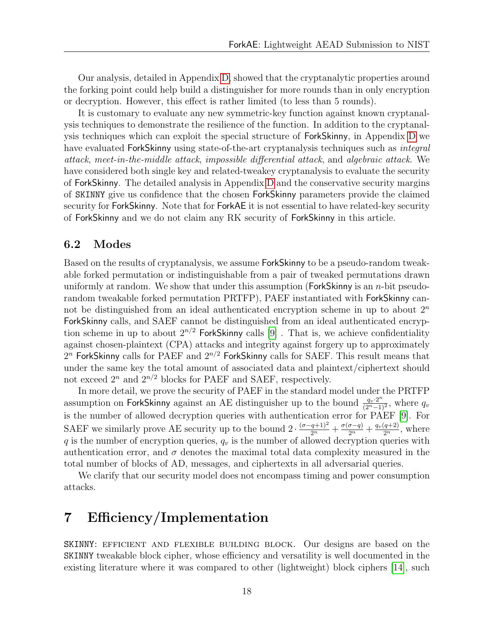Our analysis, detailed in Appendix [D,](#page-42-0) showed that the cryptanalytic properties around the forking point could help build a distinguisher for more rounds than in only encryption or decryption. However, this effect is rather limited (to less than 5 rounds).

It is customary to evaluate any new symmetric-key function against known cryptanalysis techniques to demonstrate the resilience of the function. In addition to the cryptanalysis techniques which can exploit the special structure of ForkSkinny, in Appendix [D](#page-42-0) we have evaluated ForkSkinny using state-of-the-art cryptanalysis techniques such as *integral* attack, meet-in-the-middle attack, impossible differential attack, and algebraic attack. We have considered both single key and related-tweakey cryptanalysis to evaluate the security of ForkSkinny. The detailed analysis in Appendix [D](#page-42-0) and the conservative security margins of SKINNY give us confidence that the chosen ForkSkinny parameters provide the claimed security for ForkSkinny. Note that for ForkAE it is not essential to have related-key security of ForkSkinny and we do not claim any RK security of ForkSkinny in this article.

#### <span id="page-20-0"></span>6.2 Modes

Based on the results of cryptanalysis, we assume ForkSkinny to be a pseudo-random tweakable forked permutation or indistinguishable from a pair of tweaked permutations drawn uniformly at random. We show that under this assumption (ForkSkinny is an *n*-bit pseudorandom tweakable forked permutation PRTFP), PAEF instantiated with ForkSkinny cannot be distinguished from an ideal authenticated encryption scheme in up to about  $2<sup>n</sup>$ ForkSkinny calls, and SAEF cannot be distinguished from an ideal authenticated encryption scheme in up to about  $2^{n/2}$  ForkSkinny calls [\[9\]](#page-28-0). That is, we achieve confidentiality against chosen-plaintext (CPA) attacks and integrity against forgery up to approximately  $2^n$  ForkSkinny calls for PAEF and  $2^{n/2}$  ForkSkinny calls for SAEF. This result means that under the same key the total amount of associated data and plaintext/ciphertext should not exceed  $2^n$  and  $2^{n/2}$  blocks for PAEF and SAEF, respectively.

In more detail, we prove the security of PAEF in the standard model under the PRTFP assumption on ForkSkinny against an AE distinguisher up to the bound  $\frac{q_v 2^n}{(2^n-1)}$  $\frac{q_v \cdot 2^n}{(2^n-1)^2}$ , where  $q_v$ is the number of allowed decryption queries with authentication error for PAEF [\[9\]](#page-28-0). For SAEF we similarly prove AE security up to the bound  $2 \cdot \frac{(\sigma - q + 1)^2}{2^n} + \frac{\sigma(\sigma - q)}{2^n} + \frac{q_v(q+2)}{2^n}$ , where q is the number of encryption queries,  $q_v$  is the number of allowed decryption queries with authentication error, and  $\sigma$  denotes the maximal total data complexity measured in the total number of blocks of AD, messages, and ciphertexts in all adversarial queries.

We clarify that our security model does not encompass timing and power consumption attacks.

# <span id="page-20-1"></span>7 Efficiency/Implementation

SKINNY: efficient and flexible building block. Our designs are based on the SKINNY tweakable block cipher, whose efficiency and versatility is well documented in the existing literature where it was compared to other (lightweight) block ciphers [\[14\]](#page-29-0), such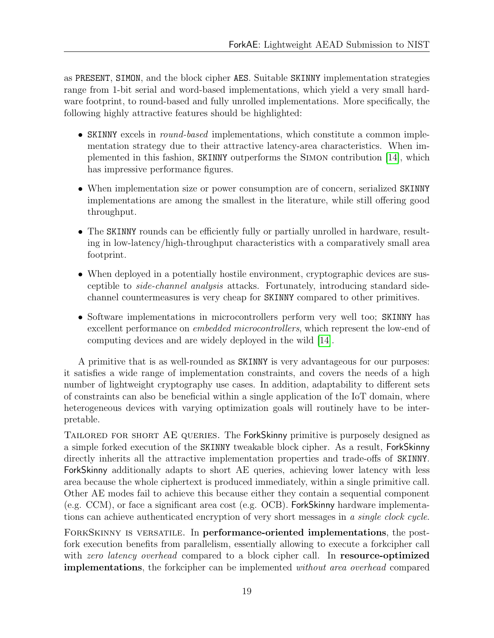as PRESENT, SIMON, and the block cipher AES. Suitable SKINNY implementation strategies range from 1-bit serial and word-based implementations, which yield a very small hardware footprint, to round-based and fully unrolled implementations. More specifically, the following highly attractive features should be highlighted:

- SKINNY excels in *round-based* implementations, which constitute a common implementation strategy due to their attractive latency-area characteristics. When implemented in this fashion, SKINNY outperforms the Simon contribution [\[14\]](#page-29-0), which has impressive performance figures.
- When implementation size or power consumption are of concern, serialized SKINNY implementations are among the smallest in the literature, while still offering good throughput.
- The SKINNY rounds can be efficiently fully or partially unrolled in hardware, resulting in low-latency/high-throughput characteristics with a comparatively small area footprint.
- When deployed in a potentially hostile environment, cryptographic devices are susceptible to side-channel analysis attacks. Fortunately, introducing standard sidechannel countermeasures is very cheap for SKINNY compared to other primitives.
- Software implementations in microcontrollers perform very well too; SKINNY has excellent performance on embedded microcontrollers, which represent the low-end of computing devices and are widely deployed in the wild [\[14\]](#page-29-0).

A primitive that is as well-rounded as SKINNY is very advantageous for our purposes: it satisfies a wide range of implementation constraints, and covers the needs of a high number of lightweight cryptography use cases. In addition, adaptability to different sets of constraints can also be beneficial within a single application of the IoT domain, where heterogeneous devices with varying optimization goals will routinely have to be interpretable.

TAILORED FOR SHORT AE QUERIES. The ForkSkinny primitive is purposely designed as a simple forked execution of the SKINNY tweakable block cipher. As a result, ForkSkinny directly inherits all the attractive implementation properties and trade-offs of SKINNY. ForkSkinny additionally adapts to short AE queries, achieving lower latency with less area because the whole ciphertext is produced immediately, within a single primitive call. Other AE modes fail to achieve this because either they contain a sequential component (e.g. CCM), or face a significant area cost (e.g. OCB). ForkSkinny hardware implementations can achieve authenticated encryption of very short messages in a single clock cycle.

ForkSkinny is versatile. In performance-oriented implementations, the postfork execution benefits from parallelism, essentially allowing to execute a forkcipher call with zero latency overhead compared to a block cipher call. In resource-optimized **implementations**, the forkcipher can be implemented *without area overhead* compared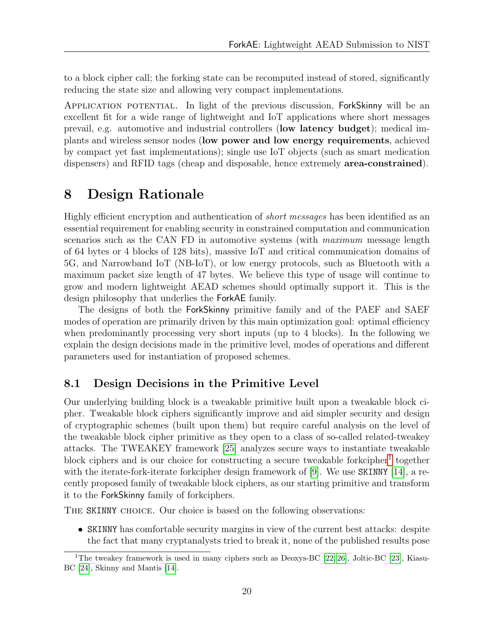to a block cipher call; the forking state can be recomputed instead of stored, significantly reducing the state size and allowing very compact implementations.

Application potential. In light of the previous discussion, ForkSkinny will be an excellent fit for a wide range of lightweight and IoT applications where short messages prevail, e.g. automotive and industrial controllers (low latency budget); medical implants and wireless sensor nodes (low power and low energy requirements, achieved by compact yet fast implementations); single use IoT objects (such as smart medication dispensers) and RFID tags (cheap and disposable, hence extremely **area-constrained**).

# <span id="page-22-0"></span>8 Design Rationale

Highly efficient encryption and authentication of short messages has been identified as an essential requirement for enabling security in constrained computation and communication scenarios such as the CAN FD in automotive systems (with maximum message length of 64 bytes or 4 blocks of 128 bits), massive IoT and critical communication domains of 5G, and Narrowband IoT (NB-IoT), or low energy protocols, such as Bluetooth with a maximum packet size length of 47 bytes. We believe this type of usage will continue to grow and modern lightweight AEAD schemes should optimally support it. This is the design philosophy that underlies the ForkAE family.

The designs of both the ForkSkinny primitive family and of the PAEF and SAEF modes of operation are primarily driven by this main optimization goal: optimal efficiency when predominantly processing very short inputs (up to 4 blocks). In the following we explain the design decisions made in the primitive level, modes of operations and different parameters used for instantiation of proposed schemes.

#### <span id="page-22-1"></span>8.1 Design Decisions in the Primitive Level

Our underlying building block is a tweakable primitive built upon a tweakable block cipher. Tweakable block ciphers significantly improve and aid simpler security and design of cryptographic schemes (built upon them) but require careful analysis on the level of the tweakable block cipher primitive as they open to a class of so-called related-tweakey attacks. The TWEAKEY framework [\[25\]](#page-30-0) analyzes secure ways to instantiate tweakable block ciphers and is our choice for constructing a secure tweakable forkcipher<sup>[1](#page-22-2)</sup> together with the iterate-fork-iterate forkcipher design framework of [\[9\]](#page-28-0). We use SKINNY [\[14\]](#page-29-0), a recently proposed family of tweakable block ciphers, as our starting primitive and transform it to the ForkSkinny family of forkciphers.

The SKINNY choice. Our choice is based on the following observations:

• SKINNY has comfortable security margins in view of the current best attacks: despite the fact that many cryptanalysts tried to break it, none of the published results pose

<span id="page-22-2"></span><sup>&</sup>lt;sup>1</sup>The tweakey framework is used in many ciphers such as Deoxys-BC [\[22,](#page-30-2) [26\]](#page-30-3), Joltic-BC [\[23\]](#page-30-4), Kiasu-BC [\[24\]](#page-30-5), Skinny and Mantis [\[14\]](#page-29-0).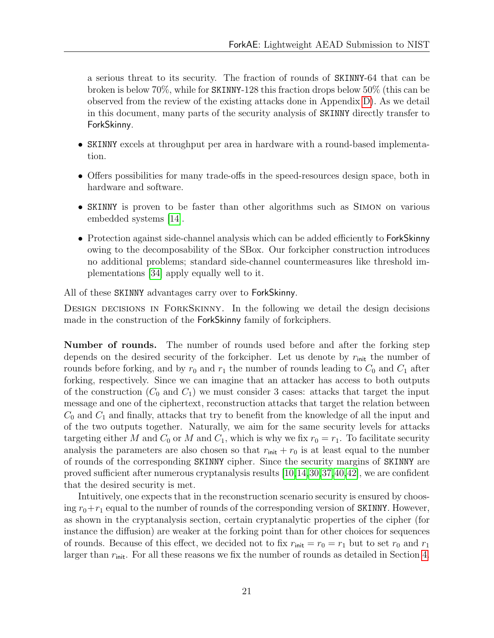a serious threat to its security. The fraction of rounds of SKINNY-64 that can be broken is below 70%, while for SKINNY-128 this fraction drops below 50% (this can be observed from the review of the existing attacks done in Appendix [D\)](#page-42-0). As we detail in this document, many parts of the security analysis of SKINNY directly transfer to ForkSkinny.

- SKINNY excels at throughput per area in hardware with a round-based implementation.
- Offers possibilities for many trade-offs in the speed-resources design space, both in hardware and software.
- SKINNY is proven to be faster than other algorithms such as Simon on various embedded systems [\[14\]](#page-29-0).
- Protection against side-channel analysis which can be added efficiently to ForkSkinny owing to the decomposability of the SBox. Our forkcipher construction introduces no additional problems; standard side-channel countermeasures like threshold implementations [\[34\]](#page-31-5) apply equally well to it.

All of these SKINNY advantages carry over to ForkSkinny.

Design decisions in ForkSkinny. In the following we detail the design decisions made in the construction of the ForkSkinny family of forkciphers.

Number of rounds. The number of rounds used before and after the forking step depends on the desired security of the forkcipher. Let us denote by  $r_{\text{init}}$  the number of rounds before forking, and by  $r_0$  and  $r_1$  the number of rounds leading to  $C_0$  and  $C_1$  after forking, respectively. Since we can imagine that an attacker has access to both outputs of the construction  $(C_0$  and  $C_1$ ) we must consider 3 cases: attacks that target the input message and one of the ciphertext, reconstruction attacks that target the relation between  $C_0$  and  $C_1$  and finally, attacks that try to benefit from the knowledge of all the input and of the two outputs together. Naturally, we aim for the same security levels for attacks targeting either M and  $C_0$  or M and  $C_1$ , which is why we fix  $r_0 = r_1$ . To facilitate security analysis the parameters are also chosen so that  $r_{\text{init}} + r_0$  is at least equal to the number of rounds of the corresponding SKINNY cipher. Since the security margins of SKINNY are proved sufficient after numerous cryptanalysis results [\[10,](#page-28-7)[14,](#page-29-0)[30,](#page-30-1)[37,](#page-31-1)[40,](#page-31-4)[42\]](#page-31-2), we are confident that the desired security is met.

Intuitively, one expects that in the reconstruction scenario security is ensured by choosing  $r_0+r_1$  equal to the number of rounds of the corresponding version of SKINNY. However, as shown in the cryptanalysis section, certain cryptanalytic properties of the cipher (for instance the diffusion) are weaker at the forking point than for other choices for sequences of rounds. Because of this effect, we decided not to fix  $r_{\text{init}} = r_0 = r_1$  but to set  $r_0$  and  $r_1$ larger than  $r_{\text{init}}$ . For all these reasons we fix the number of rounds as detailed in Section [4.](#page-9-0)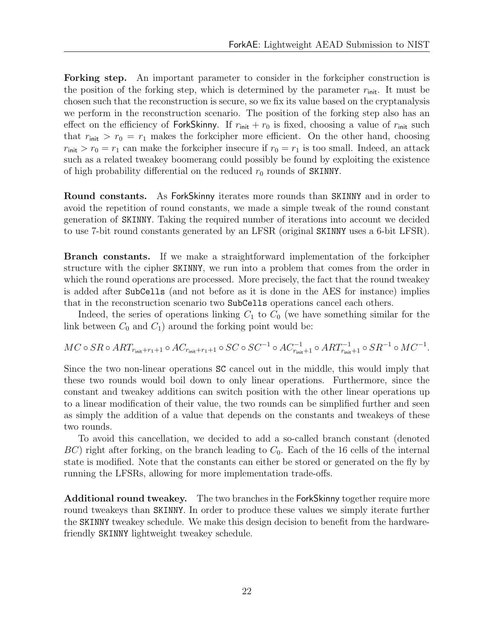Forking step. An important parameter to consider in the forkcipher construction is the position of the forking step, which is determined by the parameter  $r_{\text{init}}$ . It must be chosen such that the reconstruction is secure, so we fix its value based on the cryptanalysis we perform in the reconstruction scenario. The position of the forking step also has an effect on the efficiency of ForkSkinny. If  $r_{\text{init}} + r_0$  is fixed, choosing a value of  $r_{\text{init}}$  such that  $r_{\text{init}} > r_0 = r_1$  makes the forkcipher more efficient. On the other hand, choosing  $r_{\text{init}} > r_0 = r_1$  can make the forkcipher insecure if  $r_0 = r_1$  is too small. Indeed, an attack such as a related tweakey boomerang could possibly be found by exploiting the existence of high probability differential on the reduced  $r_0$  rounds of SKINNY.

Round constants. As ForkSkinny iterates more rounds than SKINNY and in order to avoid the repetition of round constants, we made a simple tweak of the round constant generation of SKINNY. Taking the required number of iterations into account we decided to use 7-bit round constants generated by an LFSR (original SKINNY uses a 6-bit LFSR).

Branch constants. If we make a straightforward implementation of the forkcipher structure with the cipher SKINNY, we run into a problem that comes from the order in which the round operations are processed. More precisely, the fact that the round tweakey is added after SubCells (and not before as it is done in the AES for instance) implies that in the reconstruction scenario two SubCells operations cancel each others.

Indeed, the series of operations linking  $C_1$  to  $C_0$  (we have something similar for the link between  $C_0$  and  $C_1$ ) around the forking point would be:

$$
MC \circ SR \circ ART_{r_{\text{init}}+r_1+1} \circ AC_{r_{\text{init}}+r_1+1} \circ SC \circ SC^{-1} \circ AC_{r_{\text{init}}+1}^{-1} \circ ART_{r_{\text{init}}+1}^{-1} \circ SR^{-1} \circ MC^{-1}.
$$

Since the two non-linear operations SC cancel out in the middle, this would imply that these two rounds would boil down to only linear operations. Furthermore, since the constant and tweakey additions can switch position with the other linear operations up to a linear modification of their value, the two rounds can be simplified further and seen as simply the addition of a value that depends on the constants and tweakeys of these two rounds.

To avoid this cancellation, we decided to add a so-called branch constant (denoted  $BC$ ) right after forking, on the branch leading to  $C_0$ . Each of the 16 cells of the internal state is modified. Note that the constants can either be stored or generated on the fly by running the LFSRs, allowing for more implementation trade-offs.

Additional round tweakey. The two branches in the ForkSkinny together require more round tweakeys than SKINNY. In order to produce these values we simply iterate further the SKINNY tweakey schedule. We make this design decision to benefit from the hardwarefriendly SKINNY lightweight tweakey schedule.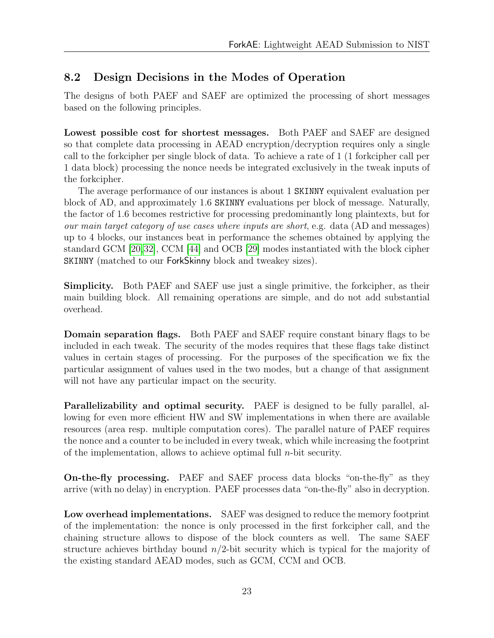### <span id="page-25-0"></span>8.2 Design Decisions in the Modes of Operation

The designs of both PAEF and SAEF are optimized the processing of short messages based on the following principles.

Lowest possible cost for shortest messages. Both PAEF and SAEF are designed so that complete data processing in AEAD encryption/decryption requires only a single call to the forkcipher per single block of data. To achieve a rate of 1 (1 forkcipher call per 1 data block) processing the nonce needs be integrated exclusively in the tweak inputs of the forkcipher.

The average performance of our instances is about 1 SKINNY equivalent evaluation per block of AD, and approximately 1.6 SKINNY evaluations per block of message. Naturally, the factor of 1.6 becomes restrictive for processing predominantly long plaintexts, but for our main target category of use cases where inputs are short, e.g. data (AD and messages) up to 4 blocks, our instances beat in performance the schemes obtained by applying the standard GCM [\[20,](#page-30-6)[32\]](#page-30-7), CCM [\[44\]](#page-31-6) and OCB [\[29\]](#page-30-8) modes instantiated with the block cipher SKINNY (matched to our ForkSkinny block and tweakey sizes).

Simplicity. Both PAEF and SAEF use just a single primitive, the forkcipher, as their main building block. All remaining operations are simple, and do not add substantial overhead.

Domain separation flags. Both PAEF and SAEF require constant binary flags to be included in each tweak. The security of the modes requires that these flags take distinct values in certain stages of processing. For the purposes of the specification we fix the particular assignment of values used in the two modes, but a change of that assignment will not have any particular impact on the security.

Parallelizability and optimal security. PAEF is designed to be fully parallel, allowing for even more efficient HW and SW implementations in when there are available resources (area resp. multiple computation cores). The parallel nature of PAEF requires the nonce and a counter to be included in every tweak, which while increasing the footprint of the implementation, allows to achieve optimal full  $n$ -bit security.

On-the-fly processing. PAEF and SAEF process data blocks "on-the-fly" as they arrive (with no delay) in encryption. PAEF processes data "on-the-fly" also in decryption.

Low overhead implementations. SAEF was designed to reduce the memory footprint of the implementation: the nonce is only processed in the first forkcipher call, and the chaining structure allows to dispose of the block counters as well. The same SAEF structure achieves birthday bound  $n/2$ -bit security which is typical for the majority of the existing standard AEAD modes, such as GCM, CCM and OCB.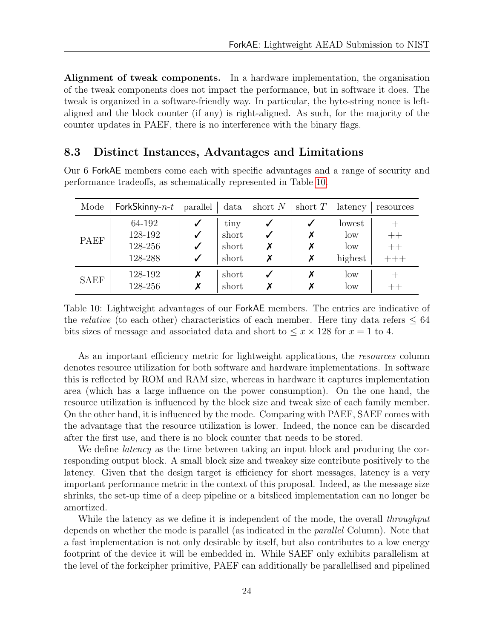Alignment of tweak components. In a hardware implementation, the organisation of the tweak components does not impact the performance, but in software it does. The tweak is organized in a software-friendly way. In particular, the byte-string nonce is leftaligned and the block counter (if any) is right-aligned. As such, for the majority of the counter updates in PAEF, there is no interference with the binary flags.

#### <span id="page-26-0"></span>8.3 Distinct Instances, Advantages and Limitations

Our 6 ForkAE members come each with specific advantages and a range of security and performance tradeoffs, as schematically represented in Table [10.](#page-26-1)

<span id="page-26-1"></span>

| Mode        | ForkSkinny- $n-t$ | parallel | data  | short $N \mid$ | short $T$ | latency | resources |
|-------------|-------------------|----------|-------|----------------|-----------|---------|-----------|
|             | 64-192            |          | tiny  | √              |           | lowest  |           |
| PAEF        | 128-192           |          | short |                |           | low     | $^{++}$   |
|             | 128-256           |          | short | X              |           | low     | $++$      |
|             | 128-288           |          | short | Х              |           | highest |           |
| <b>SAEF</b> | 128-192           | Х        | short |                |           | low     |           |
|             | 128-256           | Х        | short |                |           | low     |           |

Table 10: Lightweight advantages of our ForkAE members. The entries are indicative of the relative (to each other) characteristics of each member. Here tiny data refers  $\leq 64$ bits sizes of message and associated data and short to  $\leq x \times 128$  for  $x = 1$  to 4.

As an important efficiency metric for lightweight applications, the *resources* column denotes resource utilization for both software and hardware implementations. In software this is reflected by ROM and RAM size, whereas in hardware it captures implementation area (which has a large influence on the power consumption). On the one hand, the resource utilization is influenced by the block size and tweak size of each family member. On the other hand, it is influenced by the mode. Comparing with PAEF, SAEF comes with the advantage that the resource utilization is lower. Indeed, the nonce can be discarded after the first use, and there is no block counter that needs to be stored.

We define *latency* as the time between taking an input block and producing the corresponding output block. A small block size and tweakey size contribute positively to the latency. Given that the design target is efficiency for short messages, latency is a very important performance metric in the context of this proposal. Indeed, as the message size shrinks, the set-up time of a deep pipeline or a bitsliced implementation can no longer be amortized.

While the latency as we define it is independent of the mode, the overall *throughput* depends on whether the mode is parallel (as indicated in the *parallel* Column). Note that a fast implementation is not only desirable by itself, but also contributes to a low energy footprint of the device it will be embedded in. While SAEF only exhibits parallelism at the level of the forkcipher primitive, PAEF can additionally be parallellised and pipelined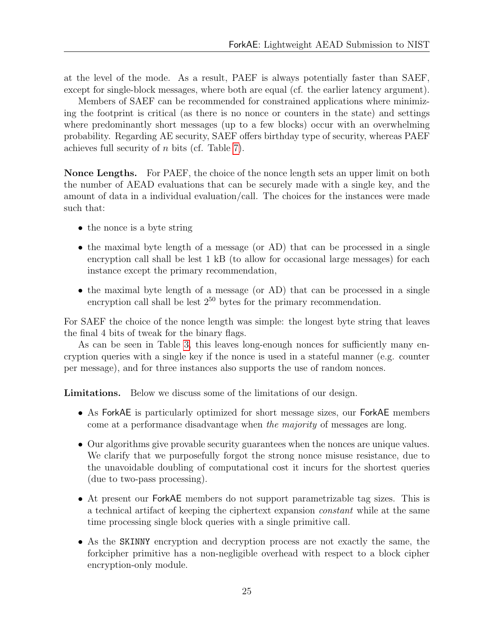at the level of the mode. As a result, PAEF is always potentially faster than SAEF, except for single-block messages, where both are equal (cf. the earlier latency argument).

Members of SAEF can be recommended for constrained applications where minimizing the footprint is critical (as there is no nonce or counters in the state) and settings where predominantly short messages (up to a few blocks) occur with an overwhelming probability. Regarding AE security, SAEF offers birthday type of security, whereas PAEF achieves full security of n bits (cf. Table [7\)](#page-17-2).

Nonce Lengths. For PAEF, the choice of the nonce length sets an upper limit on both the number of AEAD evaluations that can be securely made with a single key, and the amount of data in a individual evaluation/call. The choices for the instances were made such that:

- the nonce is a byte string
- the maximal byte length of a message (or AD) that can be processed in a single encryption call shall be lest 1 kB (to allow for occasional large messages) for each instance except the primary recommendation,
- the maximal byte length of a message (or AD) that can be processed in a single encryption call shall be lest  $2^{50}$  bytes for the primary recommendation.

For SAEF the choice of the nonce length was simple: the longest byte string that leaves the final 4 bits of tweak for the binary flags.

As can be seen in Table [3,](#page-6-4) this leaves long-enough nonces for sufficiently many encryption queries with a single key if the nonce is used in a stateful manner (e.g. counter per message), and for three instances also supports the use of random nonces.

Limitations. Below we discuss some of the limitations of our design.

- As ForkAE is particularly optimized for short message sizes, our ForkAE members come at a performance disadvantage when the majority of messages are long.
- Our algorithms give provable security guarantees when the nonces are unique values. We clarify that we purposefully forgot the strong nonce misuse resistance, due to the unavoidable doubling of computational cost it incurs for the shortest queries (due to two-pass processing).
- At present our ForkAE members do not support parametrizable tag sizes. This is a technical artifact of keeping the ciphertext expansion constant while at the same time processing single block queries with a single primitive call.
- As the SKINNY encryption and decryption process are not exactly the same, the forkcipher primitive has a non-negligible overhead with respect to a block cipher encryption-only module.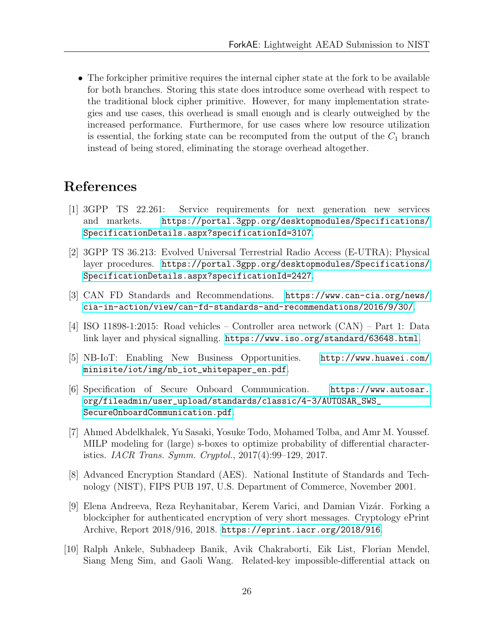• The forkcipher primitive requires the internal cipher state at the fork to be available for both branches. Storing this state does introduce some overhead with respect to the traditional block cipher primitive. However, for many implementation strategies and use cases, this overhead is small enough and is clearly outweighed by the increased performance. Furthermore, for use cases where low resource utilization is essential, the forking state can be recomputed from the output of the  $C_1$  branch instead of being stored, eliminating the storage overhead altogether.

# References

- <span id="page-28-2"></span>[1] 3GPP TS 22.261: Service requirements for next generation new services and markets. [https://portal.3gpp.org/desktopmodules/Specifications/](https://portal.3gpp.org/desktopmodules/Specifications/SpecificationDetails.aspx?specificationId=3107) [SpecificationDetails.aspx?specificationId=3107](https://portal.3gpp.org/desktopmodules/Specifications/SpecificationDetails.aspx?specificationId=3107).
- <span id="page-28-3"></span>[2] 3GPP TS 36.213: Evolved Universal Terrestrial Radio Access (E-UTRA); Physical layer procedures. [https://portal.3gpp.org/desktopmodules/Specifications/](https://portal.3gpp.org/desktopmodules/Specifications/SpecificationDetails.aspx?specificationId=2427) [SpecificationDetails.aspx?specificationId=2427](https://portal.3gpp.org/desktopmodules/Specifications/SpecificationDetails.aspx?specificationId=2427).
- <span id="page-28-5"></span>[3] CAN FD Standards and Recommendations. [https://www.can-cia.org/news/](https://www.can-cia.org/news/cia-in-action/view/can-fd-standards-and-recommendations/2016/9/30/) [cia-in-action/view/can-fd-standards-and-recommendations/2016/9/30/](https://www.can-cia.org/news/cia-in-action/view/can-fd-standards-and-recommendations/2016/9/30/).
- <span id="page-28-6"></span>[4] ISO 11898-1:2015: Road vehicles – Controller area network (CAN) – Part 1: Data link layer and physical signalling. <https://www.iso.org/standard/63648.html>.
- <span id="page-28-4"></span>[5] NB-IoT: Enabling New Business Opportunities. [http://www.huawei.com/](http://www.huawei.com/minisite/iot/img/nb_iot_whitepaper_en.pdf) [minisite/iot/img/nb\\_iot\\_whitepaper\\_en.pdf](http://www.huawei.com/minisite/iot/img/nb_iot_whitepaper_en.pdf).
- <span id="page-28-1"></span>[6] Specification of Secure Onboard Communication. [https://www.autosar.](https://www.autosar.org/fileadmin/user_upload/standards/classic/4-3/AUTOSAR_SWS_SecureOnboardCommunication.pdf) [org/fileadmin/user\\_upload/standards/classic/4-3/AUTOSAR\\_SWS\\_](https://www.autosar.org/fileadmin/user_upload/standards/classic/4-3/AUTOSAR_SWS_SecureOnboardCommunication.pdf) [SecureOnboardCommunication.pdf](https://www.autosar.org/fileadmin/user_upload/standards/classic/4-3/AUTOSAR_SWS_SecureOnboardCommunication.pdf).
- <span id="page-28-9"></span>[7] Ahmed Abdelkhalek, Yu Sasaki, Yosuke Todo, Mohamed Tolba, and Amr M. Youssef. MILP modeling for (large) s-boxes to optimize probability of differential characteristics. IACR Trans. Symm. Cryptol., 2017(4):99–129, 2017.
- <span id="page-28-8"></span>[8] Advanced Encryption Standard (AES). National Institute of Standards and Technology (NIST), FIPS PUB 197, U.S. Department of Commerce, November 2001.
- <span id="page-28-0"></span>[9] Elena Andreeva, Reza Reyhanitabar, Kerem Varici, and Damian Vizár. Forking a blockcipher for authenticated encryption of very short messages. Cryptology ePrint Archive, Report 2018/916, 2018. <https://eprint.iacr.org/2018/916>.
- <span id="page-28-7"></span>[10] Ralph Ankele, Subhadeep Banik, Avik Chakraborti, Eik List, Florian Mendel, Siang Meng Sim, and Gaoli Wang. Related-key impossible-differential attack on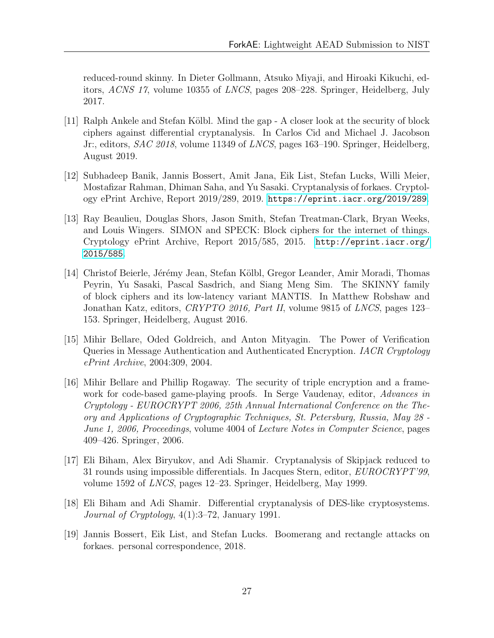reduced-round skinny. In Dieter Gollmann, Atsuko Miyaji, and Hiroaki Kikuchi, editors, ACNS 17, volume 10355 of LNCS, pages 208–228. Springer, Heidelberg, July 2017.

- <span id="page-29-1"></span>[11] Ralph Ankele and Stefan Kölbl. Mind the gap - A closer look at the security of block ciphers against differential cryptanalysis. In Carlos Cid and Michael J. Jacobson Jr:, editors, SAC 2018, volume 11349 of LNCS, pages 163–190. Springer, Heidelberg, August 2019.
- <span id="page-29-2"></span>[12] Subhadeep Banik, Jannis Bossert, Amit Jana, Eik List, Stefan Lucks, Willi Meier, Mostafizar Rahman, Dhiman Saha, and Yu Sasaki. Cryptanalysis of forkaes. Cryptology ePrint Archive, Report 2019/289, 2019. <https://eprint.iacr.org/2019/289>.
- <span id="page-29-3"></span>[13] Ray Beaulieu, Douglas Shors, Jason Smith, Stefan Treatman-Clark, Bryan Weeks, and Louis Wingers. SIMON and SPECK: Block ciphers for the internet of things. Cryptology ePrint Archive, Report 2015/585, 2015. [http://eprint.iacr.org/](http://eprint.iacr.org/2015/585) [2015/585](http://eprint.iacr.org/2015/585).
- <span id="page-29-0"></span>[14] Christof Beierle, Jérémy Jean, Stefan Kölbl, Gregor Leander, Amir Moradi, Thomas Peyrin, Yu Sasaki, Pascal Sasdrich, and Siang Meng Sim. The SKINNY family of block ciphers and its low-latency variant MANTIS. In Matthew Robshaw and Jonathan Katz, editors, CRYPTO 2016, Part II, volume 9815 of LNCS, pages 123– 153. Springer, Heidelberg, August 2016.
- <span id="page-29-4"></span>[15] Mihir Bellare, Oded Goldreich, and Anton Mityagin. The Power of Verification Queries in Message Authentication and Authenticated Encryption. IACR Cryptology ePrint Archive, 2004:309, 2004.
- <span id="page-29-5"></span>[16] Mihir Bellare and Phillip Rogaway. The security of triple encryption and a framework for code-based game-playing proofs. In Serge Vaudenay, editor, Advances in Cryptology - EUROCRYPT 2006, 25th Annual International Conference on the Theory and Applications of Cryptographic Techniques, St. Petersburg, Russia, May 28 - June 1, 2006, Proceedings, volume 4004 of Lecture Notes in Computer Science, pages 409–426. Springer, 2006.
- <span id="page-29-7"></span>[17] Eli Biham, Alex Biryukov, and Adi Shamir. Cryptanalysis of Skipjack reduced to 31 rounds using impossible differentials. In Jacques Stern, editor, EUROCRYPT'99, volume 1592 of LNCS, pages 12–23. Springer, Heidelberg, May 1999.
- <span id="page-29-6"></span>[18] Eli Biham and Adi Shamir. Differential cryptanalysis of DES-like cryptosystems. Journal of Cryptology, 4(1):3–72, January 1991.
- <span id="page-29-8"></span>[19] Jannis Bossert, Eik List, and Stefan Lucks. Boomerang and rectangle attacks on forkaes. personal correspondence, 2018.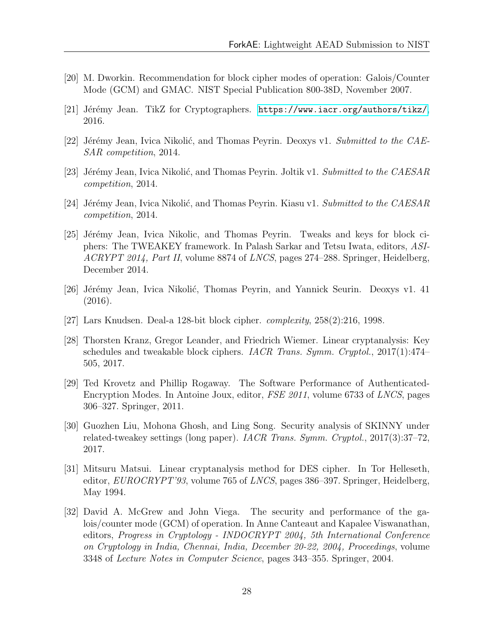- <span id="page-30-6"></span>[20] M. Dworkin. Recommendation for block cipher modes of operation: Galois/Counter Mode (GCM) and GMAC. NIST Special Publication 800-38D, November 2007.
- <span id="page-30-12"></span>[21] Jérémy Jean. TikZ for Cryptographers. <https://www.iacr.org/authors/tikz/>, 2016.
- <span id="page-30-2"></span>[22] Jérémy Jean, Ivica Nikolić, and Thomas Peyrin. Deoxys v1. Submitted to the CAE-SAR competition, 2014.
- <span id="page-30-4"></span>[23] Jérémy Jean, Ivica Nikolić, and Thomas Peyrin. Joltik v1. Submitted to the CAESAR competition, 2014.
- <span id="page-30-5"></span>[24] Jérémy Jean, Ivica Nikolić, and Thomas Peyrin. Kiasu v1. Submitted to the CAESAR competition, 2014.
- <span id="page-30-0"></span>[25] Jérémy Jean, Ivica Nikolic, and Thomas Peyrin. Tweaks and keys for block ciphers: The TWEAKEY framework. In Palash Sarkar and Tetsu Iwata, editors, ASI-ACRYPT 2014, Part II, volume 8874 of LNCS, pages 274–288. Springer, Heidelberg, December 2014.
- <span id="page-30-3"></span>[26] Jérémy Jean, Ivica Nikolić, Thomas Peyrin, and Yannick Seurin. Deoxys v1. 41 (2016).
- <span id="page-30-11"></span>[27] Lars Knudsen. Deal-a 128-bit block cipher. complexity, 258(2):216, 1998.
- <span id="page-30-10"></span>[28] Thorsten Kranz, Gregor Leander, and Friedrich Wiemer. Linear cryptanalysis: Key schedules and tweakable block ciphers. *IACR Trans. Symm. Cryptol.*,  $2017(1):474-$ 505, 2017.
- <span id="page-30-8"></span>[29] Ted Krovetz and Phillip Rogaway. The Software Performance of Authenticated-Encryption Modes. In Antoine Joux, editor, FSE 2011, volume 6733 of LNCS, pages 306–327. Springer, 2011.
- <span id="page-30-1"></span>[30] Guozhen Liu, Mohona Ghosh, and Ling Song. Security analysis of SKINNY under related-tweakey settings (long paper). IACR Trans. Symm. Cryptol., 2017(3):37–72, 2017.
- <span id="page-30-9"></span>[31] Mitsuru Matsui. Linear cryptanalysis method for DES cipher. In Tor Helleseth, editor, EUROCRYPT'93, volume 765 of LNCS, pages 386–397. Springer, Heidelberg, May 1994.
- <span id="page-30-7"></span>[32] David A. McGrew and John Viega. The security and performance of the galois/counter mode (GCM) of operation. In Anne Canteaut and Kapalee Viswanathan, editors, Progress in Cryptology - INDOCRYPT 2004, 5th International Conference on Cryptology in India, Chennai, India, December 20-22, 2004, Proceedings, volume 3348 of Lecture Notes in Computer Science, pages 343–355. Springer, 2004.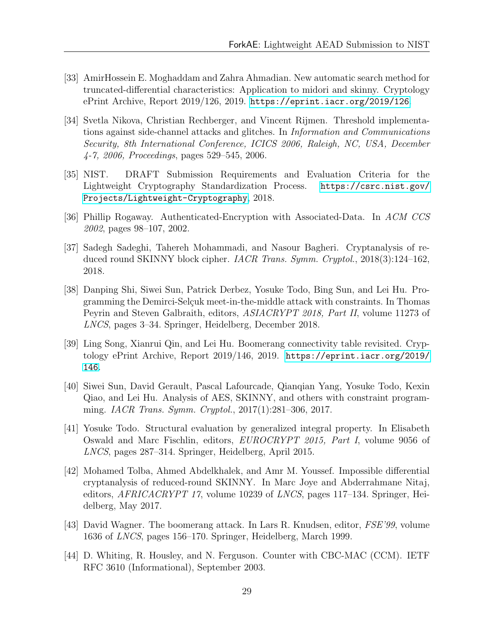- <span id="page-31-9"></span>[33] AmirHossein E. Moghaddam and Zahra Ahmadian. New automatic search method for truncated-differential characteristics: Application to midori and skinny. Cryptology ePrint Archive, Report 2019/126, 2019. <https://eprint.iacr.org/2019/126>.
- <span id="page-31-5"></span>[34] Svetla Nikova, Christian Rechberger, and Vincent Rijmen. Threshold implementations against side-channel attacks and glitches. In Information and Communications Security, 8th International Conference, ICICS 2006, Raleigh, NC, USA, December 4-7, 2006, Proceedings, pages 529–545, 2006.
- <span id="page-31-0"></span>[35] NIST. DRAFT Submission Requirements and Evaluation Criteria for the Lightweight Cryptography Standardization Process. [https://csrc.nist.gov/](https://csrc.nist.gov/Projects/Lightweight-Cryptography) [Projects/Lightweight-Cryptography](https://csrc.nist.gov/Projects/Lightweight-Cryptography), 2018.
- <span id="page-31-3"></span>[36] Phillip Rogaway. Authenticated-Encryption with Associated-Data. In ACM CCS 2002, pages 98–107, 2002.
- <span id="page-31-1"></span>[37] Sadegh Sadeghi, Tahereh Mohammadi, and Nasour Bagheri. Cryptanalysis of reduced round SKINNY block cipher. IACR Trans. Symm. Cryptol., 2018(3):124–162, 2018.
- <span id="page-31-7"></span>[38] Danping Shi, Siwei Sun, Patrick Derbez, Yosuke Todo, Bing Sun, and Lei Hu. Programming the Demirci-Selçuk meet-in-the-middle attack with constraints. In Thomas Peyrin and Steven Galbraith, editors, ASIACRYPT 2018, Part II, volume 11273 of LNCS, pages 3–34. Springer, Heidelberg, December 2018.
- <span id="page-31-8"></span>[39] Ling Song, Xianrui Qin, and Lei Hu. Boomerang connectivity table revisited. Cryptology ePrint Archive, Report 2019/146, 2019. [https://eprint.iacr.org/2019/](https://eprint.iacr.org/2019/146) [146](https://eprint.iacr.org/2019/146).
- <span id="page-31-4"></span>[40] Siwei Sun, David Gerault, Pascal Lafourcade, Qianqian Yang, Yosuke Todo, Kexin Qiao, and Lei Hu. Analysis of AES, SKINNY, and others with constraint programming. IACR Trans. Symm. Cryptol., 2017(1):281–306, 2017.
- <span id="page-31-11"></span>[41] Yosuke Todo. Structural evaluation by generalized integral property. In Elisabeth Oswald and Marc Fischlin, editors, EUROCRYPT 2015, Part I, volume 9056 of LNCS, pages 287–314. Springer, Heidelberg, April 2015.
- <span id="page-31-2"></span>[42] Mohamed Tolba, Ahmed Abdelkhalek, and Amr M. Youssef. Impossible differential cryptanalysis of reduced-round SKINNY. In Marc Joye and Abderrahmane Nitaj, editors, AFRICACRYPT 17, volume 10239 of LNCS, pages 117–134. Springer, Heidelberg, May 2017.
- <span id="page-31-10"></span>[43] David Wagner. The boomerang attack. In Lars R. Knudsen, editor, FSE'99, volume 1636 of LNCS, pages 156–170. Springer, Heidelberg, March 1999.
- <span id="page-31-6"></span>[44] D. Whiting, R. Housley, and N. Ferguson. Counter with CBC-MAC (CCM). IETF RFC 3610 (Informational), September 2003.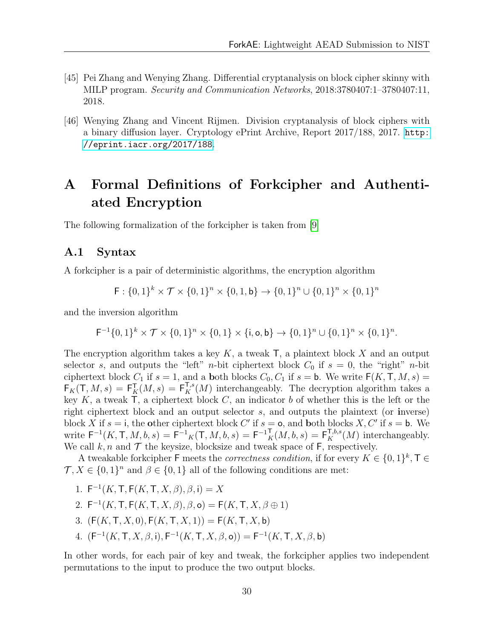- <span id="page-32-2"></span>[45] Pei Zhang and Wenying Zhang. Differential cryptanalysis on block cipher skinny with MILP program. Security and Communication Networks, 2018:3780407:1–3780407:11, 2018.
- <span id="page-32-3"></span>[46] Wenying Zhang and Vincent Rijmen. Division cryptanalysis of block ciphers with a binary diffusion layer. Cryptology ePrint Archive, Report 2017/188, 2017. [http:](http://eprint.iacr.org/2017/188) [//eprint.iacr.org/2017/188](http://eprint.iacr.org/2017/188).

# <span id="page-32-0"></span>A Formal Definitions of Forkcipher and Authentiated Encryption

The following formalization of the forkcipher is taken from [\[9\]](#page-28-0)

#### <span id="page-32-1"></span>A.1 Syntax

A forkcipher is a pair of deterministic algorithms, the encryption algorithm

$$
\mathsf{F}: \{0,1\}^k \times \mathcal{T} \times \{0,1\}^n \times \{0,1,\mathsf{b}\} \to \{0,1\}^n \cup \{0,1\}^n \times \{0,1\}^n
$$

and the inversion algorithm

$$
\mathsf{F}^{-1}\{0,1\}^k \times \mathcal{T} \times \{0,1\}^n \times \{0,1\} \times \{\mathsf{i},\mathsf{o},\mathsf{b}\} \to \{0,1\}^n \cup \{0,1\}^n \times \{0,1\}^n.
$$

The encryption algorithm takes a key  $K$ , a tweak  $\mathsf{T}$ , a plaintext block X and an output selector s, and outputs the "left" *n*-bit ciphertext block  $C_0$  if  $s = 0$ , the "right" *n*-bit ciphertext block  $C_1$  if  $s = 1$ , and a both blocks  $C_0, C_1$  if  $s = b$ . We write  $F(K, T, M, s) =$  $F_K(T, M, s) = F_K^T(M, s) = F_K^{T,s}(M)$  interchangeably. The decryption algorithm takes a key  $K$ , a tweak  $\mathsf{T}$ , a ciphertext block  $C$ , an indicator b of whether this is the left or the right ciphertext block and an output selector s, and outputs the plaintext (or inverse) block X if  $s = i$ , the other ciphertext block C' if  $s = o$ , and both blocks X, C' if  $s = b$ . We write  $\mathsf{F}^{-1}(K,\mathsf{T},M,b,s) = \mathsf{F}^{-1}{}_{K}(\mathsf{T},M,b,s) = \mathsf{F}^{-1}{}_{K}^{T}(M,b,s) = \mathsf{F}^{\mathsf{T},b,s}_{K}(M)$  interchangeably. We call  $k, n$  and  $\mathcal T$  the keysize, blocksize and tweak space of F, respectively.

A tweakable forkcipher F meets the *correctness condition*, if for every  $K \in \{0,1\}^k$ ,  $\mathsf{T} \in$  $\mathcal{T}, X \in \{0,1\}^n$  and  $\beta \in \{0,1\}$  all of the following conditions are met:

1.  $F^{-1}(K, T, F(K, T, X, \beta), \beta, i) = X$ 2.  $F^{-1}(K, T, F(K, T, X, \beta), \beta, o) = F(K, T, X, \beta \oplus 1)$ 3.  $(F(K, T, X, 0), F(K, T, X, 1)) = F(K, T, X, b)$ 4.  $(F^{-1}(K, T, X, \beta, \mathbf{i}), F^{-1}(K, T, X, \beta, \mathbf{o})) = F^{-1}(K, T, X, \beta, \mathbf{b})$ 

In other words, for each pair of key and tweak, the forkcipher applies two independent permutations to the input to produce the two output blocks.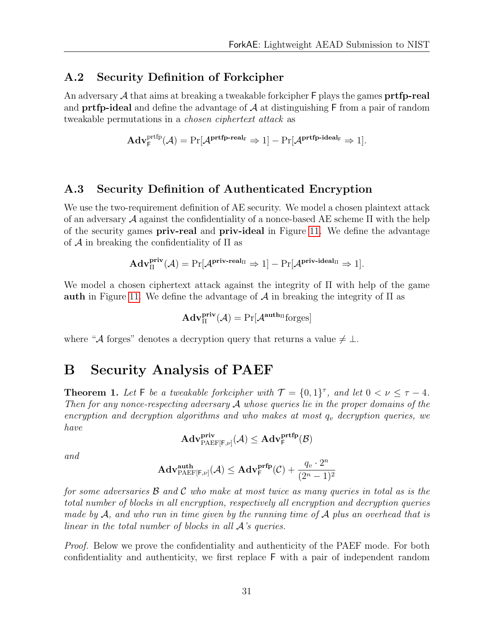#### <span id="page-33-0"></span>A.2 Security Definition of Forkcipher

An adversary  $A$  that aims at breaking a tweakable forkcipher  $F$  plays the games **prtfp-real** and **prtfp-ideal** and define the advantage of  $A$  at distinguishing  $F$  from a pair of random tweakable permutations in a chosen ciphertext attack as

$$
\mathbf{Adv}^{\mathrm{prtfp}}_{{\mathsf{F}}}(\mathcal{A}) = \Pr[\mathcal{A}^{\mathrm{prtfp\text{-}real}_{\mathsf{F}}}\Rightarrow 1] - \Pr[\mathcal{A}^{\mathrm{prtfp\text{-}ideal}_{\mathsf{F}}} \Rightarrow 1].
$$

#### <span id="page-33-1"></span>A.3 Security Definition of Authenticated Encryption

We use the two-requirement definition of AE security. We model a chosen plaintext attack of an adversary  $\mathcal A$  against the confidentiality of a nonce-based AE scheme  $\Pi$  with the help of the security games priv-real and priv-ideal in Figure [11.](#page-54-0) We define the advantage of  $\mathcal A$  in breaking the confidentiality of  $\Pi$  as

$$
\mathbf{Adv}^{\mathbf{priv}}_{\Pi}(\mathcal{A})=\Pr[\mathcal{A}^{\mathbf{priv}\text{-}real_{\Pi}} \Rightarrow 1]-\Pr[\mathcal{A}^{\mathbf{priv}\text{-}ideal_{\Pi}} \Rightarrow 1].
$$

We model a chosen ciphertext attack against the integrity of Π with help of the game **auth** in Figure [11.](#page-54-0) We define the advantage of  $\mathcal A$  in breaking the integrity of  $\Pi$  as

$$
\mathbf{Adv}^{\mathbf{priv}}_{\Pi}(\mathcal{A}) = \Pr[\mathcal{A}^{\mathbf{auth}_{\Pi}} \text{forges}]
$$

where "A forges" denotes a decryption query that returns a value  $\neq \bot$ .

# <span id="page-33-2"></span>B Security Analysis of PAEF

<span id="page-33-3"></span>**Theorem 1.** Let F be a tweakable forkcipher with  $\mathcal{T} = \{0, 1\}^{\tau}$ , and let  $0 < \nu \leq \tau - 4$ . Then for any nonce-respecting adversary  $A$  whose queries lie in the proper domains of the encryption and decryption algorithms and who makes at most  $q_v$  decryption queries, we have

$$
\mathbf{Adv}_{\mathsf{PAEF}[\mathsf{F},\nu]}^{\mathbf{priv}}(\mathcal{A})\leq \mathbf{Adv}_{\mathsf{F}}^{\mathbf{prtfp}}(\mathcal{B})
$$

and

$$
\mathbf{Adv}_{\mathsf{PAEF}[\mathsf{F},\nu]}^{\mathbf{auth}}(\mathcal{A}) \leq \mathbf{Adv}_{\mathsf{F}}^{\mathbf{prfp}}(\mathcal{C}) + \frac{q_v \cdot 2^n}{(2^n-1)^2}
$$

for some adversaries  $\beta$  and  $\beta$  who make at most twice as many queries in total as is the total number of blocks in all encryption, respectively all encryption and decryption queries made by  $\mathcal{A}$ , and who run in time given by the running time of  $\mathcal{A}$  plus an overhead that is linear in the total number of blocks in all A's queries.

*Proof.* Below we prove the confidentiality and authenticity of the PAEF mode. For both confidentiality and authenticity, we first replace F with a pair of independent random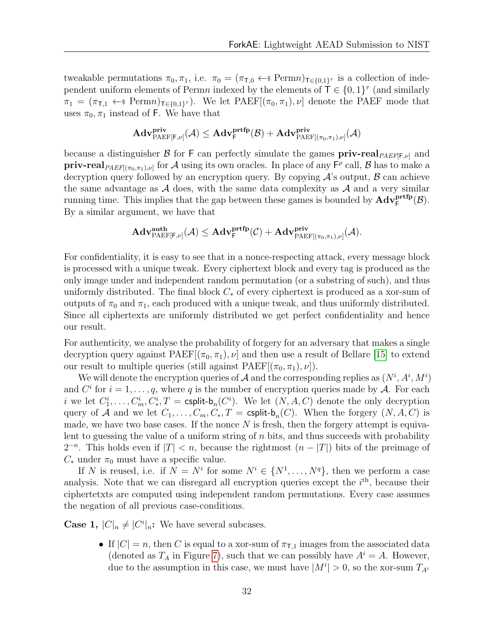tweakable permutations  $\pi_0, \pi_1$ , i.e.  $\pi_0 = (\pi_{\tau,0} \leftarrow \mathbb{R}^n)_{\tau \in \{0,1\}^{\tau}}$  is a collection of independent uniform elements of Permn indexed by the elements of  $\overline{\mathsf{T}} \in \{0,1\}^{\tau}$  (and similarly  $\pi_1 = (\pi_{\mathsf{T},1} \leftarrow \mathsf{s} \text{Perm} \mathsf{n})_{\mathsf{T} \in \{0,1\}^{\tau}}$ . We let  $\text{PAEF}[(\pi_0, \pi_1), \nu]$  denote the PAEF mode that uses  $\pi_0, \pi_1$  instead of F. We have that

$$
\mathbf{Adv}_{\mathsf{PAEF}[\mathsf{F},\nu]}^{\mathsf{priv}}(\mathcal{A}) \leq \mathbf{Adv}_{\mathsf{F}}^{\mathsf{prtfp}}(\mathcal{B}) + \mathbf{Adv}_{\mathsf{PAEF}[(\pi_0,\pi_1),\nu]}^{\mathsf{priv}}(\mathcal{A})
$$

because a distinguisher B for F can perfectly simulate the games  $\text{priv-real}_{PAEF[F,\nu]}$  and  $\text{priv-real}_{\text{PAEF}((\pi_0,\pi_1),\nu]}$  for A using its own oracles. In place of any  $\mathsf{F}^{\rho}$  call, B has to make a decryption query followed by an encryption query. By copying  $\mathcal{A}$ 's output,  $\mathcal{B}$  can achieve the same advantage as  $A$  does, with the same data complexity as  $A$  and a very similar running time. This implies that the gap between these games is bounded by  $\mathbf{Adv}^{\mathbf{prtfp}}_F(\mathcal{B})$ . By a similar argument, we have that

$$
\mathbf{Adv}_{\mathrm{PAEF}[\mathsf{F},\nu]}^{\mathbf{auth}}(\mathcal{A}) \leq \mathbf{Adv}_{\mathsf{F}}^{\mathbf{prtfp}}(\mathcal{C}) + \mathbf{Adv}_{\mathrm{PAEF}[(\pi_0,\pi_1),\nu]}^{\mathbf{priv}}(\mathcal{A}).
$$

For confidentiality, it is easy to see that in a nonce-respecting attack, every message block is processed with a unique tweak. Every ciphertext block and every tag is produced as the only image under and independent random permutation (or a substring of such), and thus uniformly distributed. The final block  $C_*$  of every ciphertext is produced as a xor-sum of outputs of  $\pi_0$  and  $\pi_1$ , each produced with a unique tweak, and thus uniformly distributed. Since all ciphertexts are uniformly distributed we get perfect confidentiality and hence our result.

For authenticity, we analyse the probability of forgery for an adversary that makes a single decryption query against  $PAEF[(\pi_0, \pi_1), \nu]$  and then use a result of Bellare [\[15\]](#page-29-4) to extend our result to multiple queries (still against  $\text{PAEF}[(\pi_0, \pi_1), \nu]$ ).

We will denote the encryption queries of A and the corresponding replies as  $(N^i, A^i, M^i)$ and  $C^i$  for  $i = 1, \ldots, q$ , where q is the number of encryption queries made by A. For each *i* we let  $C_1^i, \ldots, C_m^i, C_*^i, T = \text{csplit-b}_n(C^i)$ . We let  $(N, A, C)$  denote the only decryption query of A and we let  $C_1, \ldots, C_m, C_*, T = \text{csplit}\text{-}\mathsf{b}_n(C)$ . When the forgery  $(N, A, C)$  is made, we have two base cases. If the nonce  $N$  is fresh, then the forgery attempt is equivalent to guessing the value of a uniform string of  $n$  bits, and thus succeeds with probability  $2^{-n}$ . This holds even if  $|T| < n$ , because the rightmost  $(n - |T|)$  bits of the preimage of  $C_*$  under  $\pi_0$  must have a specific value.

If N is reused, i.e. if  $N = N^i$  for some  $N^i \in \{N^1, \ldots, N^q\}$ , then we perform a case analysis. Note that we can disregard all encryption queries except the  $i<sup>th</sup>$ , because their ciphertetxts are computed using independent random permutations. Every case assumes the negation of all previous case-conditions.

**Case 1,**  $|C|_n \neq |C^i|_n$ : We have several subcases.

• If  $|C| = n$ , then C is equal to a xor-sum of  $\pi_{\text{T,1}}$  images from the associated data (denoted as  $T_A$  in Figure [7\)](#page-51-0), such that we can possibly have  $A^i = A$ . However, due to the assumption in this case, we must have  $|M^{i}| > 0$ , so the xor-sum  $T_{A^{i}}$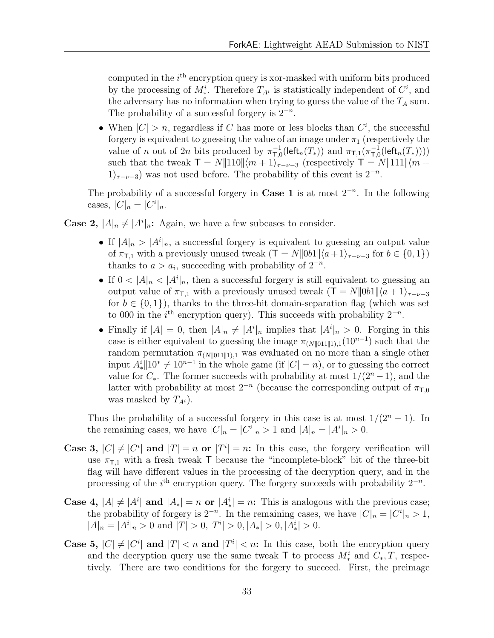computed in the  $i<sup>th</sup>$  encryption query is xor-masked with uniform bits produced by the processing of  $M^i_*$ . Therefore  $T_{A^i}$  is statistically independent of  $C^i$ , and the adversary has no information when trying to guess the value of the  $T_A$  sum. The probability of a successful forgery is  $2^{-n}$ .

• When  $|C| > n$ , regardless if C has more or less blocks than  $C<sup>i</sup>$ , the successful forgery is equivalent to guessing the value of an image under  $\pi_1$  (respectively the value of n out of 2n bits produced by  $\pi_{\text{L}}^{-1}$  $\pi_{\mathsf{T},0}^{-1}(\mathsf{left}_n(T_*))$  and  $\pi_{\mathsf{T},1}(\pi_{\mathsf{T},0}^{-1})$  $\overline{\tau}_{,0}^{-1}(\mathsf{left}_n(T_*))))$ such that the tweak  $\mathsf{T} = N||110||\langle m+1\rangle_{\tau-\nu-3}$  (respectively  $\mathsf{T} = N||111||\langle m+1\rangle_{\tau-\nu-3}$ )  $1\rangle_{\tau-\nu-3}$ ) was not used before. The probability of this event is  $2^{-n}$ .

The probability of a successful forgery in **Case 1** is at most  $2^{-n}$ . In the following cases,  $|C|_n = |C^i|_n$ .

**Case 2,**  $|A|_n \neq |A^i|_n$ : Again, we have a few subcases to consider.

- If  $|A|_n > |A^i|_n$ , a successful forgery is equivalent to guessing an output value of  $\pi_{\text{T},1}$  with a previously unused tweak  $(\text{T} = N||0b1||\langle a+1\rangle_{\tau-\nu-3}$  for  $b \in \{0,1\})$ thanks to  $a > a_i$ , succeeding with probability of  $2^{-n}$ .
- If  $0 < |A|_n < |A^i|_n$ , then a successful forgery is still equivalent to guessing an output value of  $\pi_{\text{t}}$  with a previously unused tweak  $(T = N||0b1||\langle a + 1 \rangle_{\tau-\nu-3})$ for  $b \in \{0, 1\}$ , thanks to the three-bit domain-separation flag (which was set to 000 in the  $i<sup>th</sup>$  encryption query). This succeeds with probability  $2<sup>-n</sup>$ .
- Finally if  $|A| = 0$ , then  $|A|_n \neq |A^i|_n$  implies that  $|A^i|_n > 0$ . Forging in this case is either equivalent to guessing the image  $\pi_{(N||011||1),1}(10^{n-1})$  such that the random permutation  $\pi_{(N||011||1),1}$  was evaluated on no more than a single other input  $A_*^i$  ||10<sup>\*</sup>  $\neq$  10<sup>n-1</sup> in the whole game (if  $|C| = n$ ), or to guessing the correct value for  $C_*$ . The former succeeds with probability at most  $1/(2<sup>n</sup> - 1)$ , and the latter with probability at most  $2^{-n}$  (because the corresponding output of  $\pi_{\text{T,0}}$ was masked by  $T_{A_i}$ ).

Thus the probability of a successful forgery in this case is at most  $1/(2<sup>n</sup> - 1)$ . In the remaining cases, we have  $|C|_n = |C^i|_n > 1$  and  $|A|_n = |A^i|_n > 0$ .

- Case 3,  $|C| \neq |C^i|$  and  $|T| = n$  or  $|T^i| = n$ : In this case, the forgery verification will use  $\pi_{\text{T},1}$  with a fresh tweak T because the "incomplete-block" bit of the three-bit flag will have different values in the processing of the decryption query, and in the processing of the  $i<sup>th</sup>$  encryption query. The forgery succeeds with probability  $2<sup>-n</sup>$ .
- Case 4,  $|A| \neq |A^i|$  and  $|A_*| = n$  or  $|A_*^i| = n$ : This is analogous with the previous case; the probability of forgery is  $2^{-n}$ . In the remaining cases, we have  $|C|_n = |C^i|_n > 1$ ,  $|A|_n = |A^i|_n > 0$  and  $|T| > 0, |T^i| > 0, |A_*| > 0, |A_*^i| > 0$ .
- Case 5,  $|C| \neq |C^i|$  and  $|T| < n$  and  $|T^i| < n$ : In this case, both the encryption query and the decryption query use the same tweak  $\mathsf{T}$  to process  $M_*^i$  and  $C_*, T$ , respectively. There are two conditions for the forgery to succeed. First, the preimage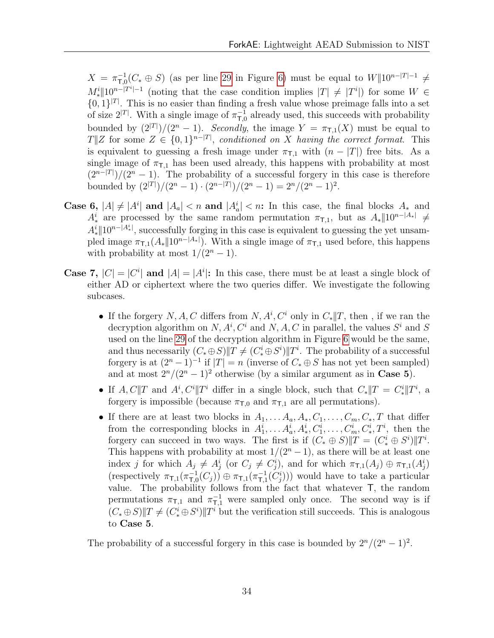$X = \pi^{-1}_{\text{T} f}$  $_{\mathsf{T},0}^{-1}(C_* \oplus S)$  (as per line [29](#page-50-0) in Figure [6\)](#page-50-0) must be equal to  $W\|10^{n-|T|-1} \neq$  $M_*^i \|10^{n-|T^i|-1}$  (noting that the case condition implies  $|T| \neq |T^i|$ ) for some  $W \in$  $\{0,1\}^{|T|}$ . This is no easier than finding a fresh value whose preimage falls into a set of size  $2^{|T|}$ . With a single image of  $\pi_{T,\zeta}^{-1}$  $T_{\text{U}}^{-1}$  already used, this succeeds with probability bounded by  $(2^{|T|})/(2^n - 1)$ . Secondly, the image  $Y = \pi_{\mathsf{T},1}(X)$  must be equal to  $T||Z$  for some  $Z \in \{0,1\}^{n-|T|}$ , conditioned on X having the correct format. This is equivalent to guessing a fresh image under  $\pi_{\text{L1}}$  with  $(n - |T|)$  free bits. As a single image of  $\pi_{\text{L1}}$  has been used already, this happens with probability at most  $(2^{n-|T|})/(2^n-1)$ . The probability of a successful forgery in this case is therefore bounded by  $(2^{|T|})/(2^n - 1) \cdot (2^{n-|T|})/(2^n - 1) = 2^n/(2^n - 1)^2$ .

- Case 6,  $|A| \neq |A^i|$  and  $|A_a| < n$  and  $|A_a^i| < n$ : In this case, the final blocks  $A_*$  and  $A^i_*$  are processed by the same random permutation  $\pi_{\textsf{T},1}$ , but as  $A_*||10^{n-|A_*|} \neq$  $A_*^i$ ||10<sup>n-|A<sub>i</sub></sup>, successfully forging in this case is equivalent to guessing the yet unsampled image  $\pi_{\textsf{T},1}(A_{*} \| 10^{n-|A_{*}|})$ . With a single image of  $\pi_{\textsf{T},1}$  used before, this happens with probability at most  $1/(2^n-1)$ .
- **Case 7,**  $|C| = |C^i|$  and  $|A| = |A^i|$ : In this case, there must be at least a single block of either AD or ciphertext where the two queries differ. We investigate the following subcases.
	- If the forgery  $N, A, C$  differs from  $N, A^i, C^i$  only in  $C_*||T$ , then, if we ran the decryption algorithm on  $N, A^i, C^i$  and  $N, A, C$  in parallel, the values  $S^i$  and S used on the line [29](#page-50-0) of the decryption algorithm in Figure [6](#page-50-0) would be the same, and thus necessarily  $(C_* \oplus S) \| T \neq (C_*^i \oplus S^i) \| T^i$ . The probability of a successful forgery is at  $(2^{n} - 1)^{-1}$  if  $|T| = n$  (inverse of  $C_* \oplus S$  has not yet been sampled) and at most  $2^{n}/(2^{n}-1)^{2}$  otherwise (by a similar argument as in **Case 5**).
	- If  $A, C||T$  and  $A^i, C^i||T^i$  differ in a single block, such that  $C_*||T = C_*^i||T^i$ , a forgery is impossible (because  $\pi_{\text{T},0}$  and  $\pi_{\text{T},1}$  are all permutations).
	- If there are at least two blocks in  $A_1, \ldots, A_a, A_*, C_1, \ldots, C_m, C_*, T$  that differ from the corresponding blocks in  $A_1^i, \ldots, A_a^i, A_*^i, C_1^i, \ldots, C_m^i, C_*^i, T^i$ , then the forgery can succeed in two ways. The first is if  $(C_* \oplus S)$   $||T = (C_*^i \oplus S^i) ||T^i$ . This happens with probability at most  $1/(2<sup>n</sup> - 1)$ , as there will be at least one index j for which  $A_j \neq A_j^i$  (or  $C_j \neq C_j^i$ ), and for which  $\pi_{\textsf{T},1}(A_j) \oplus \pi_{\textsf{T},1}(A_j^i)$ (respectively  $\pi_{\mathsf{T},1}(\pi_{\mathsf{T},0}^{-1})$  $(\overline{\tau}_{7,0}^{-1}(C_j)) \oplus \pi_{\mathsf{T},1}(\pi_{\mathsf{T},1}^{-1})$  $\tau_{1,1}^{-1}(C_j^i)$ ) would have to take a particular value. The probability follows from the fact that whatever T, the random permutations  $\pi_{\mathsf{T},1}$  and  $\pi_{\mathsf{T},1}^{-1}$  were sampled only once. The second way is if  $(C_* \oplus S)$   $T \neq (C_*^i \oplus S^i)$   $T^i$  but the verification still succeeds. This is analogous to Case 5.

The probability of a successful forgery in this case is bounded by  $2^{n}/(2^{n}-1)^{2}$ .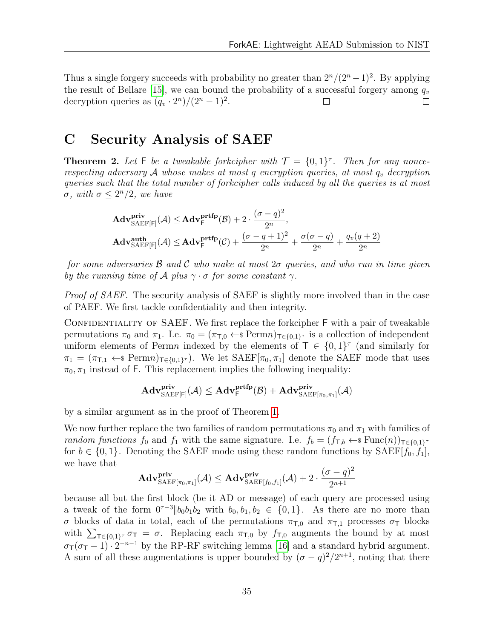Thus a single forgery succeeds with probability no greater than  $2^{n}/(2^{n}-1)^{2}$ . By applying the result of Bellare [\[15\]](#page-29-4), we can bound the probability of a successful forgery among  $q_v$ decryption queries as  $(q_v \cdot 2^n)/(2^n - 1)^2$ .  $\Box$  $\Box$ 

# <span id="page-37-0"></span>C Security Analysis of SAEF

**Theorem 2.** Let F be a tweakable forkcipher with  $\mathcal{T} = \{0, 1\}^{\tau}$ . Then for any noncerespecting adversary  $A$  whose makes at most  $q$  encryption queries, at most  $q_v$  decryption queries such that the total number of forkcipher calls induced by all the queries is at most  $\sigma$ , with  $\sigma \leq 2^n/2$ , we have

$$
\begin{aligned} &\mathbf{Adv}_{\mathrm{SAEF}[\mathsf{F}]}^{\mathbf{priv}}(\mathcal{A}) \leq \mathbf{Adv}_{\mathsf{F}}^{\mathbf{prtfp}}(\mathcal{B}) + 2 \cdot \frac{(\sigma - q)^2}{2^n}, \\ &\mathbf{Adv}_{\mathrm{SAEF}[\mathsf{F}]}^{\mathbf{auth}}(\mathcal{A}) \leq \mathbf{Adv}_{\mathsf{F}}^{\mathbf{prtfp}}(\mathcal{C}) + \frac{(\sigma - q + 1)^2}{2^n} + \frac{\sigma(\sigma - q)}{2^n} + \frac{q_v(q + 2)}{2^n} \end{aligned}
$$

for some adversaries  $\beta$  and  $\beta$  who make at most  $2\sigma$  queries, and who run in time given by the running time of A plus  $\gamma \cdot \sigma$  for some constant  $\gamma$ .

*Proof of SAEF.* The security analysis of SAEF is slightly more involved than in the case of PAEF. We first tackle confidentiality and then integrity.

CONFIDENTIALITY OF SAEF. We first replace the forkcipher F with a pair of tweakable permutations  $\pi_0$  and  $\pi_1$ . I.e.  $\pi_0 = (\pi_{\tau,0} \leftarrow \mathbb{R}^n)$  Ferm $n_{\tau \in \{0,1\}^{\tau}}$  is a collection of independent uniform elements of Permn indexed by the elements of  $\mathsf{T} \in \{0,1\}^{\tau}$  (and similarly for  $\pi_1 = (\pi_{\mathsf{T},1} \leftarrow \mathsf{s} \text{Perm} \mathsf{n})_{\mathsf{T} \in \{0,1\}^{\tau}}$ . We let  $\text{SAEF}[\pi_0, \pi_1]$  denote the SAEF mode that uses  $\pi_0, \pi_1$  instead of F. This replacement implies the following inequality:

$$
\mathbf{Adv}_{\mathrm{SAEF}[\mathsf{F}]}^{\mathbf{priv}}(\mathcal{A}) \leq \mathbf{Adv}_{\mathsf{F}}^{\mathbf{prfp}}(\mathcal{B}) + \mathbf{Adv}_{\mathrm{SAEF}[\pi_0, \pi_1]}^{\mathbf{priv}}(\mathcal{A})
$$

by a similar argument as in the proof of Theorem [1.](#page-33-3)

We now further replace the two families of random permutations  $\pi_0$  and  $\pi_1$  with families of random functions  $f_0$  and  $f_1$  with the same signature. I.e.  $f_b = (f_{\tau,b} \leftarrow s \text{Func}(n))_{\tau \in \{0,1\}^{\tau}}$ for  $b \in \{0, 1\}$ . Denoting the SAEF mode using these random functions by SAEF[ $f_0, f_1$ ], we have that

$$
\mathbf{Adv}_{\mathrm{SAEF}[\pi_0,\pi_1]}^{\mathbf{priv}}(\mathcal{A}) \leq \mathbf{Adv}_{\mathrm{SAEF}[f_0,f_1]}^{\mathbf{priv}}(\mathcal{A}) + 2 \cdot \frac{(\sigma - q)^2}{2^{n+1}}
$$

because all but the first block (be it AD or message) of each query are processed using a tweak of the form  $0^{\tau-3}$  || $b_0b_1b_2$  with  $b_0, b_1, b_2 \in \{0, 1\}$ . As there are no more than σ blocks of data in total, each of the permutations  $\pi_{T,0}$  and  $\pi_{T,1}$  processes  $\sigma_T$  blocks with  $\sum_{\tau \in \{0,1\}^{\tau}} \sigma_{\tau} = \sigma$ . Replacing each  $\pi_{\tau,0}$  by  $f_{\tau,0}$  augments the bound by at most  $\sigma_T(\sigma_T - 1) \cdot 2^{-n-1}$  by the RP-RF switching lemma [\[16\]](#page-29-5) and a standard hybrid argument. A sum of all these augmentations is upper bounded by  $({\sigma}-q)^2/2^{n+1}$ , noting that there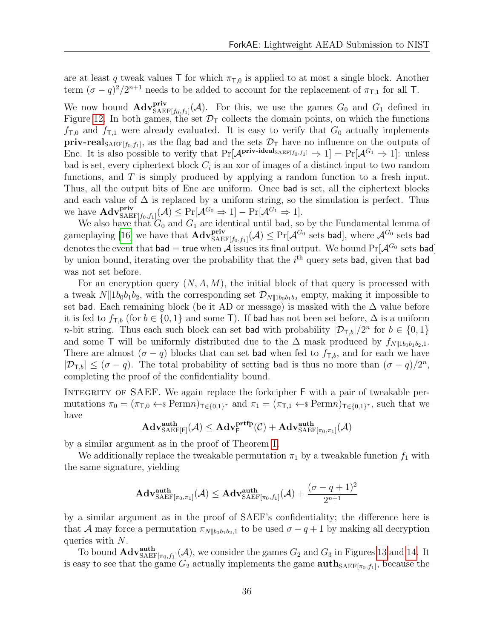are at least q tweak values  $\top$  for which  $\pi_{\tau,0}$  is applied to at most a single block. Another term  $(\sigma - q)^2/2^{n+1}$  needs to be added to account for the replacement of  $\pi_{\text{T,1}}$  for all T.

We now bound  $\mathbf{Adv}_{\mathsf{SAEF}[f_0,f_1]}^{**priv**}(\mathcal{A})$ . For this, we use the games  $G_0$  and  $G_1$  defined in Figure [12.](#page-55-0) In both games, the set  $\mathcal{D}_{\mathsf{T}}$  collects the domain points, on which the functions  $f_{\text{T},0}$  and  $f_{\text{T},1}$  were already evaluated. It is easy to verify that  $G_0$  actually implements **priv-real**  $_{\text{SAEF}[f_0, f_1]}$ , as the flag **bad** and the sets  $\mathcal{D}_{\text{T}}$  have no influence on the outputs of Enc. It is also possible to verify that  $Pr[\mathcal{A}^{\text{priv-ideal}_{SABF[f_0,f_1]}} \Rightarrow 1] = Pr[\mathcal{A}^{G_1} \Rightarrow 1]$ : unless bad is set, every ciphertext block  $C_i$  is an xor of images of a distinct input to two random functions, and  $T$  is simply produced by applying a random function to a fresh input. Thus, all the output bits of Enc are uniform. Once bad is set, all the ciphertext blocks and each value of  $\Delta$  is replaced by a uniform string, so the simulation is perfect. Thus we have  $\mathbf{Adv}_{\mathsf{SAEF}[f_0,f_1]}^{\mathbf{priv}}(\mathcal{A}) \leq \Pr[\mathcal{A}^{G_0} \Rightarrow 1] - \Pr[\mathcal{A}^{G_1} \Rightarrow 1].$ 

We also have that  $G_0$  and  $G_1$  are identical until bad, so by the Fundamental lemma of gameplaying [\[16\]](#page-29-5) we have that  $\mathbf{Adv}_{\mathrm{SAEF}[f_0,f_1]}^{\mathbf{priv}}(\mathcal{A}) \leq \Pr[\mathcal{A}^{G_0}$ sets \mathbf{bad}],$  where  $\mathcal{A}^{G_0}$  sets bad denotes the event that bad = true when  $\hat{\mathcal{A}}$  issues its final output. We bound  $Pr[\mathcal{A}^{G_0}]$  sets bad by union bound, iterating over the probability that the  $i<sup>th</sup>$  query sets bad, given that bad was not set before.

For an encryption query  $(N, A, M)$ , the initial block of that query is processed with a tweak  $N||1b_0b_1b_2$ , with the corresponding set  $\mathcal{D}_{N||1b_0b_1b_2}$  empty, making it impossible to set bad. Each remaining block (be it AD or message) is masked with the  $\Delta$  value before it is fed to  $f_{\textsf{T},b}$  (for  $b \in \{0,1\}$  and some T). If bad has not been set before,  $\Delta$  is a uniform *n*-bit string. Thus each such block can set bad with probability  $|\mathcal{D}_{\tau,b}|/2^n$  for  $b \in \{0,1\}$ and some T will be uniformly distributed due to the  $\Delta$  mask produced by  $f_{N||1b_0b_1b_2,1}$ . There are almost  $(\sigma - q)$  blocks that can set **bad** when fed to  $f_{\tau,b}$ , and for each we have  $|\mathcal{D}_{\mathsf{T},b}| \leq (\sigma - q)$ . The total probability of setting bad is thus no more than  $(\sigma - q)/2^n$ , completing the proof of the confidentiality bound.

INTEGRITY OF SAEF. We again replace the forkcipher F with a pair of tweakable permutations  $\pi_0 = (\pi_{\mathsf{T},0} \leftarrow \$\text{Perm}n)_{\mathsf{T} \in \{0,1\}^{\tau}}$  and  $\pi_1 = (\pi_{\mathsf{T},1} \leftarrow \$\text{Perm}n)_{\mathsf{T} \in \{0,1\}^{\tau}}$ , such that we have

$$
\mathbf{Adv}_{\mathrm{SAEF}[\mathsf{F}]}^{\mathbf{auth}}(\mathcal{A}) \leq \mathbf{Adv}_{\mathsf{F}}^{\mathbf{prtfp}}(\mathcal{C}) + \mathbf{Adv}_{\mathrm{SAEF}[\pi_0, \pi_1]}^{\mathbf{auth}}(\mathcal{A})
$$

by a similar argument as in the proof of Theorem [1.](#page-33-3)

We additionally replace the tweakable permutation  $\pi_1$  by a tweakable function  $f_1$  with the same signature, yielding

$$
\mathbf{Adv}_{\mathrm{SAEF}[\pi_0,\pi_1]}^{\mathbf{auth}}(\mathcal{A}) \leq \mathbf{Adv}_{\mathrm{SAEF}[\pi_0,f_1]}^{\mathbf{auth}}(\mathcal{A}) + \frac{(\sigma - q + 1)^2}{2^{n+1}}
$$

by a similar argument as in the proof of SAEF's confidentiality; the difference here is that A may force a permutation  $\pi_{N||b_0b_1b_2,1}$  to be used  $\sigma - q + 1$  by making all decryption queries with N.

To bound  $\text{Adv}_{\text{SAEF}[\pi_0, f_1]}^{\text{auth}}(\mathcal{A})$ , we consider the games  $G_2$  and  $G_3$  in Figures [13](#page-56-0) and [14.](#page-57-0) It is easy to see that the game  $G_2$  actually implements the game  $\text{auth}_{\text{SAEF}[\pi_0,f_1]}$ , because the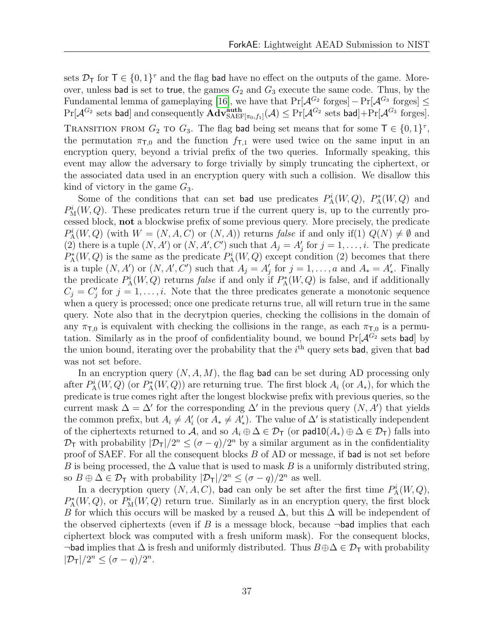sets  $\mathcal{D}_{\mathsf{T}}$  for  $\mathsf{T} \in \{0,1\}^{\tau}$  and the flag **bad** have no effect on the outputs of the game. Moreover, unless bad is set to true, the games  $G_2$  and  $G_3$  execute the same code. Thus, by the Fundamental lemma of gameplaying [\[16\]](#page-29-5), we have that  $Pr[\mathcal{A}^{G_2}]$  forges]  $-Pr[\mathcal{A}^{G_3}]$  forges]  $\leq$  $\Pr[\mathcal{A}^{G_2}$ \text{ sets bad}] \text{ and consequently } \mathbf{Adv}^{\textbf{auth}}_{\mathrm{SAEF}[\pi_0, f_1]}(\mathcal{A}) \leq \Pr[\mathcal{A}^{G_2}$ \text{ sets bad}] + \Pr[\mathcal{A}^{G_3}$ \text{ forges}].$ TRANSITION FROM  $G_2$  TO  $G_3$ . The flag bad being set means that for some  $\mathsf{T} \in \{0,1\}^{\tau}$ , the permutation  $\pi_{\text{T},0}$  and the function  $f_{\text{T},1}$  were used twice on the same input in an encryption query, beyond a trivial prefix of the two queries. Informally speaking, this event may allow the adversary to forge trivially by simply truncating the ciphertext, or the associated data used in an encryption query with such a collision. We disallow this kind of victory in the game  $G_3$ .

Some of the conditions that can set bad use predicates  $P_A^i(W, Q)$ ,  $P_A^*(W, Q)$  and  $P_M^i(W, Q)$ . These predicates return true if the current query is, up to the currently processed block, not a blockwise prefix of some previous query. More precisely, the predicate  $P_{\rm A}^{i}(W,Q)$  (with  $W = (N, A, C)$  or  $(N, A)$ ) returns false if and only if(1)  $Q(N) \neq \emptyset$  and (2) there is a tuple  $(N, A')$  or  $(N, A', C')$  such that  $A_j = A'_j$  for  $j = 1, \ldots, i$ . The predicate  $P_{\rm A}^*(W,Q)$  is the same as the predicate  $P_{\rm A}^i(W,Q)$  except condition (2) becomes that there is a tuple  $(N, A')$  or  $(N, A', C')$  such that  $A_j = A'_j$  for  $j = 1, \ldots, a$  and  $A_* = A'_*.$  Finally the predicate  $P_{\rm A}^{i}(W,Q)$  returns *false* if and only if  $P_{\rm A}^{*}(W,Q)$  is false, and if additionally  $C_j = C'_j$  for  $j = 1, \ldots, i$ . Note that the three predicates generate a monotonic sequence when a query is processed; once one predicate returns true, all will return true in the same query. Note also that in the decrytpion queries, checking the collisions in the domain of any  $\pi_{\text{T},0}$  is equivalent with checking the collisions in the range, as each  $\pi_{\text{T},0}$  is a permutation. Similarly as in the proof of confidentiality bound, we bound  $Pr[\mathcal{A}^{G_2}]$  sets bad by the union bound, iterating over the probability that the  $i<sup>th</sup>$  query sets bad, given that bad was not set before.

In an encryption query  $(N, A, M)$ , the flag bad can be set during AD processing only after  $P_{\rm A}^{i}(W,Q)$  (or  $P_{\rm A}^{*}(W,Q)$ ) are returning true. The first block  $A_i$  (or  $A_*$ ), for which the predicate is true comes right after the longest blockwise prefix with previous queries, so the current mask  $\Delta = \Delta'$  for the corresponding  $\Delta'$  in the previous query  $(N, A')$  that yields the common prefix, but  $A_i \neq A'_i$  (or  $A_* \neq A'_*$ ). The value of  $\Delta'$  is statistically independent of the ciphertexts returned to A, and so  $A_i \oplus \Delta \in \mathcal{D}_{\mathsf{T}}$  (or  $\mathsf{pad10}(A_*) \oplus \Delta \in \mathcal{D}_{\mathsf{T}}$ ) falls into  $\mathcal{D}_{\mathsf{T}}$  with probability  $|\mathcal{D}_{\mathsf{T}}|/2^n \leq (\sigma - q)/2^n$  by a similar argument as in the confidentiality proof of SAEF. For all the consequent blocks B of AD or message, if bad is not set before B is being processed, the  $\Delta$  value that is used to mask B is a uniformly distributed string, so  $B \oplus \Delta \in \mathcal{D}_{\mathsf{T}}$  with probability  $|\mathcal{D}_{\mathsf{T}}|/2^n \leq (\sigma - q)/2^n$  as well.

In a decryption query  $(N, A, C)$ , bad can only be set after the first time  $P_{\rm A}^{i}(W, Q)$ ,  $P_{\rm A}^*(W,Q)$ , or  $P_{\rm M}^i(W,Q)$  return true. Similarly as in an encryption query, the first block B for which this occurs will be masked by a reused  $\Delta$ , but this  $\Delta$  will be independent of the observed ciphertexts (even if B is a message block, because  $\neg$ bad implies that each ciphertext block was computed with a fresh uniform mask). For the consequent blocks, ¬bad implies that  $\Delta$  is fresh and uniformly distributed. Thus  $B \oplus \Delta \in \mathcal{D}_{\mathsf{T}}$  with probability  $|\mathcal{D}_{\mathsf{T}}|/2^n \leq (\sigma - q)/2^n$ .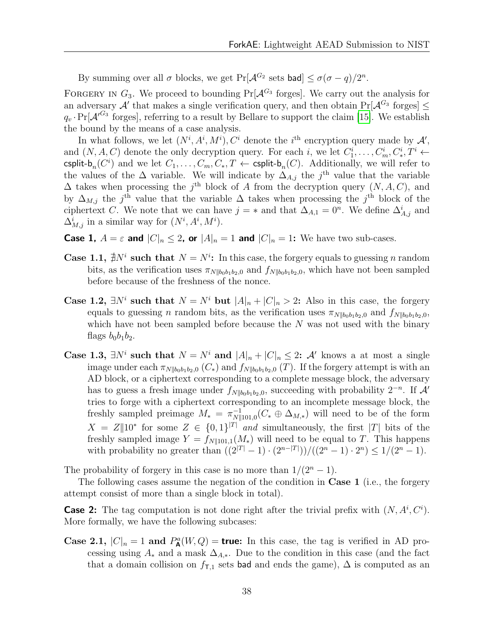By summing over all  $\sigma$  blocks, we get Pr[ $\mathcal{A}^{G_2}$  sets bad]  $\leq \sigma(\sigma - q)/2^n$ .

FORGERY IN  $G_3$ . We proceed to bounding  $Pr[\mathcal{A}^{G_3}]$  forges. We carry out the analysis for an adversary  $\mathcal{A}'$  that makes a single verification query, and then obtain  $Pr[\mathcal{A}^{G_3}]$  forges  $q_v \cdot Pr[\mathcal{A}'^{G_3}$  forges], referring to a result by Bellare to support the claim [\[15\]](#page-29-4). We establish the bound by the means of a case analysis.

In what follows, we let  $(N^i, A^i, M^i), C^i$  denote the *i*<sup>th</sup> encryption query made by  $\mathcal{A}',$ and  $(N, A, C)$  denote the only decryption query. For each i, we let  $C_1^i, \ldots, C_m^i, C_*^i, T^i \leftarrow$ csplit- $b_n(C^i)$  and we let  $C_1, \ldots, C_m, C_*, T \leftarrow$  csplit- $b_n(C)$ . Additionally, we will refer to the values of the  $\Delta$  variable. We will indicate by  $\Delta_{A,j}$  the j<sup>th</sup> value that the variable  $\Delta$  takes when processing the j<sup>th</sup> block of A from the decryption query  $(N, A, C)$ , and by  $\Delta_{M,j}$  the j<sup>th</sup> value that the variable  $\Delta$  takes when processing the j<sup>th</sup> block of the ciphertext C. We note that we can have  $j = *$  and that  $\Delta_{A,1} = 0^n$ . We define  $\Delta_{A,j}^i$  and  $\Delta_{M,j}^i$  in a similar way for  $(N^i, A^i, M^i)$ .

**Case 1,**  $A = \varepsilon$  and  $|C|_n \leq 2$ , or  $|A|_n = 1$  and  $|C|_n = 1$ : We have two sub-cases.

- **Case 1.1,**  $\sharp N^i$  such that  $N = N^i$ : In this case, the forgery equals to guessing n random bits, as the verification uses  $\pi_{N||b_0b_1b_2,0}$  and  $f_{N||b_0b_1b_2,0}$ , which have not been sampled before because of the freshness of the nonce.
- Case 1.2,  $\exists N^i$  such that  $N = N^i$  but  $|A|_n + |C|_n > 2$ : Also in this case, the forgery equals to guessing n random bits, as the verification uses  $\pi_{N||b_0b_1b_2,0}$  and  $f_{N||b_0b_1b_2,0}$ , which have not been sampled before because the  $N$  was not used with the binary flags  $b_0b_1b_2$ .
- Case 1.3,  $\exists N^i$  such that  $N = N^i$  and  $|A|_n + |C|_n \leq 2$ : A' knows a at most a single image under each  $\pi_{N||b_0b_1b_2,0}$  (C<sub>\*</sub>) and  $f_{N||b_0b_1b_2,0}$  (T). If the forgery attempt is with an AD block, or a ciphertext corresponding to a complete message block, the adversary has to guess a fresh image under  $f_{N||b_0b_1b_2,0}$ , succeeding with probability  $2^{-n}$ . If  $\mathcal{A}'$ tries to forge with a ciphertext corresponding to an incomplete message block, the freshly sampled preimage  $M_* = \pi_{N}^{-1}$  $\bigcap_{N\|101,0}^{-1}(C_{*}\oplus \Delta_{M,*})$  will need to be of the form  $X = Z \parallel 10^*$  for some  $Z \in \{0,1\}^{|T|}$  and simultaneously, the first |T| bits of the freshly sampled image  $Y = f_{N||101,1}(M_*)$  will need to be equal to T. This happens with probability no greater than  $((2^{|T|}-1)\cdot(2^{n-|T|}))/((2^n-1)\cdot 2^n) \leq 1/(2^n-1)$ .

The probability of forgery in this case is no more than  $1/(2<sup>n</sup> - 1)$ .

The following cases assume the negation of the condition in Case 1 (i.e., the forgery attempt consist of more than a single block in total).

**Case 2:** The tag computation is not done right after the trivial prefix with  $(N, A^i, C^i)$ . More formally, we have the following subcases:

Case 2.1,  $|C|_n = 1$  and  $P_{\mathbf{A}}^a(W, Q) =$  true: In this case, the tag is verified in AD processing using  $A_*$  and a mask  $\Delta_{A,*}$ . Due to the condition in this case (and the fact that a domain collision on  $f_{\text{T},1}$  sets bad and ends the game),  $\Delta$  is computed as an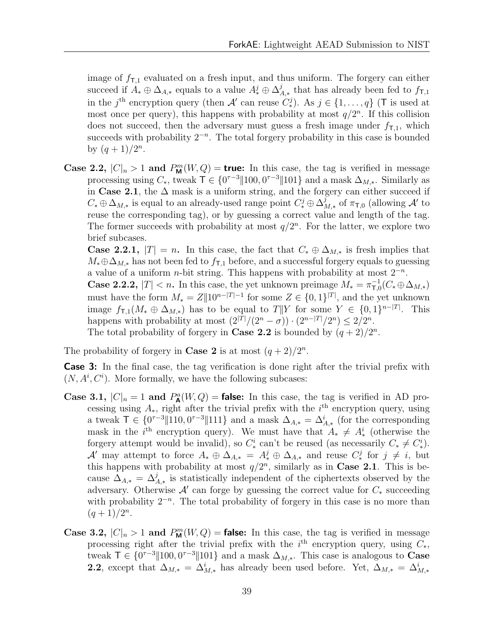image of  $f_{\text{T},1}$  evaluated on a fresh input, and thus uniform. The forgery can either succeed if  $A_* \oplus \Delta_{A,*}$  equals to a value  $A_*^j \oplus \Delta_A^j$  $\mathcal{L}_{A,*}^j$  that has already been fed to  $f_{\textsf{T},1}$ in the j<sup>th</sup> encryption query (then A' can reuse  $C_*^j$ ). As  $j \in \{1, ..., q\}$  (T is used at most once per query), this happens with probability at most  $q/2^n$ . If this collision does not succeed, then the adversary must guess a fresh image under  $f_{\text{T,1}}$ , which succeeds with probability  $2^{-n}$ . The total forgery probability in this case is bounded by  $(q + 1)/2^n$ .

Case 2.2,  $|C|_n > 1$  and  $P_m^m(W, Q) =$  true: In this case, the tag is verified in message processing using  $C_*$ , tweak  $\mathsf{T} \in \{0^{r-3} \| 100, 0^{r-3} \| 101\}$  and a mask  $\Delta_{M,*}$ . Similarly as in Case 2.1, the  $\Delta$  mask is a uniform string, and the forgery can either succeed if  $C_* \oplus \Delta_{M,*}$  is equal to an already-used range point  $C_*^j \oplus \Delta^j_{N}$  $\frac{J}{M,*}$  of π<sub>π,0</sub> (allowing  $\mathcal{A}'$  to reuse the corresponding tag), or by guessing a correct value and length of the tag. The former succeeds with probability at most  $q/2^n$ . For the latter, we explore two brief subcases.

**Case 2.2.1,**  $|T| = n$ . In this case, the fact that  $C_* \oplus \Delta_{M,*}$  is fresh implies that  $M_* \oplus \Delta_{M,*}$  has not been fed to  $f_{T,1}$  before, and a successful forgery equals to guessing a value of a uniform *n*-bit string. This happens with probability at most  $2^{-n}$ . **Case 2.2.2,**  $|T| < n$ . In this case, the yet unknown preimage  $M_* = \pi_{\text{T,G}}^{-1}$  $_{\mathsf{T},0}^{-1}(C_{\ast}\!\oplus\!\Delta_{M,\ast})$ must have the form  $M_* = Z||10^{n-|T|-1}$  for some  $Z \in \{0,1\}^{|T|}$ , and the yet unknown

image  $f_{\textsf{T},1}(M_{*} \oplus \Delta_{M,*})$  has to be equal to  $T||Y$  for some  $Y \in \{0,1\}^{n-|T|}$ . This happens with probability at most  $(2^{|T|}/(2^n - \sigma)) \cdot (2^{n-|T|}/2^n) \leq 2/2^n$ .

The total probability of forgery in **Case 2.2** is bounded by  $(q+2)/2^n$ .

The probability of forgery in **Case 2** is at most  $(q+2)/2^n$ .

**Case 3:** In the final case, the tag verification is done right after the trivial prefix with  $(N, A^i, C^i)$ . More formally, we have the following subcases:

- Case 3.1,  $|C|_n = 1$  and  $P_{\mathbf{A}}^a(W, Q) = \text{false}$ : In this case, the tag is verified in AD processing using  $A_*$ , right after the trivial prefix with the i<sup>th</sup> encryption query, using a tweak  $\mathsf{T} \in \{0^{\tau-3} \| 110, 0^{\tau-3} \| 111\}$  and a mask  $\Delta_{A,*} = \Delta_{A,*}^i$  (for the corresponding mask in the *i*<sup>th</sup> encryption query). We must have that  $A_* \neq A_*^i$  (otherwise the forgery attempt would be invalid), so  $C^i_*$  can't be reused (as necessarily  $C_* \neq C^i_*$ ). A' may attempt to force  $A_* \oplus \Delta_{A,*} = A_*^j \oplus \Delta_{A,*}$  and reuse  $C_*^j$  for  $j \neq i$ , but this happens with probability at most  $q/2^n$ , similarly as in Case 2.1. This is because  $\Delta_{A,*} = \Delta_{A,*}^j$  is statistically independent of the ciphertexts observed by the adversary. Otherwise  $\mathcal{A}'$  can forge by guessing the correct value for  $C_*$  succeeding with probability  $2^{-n}$ . The total probability of forgery in this case is no more than  $(q+1)/2^n$ .
- Case 3.2,  $|C|_n > 1$  and  $P_m^m(W, Q) =$  false: In this case, the tag is verified in message processing right after the trivial prefix with the  $i<sup>th</sup>$  encryption query, using  $C_*,$ tweak  $\mathsf{T} \in \{0^{\tau-3} \| 100, 0^{\tau-3} \| 101\}$  and a mask  $\Delta_{M,*}$ . This case is analogous to **Case** 2.2, except that  $\Delta_{M,*} = \Delta_{M,*}^i$  has already been used before. Yet,  $\Delta_{M,*} = \Delta_{M,*}^i$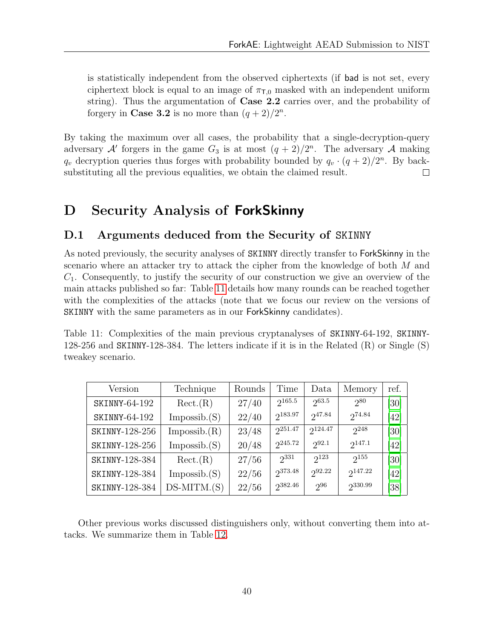is statistically independent from the observed ciphertexts (if bad is not set, every ciphertext block is equal to an image of  $\pi_{\text{L0}}$  masked with an independent uniform string). Thus the argumentation of Case 2.2 carries over, and the probability of forgery in **Case 3.2** is no more than  $(q+2)/2^n$ .

By taking the maximum over all cases, the probability that a single-decryption-query adversary  $\mathcal{A}'$  forgers in the game  $G_3$  is at most  $(q+2)/2^n$ . The adversary  $\mathcal{A}$  making  $q_v$  decryption queries thus forges with probability bounded by  $q_v \cdot (q+2)/2^n$ . By backsubstituting all the previous equalities, we obtain the claimed result.  $\Box$ 

# <span id="page-42-0"></span>D Security Analysis of ForkSkinny

#### <span id="page-42-1"></span>D.1 Arguments deduced from the Security of SKINNY

As noted previously, the security analyses of SKINNY directly transfer to ForkSkinny in the scenario where an attacker try to attack the cipher from the knowledge of both M and  $C_1$ . Consequently, to justify the security of our construction we give an overview of the main attacks published so far: Table [11](#page-42-2) details how many rounds can be reached together with the complexities of the attacks (note that we focus our review on the versions of SKINNY with the same parameters as in our ForkSkinny candidates).

<span id="page-42-2"></span>Table 11: Complexities of the main previous cryptanalyses of SKINNY-64-192, SKINNY-128-256 and SKINNY-128-384. The letters indicate if it is in the Related (R) or Single (S) tweakey scenario.

| Version        | Technique     | Rounds | Time         | Data       | Memory      | ref.              |
|----------------|---------------|--------|--------------|------------|-------------|-------------------|
| SKINNY-64-192  | Rect(R)       | 27/40  | $2^{165.5}$  | 263.5      | 280         | $\left[30\right]$ |
| SKINNY-64-192  | Impossible(S) | 22/40  | 2183.97      | 247.84     | 274.84      | [42]              |
| SKINNY-128-256 | Impossible(R) | 23/48  | $2^{251.47}$ | 2124.47    | $2^{248}$   | [30]              |
| SKINNY-128-256 | Impossible(S) | 20/48  | $2^{245.72}$ | $2^{92.1}$ | $2^{147.1}$ | [42]              |
| SKINNY-128-384 | Rect(R)       | 27/56  | $2^{331}$    | $2^{123}$  | 2155        | [30]              |
| SKINNY-128-384 | Impossible(S) | 22/56  | 2373.48      | 292.22     | 2147.22     | [42]              |
| SKINNY-128-384 | $DS-MITM.(S)$ | 22/56  | 2382.46      | 296        | 2330.99     | [38]              |

Other previous works discussed distinguishers only, without converting them into attacks. We summarize them in Table [12.](#page-43-1)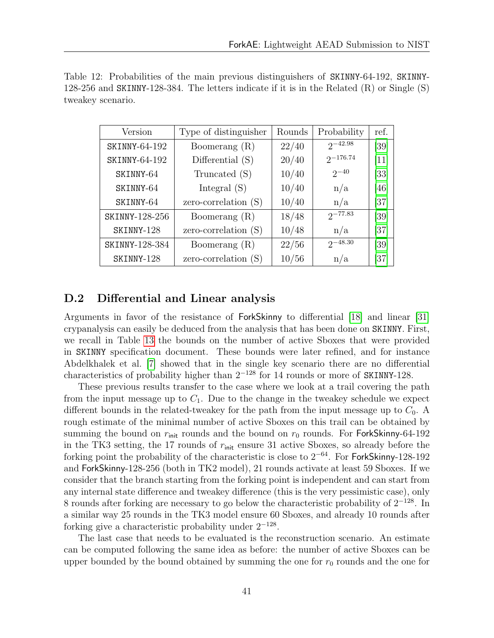<span id="page-43-1"></span>

| Table 12: Probabilities of the main previous distinguishers of SKINNY-64-192, SKINNY-          |  |  |  |
|------------------------------------------------------------------------------------------------|--|--|--|
| 128-256 and SKINNY-128-384. The letters indicate if it is in the Related $(R)$ or Single $(S)$ |  |  |  |
| tweakey scenario.                                                                              |  |  |  |

| Version        | Type of distinguisher | Rounds | Probability   | ref.              |
|----------------|-----------------------|--------|---------------|-------------------|
| SKINNY-64-192  | Boomerang $(R)$       | 22/40  | $2^{-42.98}$  | [39]              |
| SKINNY-64-192  | Differential $(S)$    | 20/40  | $2^{-176.74}$ | $\left[11\right]$ |
| SKINNY-64      | Truncated (S)         | 10/40  | $2^{-40}$     | $\left[33\right]$ |
| SKINNY-64      | Integral $(S)$        | 10/40  | n/a           | [46]              |
| SKINNY-64      | $zero-correlation(S)$ | 10/40  | n/a           | [37]              |
| SKINNY-128-256 | Boomerang $(R)$       | 18/48  | $2^{-77.83}$  | [39]              |
| SKINNY-128     | $zero-correlation(S)$ | 10/48  | n/a           | [37]              |
| SKINNY-128-384 | Boomerang $(R)$       | 22/56  | $2^{-48.30}$  | [39]              |
| SKINNY-128     | $zero-correlation(S)$ | 10/56  | n/a           | [37]              |

#### <span id="page-43-0"></span>D.2 Differential and Linear analysis

Arguments in favor of the resistance of ForkSkinny to differential [\[18\]](#page-29-6) and linear [\[31\]](#page-30-9) crypanalysis can easily be deduced from the analysis that has been done on SKINNY. First, we recall in Table [13](#page-44-1) the bounds on the number of active Sboxes that were provided in SKINNY specification document. These bounds were later refined, and for instance Abdelkhalek et al. [\[7\]](#page-28-9) showed that in the single key scenario there are no differential characteristics of probability higher than  $2^{-128}$  for 14 rounds or more of SKINNY-128.

These previous results transfer to the case where we look at a trail covering the path from the input message up to  $C_1$ . Due to the change in the tweakey schedule we expect different bounds in the related-tweakey for the path from the input message up to  $C_0$ . A rough estimate of the minimal number of active Sboxes on this trail can be obtained by summing the bound on  $r_{\text{init}}$  rounds and the bound on  $r_0$  rounds. For ForkSkinny-64-192 in the TK3 setting, the 17 rounds of  $r_{\text{init}}$  ensure 31 active Sboxes, so already before the forking point the probability of the characteristic is close to 2<sup>−</sup><sup>64</sup>. For ForkSkinny-128-192 and ForkSkinny-128-256 (both in TK2 model), 21 rounds activate at least 59 Sboxes. If we consider that the branch starting from the forking point is independent and can start from any internal state difference and tweakey difference (this is the very pessimistic case), only 8 rounds after forking are necessary to go below the characteristic probability of  $2^{-128}$ . In a similar way 25 rounds in the TK3 model ensure 60 Sboxes, and already 10 rounds after forking give a characteristic probability under  $2^{-128}$ .

The last case that needs to be evaluated is the reconstruction scenario. An estimate can be computed following the same idea as before: the number of active Sboxes can be upper bounded by the bound obtained by summing the one for  $r_0$  rounds and the one for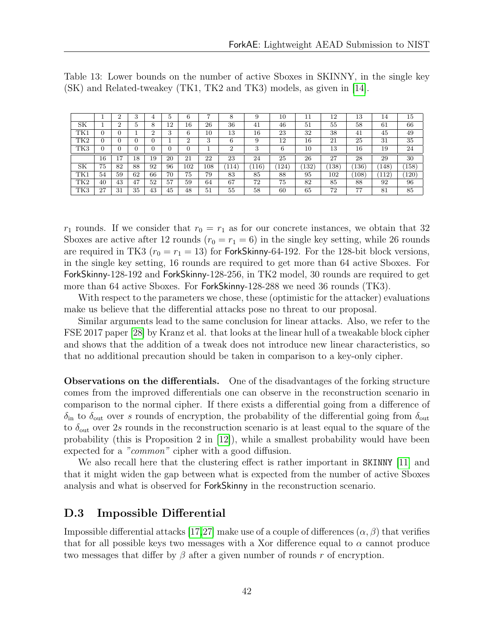|                 |          | ∠  | 3           |    | Ð.       | 6   | ∽      |     | 9     | 10  | 11   | 12  | 13  | 14  | 15  |
|-----------------|----------|----|-------------|----|----------|-----|--------|-----|-------|-----|------|-----|-----|-----|-----|
| SК              |          |    | $\mathbf b$ | 8  | 12       | 16  | 26     | 36  | 41    | 46  | 51   | 55  | 58  | 61  | 66  |
| TK1             |          |    |             |    | 9<br>. ) | 6   | $10\,$ | 13  | 16    | 23  | 32   | 38  | 41  | 45  | 49  |
| TK <sub>2</sub> | $\Omega$ |    |             |    |          | റ   | 3      | 6   | 9     | 12  | 16   | 21  | 25  | 31  | 35  |
| TK3             |          |    |             |    |          |     |        | ച   | 3     | 6   | 10   | 13  | 16  | 19  | 24  |
|                 |          |    |             |    |          |     |        |     |       |     |      |     |     |     |     |
|                 | 16       | ,  | 18          | 19 | 20       | 21  | 22     | 23  | 24    | 25  | 26   | 27  | 28  | 29  | 30  |
| SK              | 75       | 82 | 88          | 92 | 96       | 102 | 108    | 114 | (116) | 124 | 132` | 138 | 136 | 148 | 158 |
| TK1             | 54       | 59 | 62          | 66 | 70       | 75  | 79     | 83  | 85    | 88  | 95   | 102 | 108 | 112 | 120 |
| TK2             | 40       | 43 | 47          | 52 | 57       | 59  | 64     | 67  | 72    | 75  | 82   | 85  | 88  | 92  | 96  |

<span id="page-44-1"></span>Table 13: Lower bounds on the number of active Sboxes in SKINNY, in the single key (SK) and Related-tweakey (TK1, TK2 and TK3) models, as given in [\[14\]](#page-29-0).

 $r_1$  rounds. If we consider that  $r_0 = r_1$  as for our concrete instances, we obtain that 32 Sboxes are active after 12 rounds  $(r_0 = r_1 = 6)$  in the single key setting, while 26 rounds are required in TK3 ( $r_0 = r_1 = 13$ ) for ForkSkinny-64-192. For the 128-bit block versions, in the single key setting, 16 rounds are required to get more than 64 active Sboxes. For ForkSkinny-128-192 and ForkSkinny-128-256, in TK2 model, 30 rounds are required to get more than 64 active Sboxes. For ForkSkinny-128-288 we need 36 rounds (TK3).

With respect to the parameters we chose, these (optimistic for the attacker) evaluations make us believe that the differential attacks pose no threat to our proposal.

Similar arguments lead to the same conclusion for linear attacks. Also, we refer to the FSE 2017 paper [\[28\]](#page-30-10) by Kranz et al. that looks at the linear hull of a tweakable block cipher and shows that the addition of a tweak does not introduce new linear characteristics, so that no additional precaution should be taken in comparison to a key-only cipher.

Observations on the differentials. One of the disadvantages of the forking structure comes from the improved differentials one can observe in the reconstruction scenario in comparison to the normal cipher. If there exists a differential going from a difference of  $\delta_{\rm in}$  to  $\delta_{\rm out}$  over s rounds of encryption, the probability of the differential going from  $\delta_{\rm out}$ to  $\delta_{\text{out}}$  over 2s rounds in the reconstruction scenario is at least equal to the square of the probability (this is Proposition 2 in  $[12]$ ), while a smallest probability would have been expected for a "common" cipher with a good diffusion.

We also recall here that the clustering effect is rather important in SKINNY [\[11\]](#page-29-1) and that it might widen the gap between what is expected from the number of active Sboxes analysis and what is observed for ForkSkinny in the reconstruction scenario.

#### <span id="page-44-0"></span>D.3 Impossible Differential

Impossible differential attacks [\[17,](#page-29-7)[27\]](#page-30-11) make use of a couple of differences  $(\alpha, \beta)$  that verifies that for all possible keys two messages with a Xor difference equal to  $\alpha$  cannot produce two messages that differ by  $\beta$  after a given number of rounds r of encryption.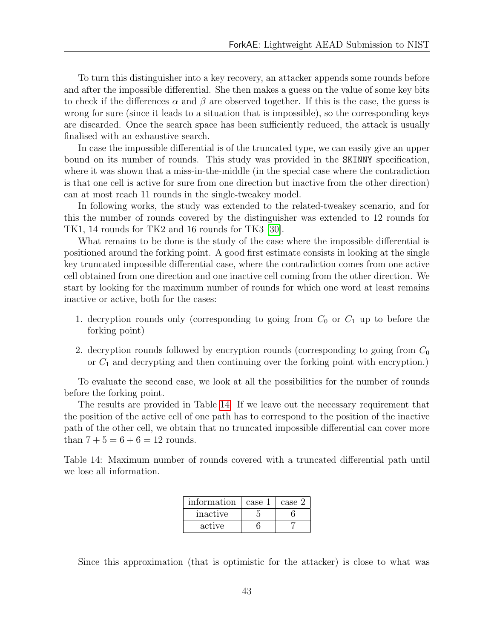To turn this distinguisher into a key recovery, an attacker appends some rounds before and after the impossible differential. She then makes a guess on the value of some key bits to check if the differences  $\alpha$  and  $\beta$  are observed together. If this is the case, the guess is wrong for sure (since it leads to a situation that is impossible), so the corresponding keys are discarded. Once the search space has been sufficiently reduced, the attack is usually finalised with an exhaustive search.

In case the impossible differential is of the truncated type, we can easily give an upper bound on its number of rounds. This study was provided in the SKINNY specification, where it was shown that a miss-in-the-middle (in the special case where the contradiction is that one cell is active for sure from one direction but inactive from the other direction) can at most reach 11 rounds in the single-tweakey model.

In following works, the study was extended to the related-tweakey scenario, and for this the number of rounds covered by the distinguisher was extended to 12 rounds for TK1, 14 rounds for TK2 and 16 rounds for TK3 [\[30\]](#page-30-1).

What remains to be done is the study of the case where the impossible differential is positioned around the forking point. A good first estimate consists in looking at the single key truncated impossible differential case, where the contradiction comes from one active cell obtained from one direction and one inactive cell coming from the other direction. We start by looking for the maximum number of rounds for which one word at least remains inactive or active, both for the cases:

- 1. decryption rounds only (corresponding to going from  $C_0$  or  $C_1$  up to before the forking point)
- 2. decryption rounds followed by encryption rounds (corresponding to going from  $C_0$ or  $C_1$  and decrypting and then continuing over the forking point with encryption.)

To evaluate the second case, we look at all the possibilities for the number of rounds before the forking point.

The results are provided in Table [14.](#page-45-0) If we leave out the necessary requirement that the position of the active cell of one path has to correspond to the position of the inactive path of the other cell, we obtain that no truncated impossible differential can cover more than  $7 + 5 = 6 + 6 = 12$  rounds.

<span id="page-45-0"></span>Table 14: Maximum number of rounds covered with a truncated differential path until we lose all information.

| information | case 1 | case 2 |
|-------------|--------|--------|
| inactive    |        |        |
| active      |        |        |

Since this approximation (that is optimistic for the attacker) is close to what was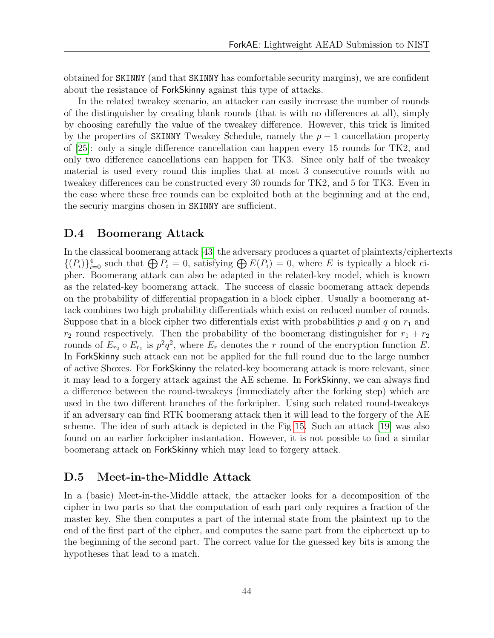obtained for SKINNY (and that SKINNY has comfortable security margins), we are confident about the resistance of ForkSkinny against this type of attacks.

In the related tweakey scenario, an attacker can easily increase the number of rounds of the distinguisher by creating blank rounds (that is with no differences at all), simply by choosing carefully the value of the tweakey difference. However, this trick is limited by the properties of SKINNY Tweakey Schedule, namely the  $p-1$  cancellation property of [\[25\]](#page-30-0): only a single difference cancellation can happen every 15 rounds for TK2, and only two difference cancellations can happen for TK3. Since only half of the tweakey material is used every round this implies that at most 3 consecutive rounds with no tweakey differences can be constructed every 30 rounds for TK2, and 5 for TK3. Even in the case where these free rounds can be exploited both at the beginning and at the end, the securiy margins chosen in SKINNY are sufficient.

#### <span id="page-46-0"></span>D.4 Boomerang Attack

In the classical boomerang attack [\[43\]](#page-31-10) the adversary produces a quartet of plaintexts/ciphertexts  $\{(P_i)\}_{i=0}^4$  such that  $\bigoplus P_i = 0$ , satisfying  $\bigoplus E(P_i) = 0$ , where E is typically a block cipher. Boomerang attack can also be adapted in the related-key model, which is known as the related-key boomerang attack. The success of classic boomerang attack depends on the probability of differential propagation in a block cipher. Usually a boomerang attack combines two high probability differentials which exist on reduced number of rounds. Suppose that in a block cipher two differentials exist with probabilities  $p$  and  $q$  on  $r_1$  and  $r_2$  round respectively. Then the probability of the boomerang distinguisher for  $r_1 + r_2$ rounds of  $E_{r_2} \circ E_{r_1}$  is  $p^2 q^2$ , where  $E_r$  denotes the r round of the encryption function E. In ForkSkinny such attack can not be applied for the full round due to the large number of active Sboxes. For ForkSkinny the related-key boomerang attack is more relevant, since it may lead to a forgery attack against the AE scheme. In ForkSkinny, we can always find a difference between the round-tweakeys (immediately after the forking step) which are used in the two different branches of the forkcipher. Using such related round-tweakeys if an adversary can find RTK boomerang attack then it will lead to the forgery of the AE scheme. The idea of such attack is depicted in the Fig [15.](#page-58-0) Such an attack [\[19\]](#page-29-8) was also found on an earlier forkcipher instantation. However, it is not possible to find a similar boomerang attack on ForkSkinny which may lead to forgery attack.

#### <span id="page-46-1"></span>D.5 Meet-in-the-Middle Attack

In a (basic) Meet-in-the-Middle attack, the attacker looks for a decomposition of the cipher in two parts so that the computation of each part only requires a fraction of the master key. She then computes a part of the internal state from the plaintext up to the end of the first part of the cipher, and computes the same part from the ciphertext up to the beginning of the second part. The correct value for the guessed key bits is among the hypotheses that lead to a match.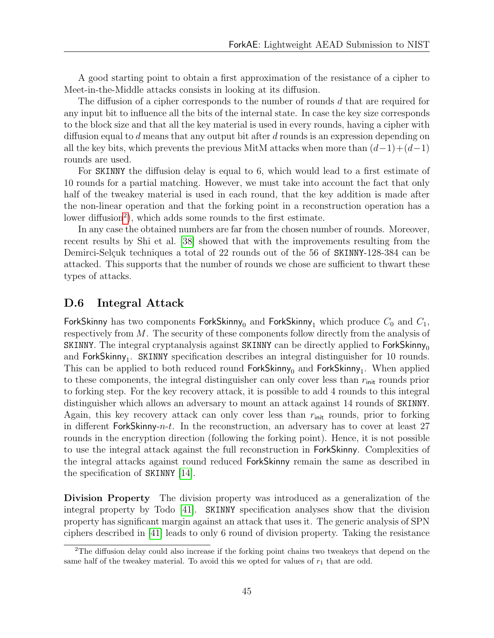A good starting point to obtain a first approximation of the resistance of a cipher to Meet-in-the-Middle attacks consists in looking at its diffusion.

The diffusion of a cipher corresponds to the number of rounds d that are required for any input bit to influence all the bits of the internal state. In case the key size corresponds to the block size and that all the key material is used in every rounds, having a cipher with diffusion equal to d means that any output bit after d rounds is an expression depending on all the key bits, which prevents the previous MitM attacks when more than  $(d-1)+(d-1)$ rounds are used.

For SKINNY the diffusion delay is equal to 6, which would lead to a first estimate of 10 rounds for a partial matching. However, we must take into account the fact that only half of the tweakey material is used in each round, that the key addition is made after the non-linear operation and that the forking point in a reconstruction operation has a lower diffusion<sup>[2](#page-47-1)</sup>), which adds some rounds to the first estimate.

In any case the obtained numbers are far from the chosen number of rounds. Moreover, recent results by Shi et al. [\[38\]](#page-31-7) showed that with the improvements resulting from the Demirci-Selçuk techniques a total of 22 rounds out of the 56 of SKINNY-128-384 can be attacked. This supports that the number of rounds we chose are sufficient to thwart these types of attacks.

#### <span id="page-47-0"></span>D.6 Integral Attack

ForkSkinny has two components ForkSkinny<sub>0</sub> and ForkSkinny<sub>1</sub> which produce  $C_0$  and  $C_1$ , respectively from M. The security of these components follow directly from the analysis of SKINNY. The integral cryptanalysis against SKINNY can be directly applied to  $ForkSkinny<sub>0</sub>$ and  $ForkSkinny_1$ . SKINNY specification describes an integral distinguisher for 10 rounds. This can be applied to both reduced round  $ForkSkinny_0$  and  $ForkSkinny_1$ . When applied to these components, the integral distinguisher can only cover less than  $r_{\text{init}}$  rounds prior to forking step. For the key recovery attack, it is possible to add 4 rounds to this integral distinguisher which allows an adversary to mount an attack against 14 rounds of SKINNY. Again, this key recovery attack can only cover less than  $r_{\text{init}}$  rounds, prior to forking in different ForkSkinny-n-t. In the reconstruction, an adversary has to cover at least  $27$ rounds in the encryption direction (following the forking point). Hence, it is not possible to use the integral attack against the full reconstruction in ForkSkinny. Complexities of the integral attacks against round reduced ForkSkinny remain the same as described in the specification of SKINNY [\[14\]](#page-29-0).

Division Property The division property was introduced as a generalization of the integral property by Todo [\[41\]](#page-31-11). SKINNY specification analyses show that the division property has significant margin against an attack that uses it. The generic analysis of SPN ciphers described in [\[41\]](#page-31-11) leads to only 6 round of division property. Taking the resistance

<span id="page-47-1"></span><sup>&</sup>lt;sup>2</sup>The diffusion delay could also increase if the forking point chains two tweakeys that depend on the same half of the tweakey material. To avoid this we opted for values of  $r_1$  that are odd.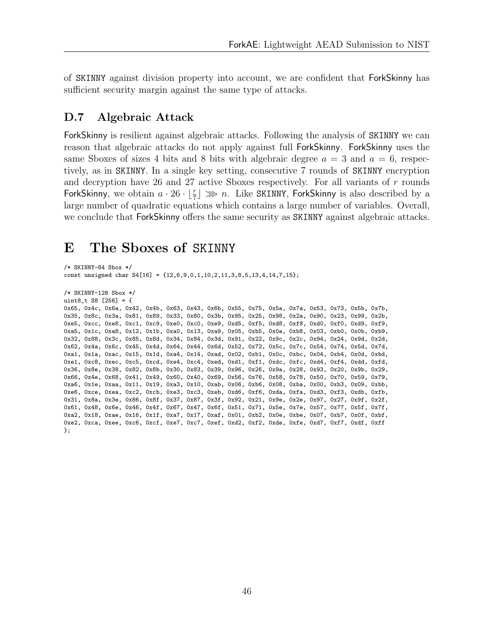of SKINNY against division property into account, we are confident that ForkSkinny has sufficient security margin against the same type of attacks.

#### <span id="page-48-0"></span>D.7 Algebraic Attack

ForkSkinny is resilient against algebraic attacks. Following the analysis of SKINNY we can reason that algebraic attacks do not apply against full ForkSkinny. ForkSkinny uses the same Sboxes of sizes 4 bits and 8 bits with algebraic degree  $a = 3$  and  $a = 6$ , respectively, as in SKINNY. In a single key setting, consecutive 7 rounds of SKINNY encryption and decryption have 26 and 27 active Sboxes respectively. For all variants of  $r$  rounds ForkSkinny, we obtain  $a \cdot 26 \cdot \lfloor \frac{r}{7} \rfloor \gg n$ . Like SKINNY, ForkSkinny is also described by a large number of quadratic equations which contains a large number of variables. Overall, we conclude that ForkSkinny offers the same security as SKINNY against algebraic attacks.

# <span id="page-48-1"></span>E The Sboxes of SKINNY

```
/* SKINNY-64 Sbox */
const unsigned char S4[16] = {12,6,9,0,1,10,2,11,3,8,5,13,4,14,7,15};
```

```
/* SKINNY-128 Sbox */
uint8_t S8 [256] = {
0x65, 0x4c, 0x6a, 0x42, 0x4b, 0x63, 0x43, 0x6b, 0x55, 0x75, 0x5a, 0x7a, 0x53, 0x73, 0x5b, 0x7b,
0x35, 0x8c, 0x3a, 0x81, 0x89, 0x33, 0x80, 0x3b, 0x95, 0x25, 0x98, 0x2a, 0x90, 0x23, 0x99, 0x2b,
0xe5, 0xcc, 0xe8, 0xc1, 0xc9, 0xe0, 0xc0, 0xe9, 0xd5, 0xf5, 0xd8, 0xf8, 0xd0, 0xf0, 0xd9, 0xf9,
0xa5, 0x1c, 0xa8, 0x12, 0x1b, 0xa0, 0x13, 0xa9, 0x05, 0xb5, 0x0a, 0xb8, 0x03, 0xb0, 0x0b, 0xb9,
0x32, 0x88, 0x3c, 0x85, 0x8d, 0x34, 0x84, 0x3d, 0x91, 0x22, 0x9c, 0x2c, 0x94, 0x24, 0x9d, 0x2d,
0x62, 0x4a, 0x6c, 0x45, 0x4d, 0x64, 0x44, 0x6d, 0x52, 0x72, 0x5c, 0x7c, 0x54, 0x74, 0x5d, 0x7d,
0xa1, 0x1a, 0xac, 0x15, 0x1d, 0xa4, 0x14, 0xad, 0x02, 0xb1, 0x0c, 0xbc, 0x04, 0xb4, 0x0d, 0xbd,
0xe1, 0xc8, 0xec, 0xc5, 0xcd, 0xe4, 0xc4, 0xed, 0xd1, 0xf1, 0xdc, 0xfc, 0xd4, 0xf4, 0xdd, 0xfd,
0x36, 0x8e, 0x38, 0x82, 0x8b, 0x30, 0x83, 0x39, 0x96, 0x26, 0x9a, 0x28, 0x93, 0x20, 0x9b, 0x29,
0x66, 0x4e, 0x68, 0x41, 0x49, 0x60, 0x40, 0x69, 0x56, 0x76, 0x58, 0x78, 0x50, 0x70, 0x59, 0x79,
0xa6, 0x1e, 0xaa, 0x11, 0x19, 0xa3, 0x10, 0xab, 0x06, 0xb6, 0x08, 0xba, 0x00, 0xb3, 0x09, 0xbb,
0xe6, 0xce, 0xea, 0xc2, 0xcb, 0xe3, 0xc3, 0xeb, 0xd6, 0xf6, 0xda, 0xfa, 0xd3, 0xf3, 0xdb, 0xfb,
0x31, 0x8a, 0x3e, 0x86, 0x8f, 0x37, 0x87, 0x3f, 0x92, 0x21, 0x9e, 0x2e, 0x97, 0x27, 0x9f, 0x2f,
0x61, 0x48, 0x6e, 0x46, 0x4f, 0x67, 0x47, 0x6f, 0x51, 0x71, 0x5e, 0x7e, 0x57, 0x77, 0x5f, 0x7f,
0xa2, 0x18, 0xae, 0x16, 0x1f, 0xa7, 0x17, 0xaf, 0x01, 0xb2, 0x0e, 0xbe, 0x07, 0xb7, 0x0f, 0xbf,
0xe2, 0xca, 0xee, 0xc6, 0xcf, 0xe7, 0xc7, 0xef, 0xd2, 0xf2, 0xde, 0xfe, 0xd7, 0xf7, 0xdf, 0xff
};
```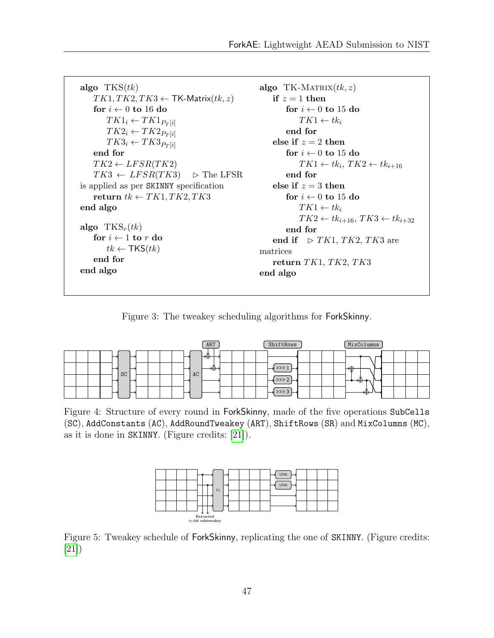```
algo TKS(tk)TK1, TK2, TK3 \leftarrow \textsf{TK-Matrix}(tk, z)for i \leftarrow 0 to 16 do
        TK1_i \leftarrow TK1_{P_T[i]}TK2_i \leftarrow TK2_{P_T[i]}TK3_i \leftarrow TK3_{P_T[i]}end for
    TK2 \leftarrow LFSR(TK2)TK3 \leftarrow LFSR(TK3) \Rightarrow \text{The LFSR}is applied as per SKINNY specification
    return tk \leftarrow TK1, TK2, TK3end algo
algo TKS_r(tk)for i \leftarrow 1 to r do
        tk \leftarrow \mathsf{TKS}(tk)end for
end algo
                                                         algo TK-MATRIX(tk, z)if z = 1 then
                                                                 for i \leftarrow 0 to 15 do
                                                                     TK1 \leftarrow tk_iend for
                                                             else if z = 2 then
                                                                 for i \leftarrow 0 to 15 do
                                                                      TK1 \leftarrow tk_i, TK2 \leftarrow tk_{i+16}end for
                                                             else if z = 3 then
                                                                 for i \leftarrow 0 to 15 do
                                                                      TK1 \leftarrow tk_iTK2 \leftarrow tk_{i+16}, TK3 \leftarrow tk_{i+32}end for
                                                             end if \triangleright TK1, TK2, TK3 are
                                                         matrices
                                                             return TK1, TK2, TK3end algo
```
Figure 3: The tweakey scheduling algorithms for ForkSkinny.

<span id="page-49-1"></span>

|    | ART      | ShiftRows | MixColumns       |
|----|----------|-----------|------------------|
|    | ⊷        |           |                  |
| SC | ᡕ᠇<br>AC |           | ⊬⊕               |
|    |          |           |                  |
|    |          | 72 J      | . <del>. .</del> |

<span id="page-49-2"></span>Figure 4: Structure of every round in ForkSkinny, made of the five operations SubCells (SC), AddConstants (AC), AddRoundTweakey (ART), ShiftRows (SR) and MixColumns (MC), as it is done in SKINNY. (Figure credits: [\[21\]](#page-30-12)).



Figure 5: Tweakey schedule of ForkSkinny, replicating the one of SKINNY. (Figure credits: [\[21\]](#page-30-12))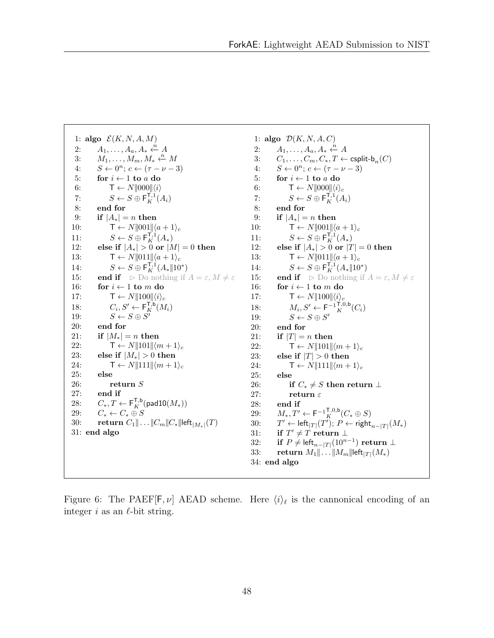<span id="page-50-0"></span>1: algo  $\mathcal{E}(K, N, A, M)$ 2:  $A_1, \ldots, A_a, A_* \xleftarrow{n} A$ 3:  $M_1, \ldots, M_m, M_* \xleftarrow{n} M$ 4:  $S \leftarrow 0^n; c \leftarrow (\tau - \nu - 3)$ 5: for  $i \leftarrow 1$  to a do 6:  $\mathsf{T} \leftarrow N \parallel 000 \parallel \langle i \rangle$ 7:  $S \leftarrow S \oplus \mathsf{F}_K^{\mathsf{T},1}(A_i)$ 8: end for 9: if  $|A_*| = n$  then 10:  $\mathsf{T} \leftarrow N \parallel 001 \parallel \langle a+1 \rangle_c$ 11:  $S \leftarrow S \oplus \mathsf{F}_K^{\mathsf{T},1}(A_*)$ 12: else if  $|A_*| > 0$  or  $|M| = 0$  then 13:  $\mathsf{T} \leftarrow N \|\!\!\| 011 \|\!\!\| \langle a+1 \rangle_c$ 14:  $S \leftarrow S \oplus \mathsf{F}_K^{\mathsf{T},1}(A_* \| 10^*)$ 15: **end if**  $\triangleright$  Do nothing if  $A = \varepsilon, M \neq \varepsilon$ 16: for  $i \leftarrow 1$  to m do 17:  $\mathsf{T} \leftarrow N ||100|| \langle i \rangle_c$ 18:  $C_i, S' \leftarrow \mathsf{F}_K^{\mathsf{T},\mathsf{b}}(M_i)$ 19:  $S \leftarrow S \oplus S'$ 20: end for 21: if  $|M_*| = n$  then<br>22:  $\mathsf{T} \leftarrow N \parallel 101 \parallel \langle n \rangle$  $\mathsf{T} \leftarrow N \| 101 \| \langle m+1 \rangle_c$ 23: else if  $|M_*| > 0$  then 24:  $\mathsf{T} \leftarrow N \| 111 \| \langle m+1 \rangle_c$ 25: else 26: return S 27: end if 28:  $C_*, T \leftarrow \mathsf{F}_K^{\mathsf{T},\mathsf{b}}(\mathsf{padl0}(M_*))$ 29:  $C_* \leftarrow C_* \oplus S$ 30: return  $C_1 \| \dots \| C_m \| C_* \|$ left $\vert_{M_*} (T)$ 31: end algo

1: algo  $\mathcal{D}(K, N, A, C)$ 2:  $A_1, \ldots, A_a, A_* \xleftarrow{n} A$ 3:  $C_1, \ldots, C_m, C_*, T \leftarrow \text{csplit-b}_n(C)$ <br>4:  $S \leftarrow 0^n$ :  $c \leftarrow (\tau - \nu - 3)$ 4:  $S \leftarrow 0^n; c \leftarrow (\tau - \nu - 3)$ 5: for  $i \leftarrow 1$  to a do 6:  $\mathsf{T} \leftarrow N \|\text{000}\| \langle i \rangle_c$ 7:  $S \leftarrow S \oplus \mathsf{F}_K^{\mathsf{T},1}(A_i)$ 8: end for 9: if  $|A_*| = n$  then 10:  $\mathsf{T} \leftarrow N \parallel 001 \parallel \langle a+1 \rangle_c$ 11:  $S \leftarrow S \oplus \mathsf{F}_K^{\mathsf{T},1}(A_*)$ 12: else if  $|A_*| > 0$  or  $|T| = 0$  then 13:  $\mathsf{T} \leftarrow N \|\!\!\bra{0} 1 \|\!\!\bra{a+1}_c$ 14:  $S \leftarrow S \oplus \mathsf{F}_K^{\mathsf{T},1}(A_* \| 10^*)$ 15: **end if**  $\triangleright$  Do nothing if  $A = \varepsilon, M \neq \varepsilon$ 16: for  $i \leftarrow 1$  to m do 17:  $\mathsf{T} \leftarrow N ||100|| \langle i \rangle_c$ 18:  $M_i, S' \leftarrow \mathsf{F}^{-1}{}_K^{\mathsf{T},0,\mathsf{b}}(C_i)$ <br>
10:  $S \leftarrow S \oplus S'$ 19:  $S \leftarrow S \oplus S'$ 20: end for 21: if  $|T| = n$  then 22:  $\mathsf{T} \leftarrow N \| 101 \| \langle m+1 \rangle_c$ 23: else if  $|T| > 0$  then 24:  $\mathsf{T} \leftarrow N \| 111 \| \langle m+1 \rangle_c$ 25: else 26: if  $C_* \neq S$  then return  $\perp$ 27: return  $\varepsilon$ 28: end if 29:  $M_*, T' \leftarrow {\sf F}^{-1}^{{\sf T},0,\sf{b}}_K(C_* \oplus S)$  $30:$  $\mathcal{O}' \leftarrow \mathsf{left}_{|T|}(T');\ P\leftarrow \mathsf{right}_{n-|T|}(M_*)$  $31: \text{if } T' \neq T \text{ return } \bot$ 32: if  $P \neq$  left $_{n-|T|}(10^{n-1})$  return  $\perp$ 33: return  $M_1 \| ... \| M_m \|$ left $|T| (M_*)$ 34: end algo

Figure 6: The PAEF[F,  $\nu$ ] AEAD scheme. Here  $\langle i \rangle_{\ell}$  is the cannonical encoding of an integer i as an  $\ell$ -bit string.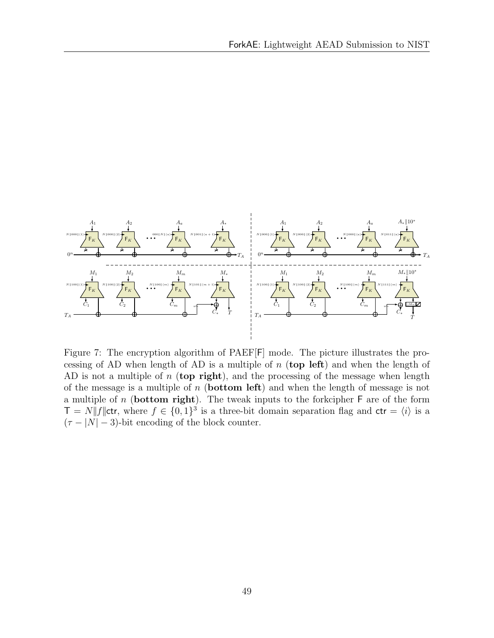<span id="page-51-0"></span>

Figure 7: The encryption algorithm of PAEF[F] mode. The picture illustrates the processing of AD when length of AD is a multiple of  $n$  (top left) and when the length of AD is not a multiple of  $n$  (top right), and the processing of the message when length of the message is a multiple of  $n$  (**bottom left**) and when the length of message is not a multiple of  $n$  (**bottom right**). The tweak inputs to the forkcipher  $\mathsf{F}$  are of the form  $\mathcal{T} = N \| f \|$ ctr, where  $f \in \{0,1\}^3$  is a three-bit domain separation flag and ctr =  $\langle i \rangle$  is a  $(\tau - |N| - 3)$ -bit encoding of the block counter.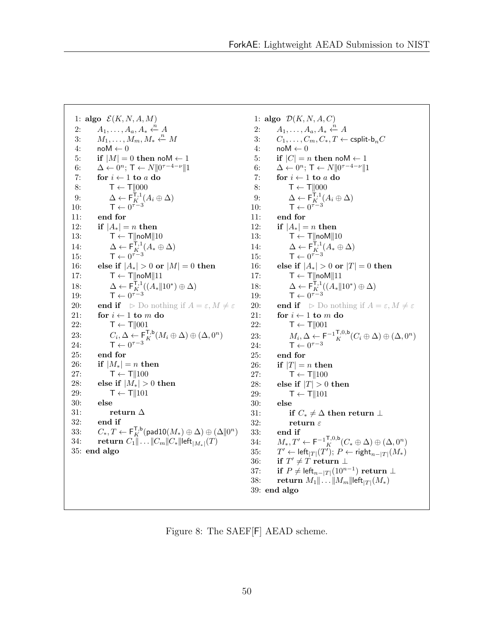<span id="page-52-0"></span>1: algo  $\mathcal{E}(K, N, A, M)$ 2:  $A_1, \ldots, A_a, A_* \xleftarrow{n} A$ 3:  $M_1, \ldots, M_m, M_* \xleftarrow{n} M$ 4:  $noM \leftarrow 0$ 5: if  $|M| = 0$  then noM  $\leftarrow$  1 6:  $\Delta \leftarrow 0^n; \mathsf{T} \leftarrow N || 0^{\tau - 4 - \nu} || 1$ 7: for  $i \leftarrow 1$  to a do 8:  $\mathsf{T} \leftarrow \mathsf{T} \parallel 000$ 9:  $\Delta \leftarrow \mathsf{F}_{K}^{\mathsf{T},1}(A_i \oplus \Delta)$ 10:  $\mathsf{T} \leftarrow 0^{\tau-3}$ 11: end for 12: if  $|A_*| = n$  then 13:  $T \leftarrow T \parallel \text{noM} \parallel 10$ 14:  $\Delta \leftarrow \mathsf{F}_{K}^{\mathsf{T},1}(A_{*} \oplus \Delta)$ 15:  $\mathsf{T} \leftarrow 0^{\tau-3}$ 16: else if  $|A_*| > 0$  or  $|M| = 0$  then 17:  $T \leftarrow T \|\text{noM}\| 11$ 18:  $\Delta \leftarrow \mathsf{F}_{K}^{\mathsf{T},1}((A_{*} \| 10^{*}) \oplus \Delta)$ 19:  $\mathsf{T} \leftarrow 0^{\tau-3}$ 20: **end if**  $\triangleright$  Do nothing if  $A = \varepsilon, M \neq \varepsilon$ 21: for  $i \leftarrow 1$  to m do 22:  $\mathsf{T} \leftarrow \mathsf{T} \parallel 001$ 23:  $C_i, \Delta \leftarrow \mathsf{F}_K^{\mathsf{T},\mathsf{b}}(M_i \oplus \Delta) \oplus (\Delta,0^n)$ 24:  $\mathsf{T} \leftarrow 0^{\tau-3}$ 25: end for 26: if  $|M_*| = n$  then 27:  $\mathsf{T} \leftarrow \mathsf{T} \| 100$ 28: else if  $|M_*| > 0$  then 29:  $\mathsf{T} \leftarrow \mathsf{T} \parallel 101$ 30: else 31: return  $\Delta$ 32: end if 33:  $C_*, T \leftarrow \mathsf{F}_K^{\mathsf{T},\mathsf{b}}(\mathsf{pad10}(M_* ) \oplus \Delta) \oplus (\Delta \Vert 0^n)$ 34: **return**  $C_1 || \dots || C_m || C_* ||$ left $|_{M_*} | (T)$ 35: end algo

1: algo  $\mathcal{D}(K, N, A, C)$ 2:  $A_1, \ldots, A_a, A_* \xleftarrow{n} A$ 3:  $C_1, \ldots, C_m, C_*, T \leftarrow \text{csplit-b}_n C$ <br>4:  $\text{noM} \leftarrow 0$  $n \to \text{Mo}$ 5: if  $|C| = n$  then noM  $\leftarrow$  1 6:  $\Delta \leftarrow 0^n; \mathsf{T} \leftarrow N || 0^{\tau - 4 - \nu} || 1$ 7: for  $i \leftarrow 1$  to a do 8:  $T \leftarrow T||000$ 9:  $\Delta \leftarrow \mathsf{F}_{K}^{\mathsf{T},1}(A_i \oplus \Delta)$ 10:  $\mathsf{T} \leftarrow 0^{\tau-3}$ 11: end for 12: if  $|A_*| = n$  then 13:  $T \leftarrow T \|\text{noM}\| 10$ 14:  $\Delta \leftarrow \mathsf{F}_{K}^{\mathsf{T},1}(A_{*} \oplus \Delta)$ 15:  $\mathsf{T} \leftarrow 0^{\tau-3}$ 16: else if  $|A_*| > 0$  or  $|T| = 0$  then 17:  $T \leftarrow T \|\text{noM}\| 11$ 18:  $\Delta \leftarrow \mathsf{F}_{K}^{\mathsf{T},1}((A_{*} \| 10^{*}) \oplus \Delta)$ 19:  $\mathsf{T} \leftarrow 0^{\tau-3}$ **20: end if**  $\triangleright$  Do nothing if  $A = \varepsilon, M \neq \varepsilon$ 21: for  $i \leftarrow 1$  to m do 22:  $\mathsf{T} \leftarrow \mathsf{T} \parallel 001$ 23:  $M_i, \Delta \leftarrow \mathsf{F}^{-1} \mathsf{F}^{0,\mathsf{b}}_K(C_i \oplus \Delta) \oplus (\Delta, 0^n)$ 24:  $\mathsf{T} \leftarrow 0^{\tau-3}$ 25: end for 26: if  $|T| = n$  then 27:  $\mathsf{T} \leftarrow \mathsf{T} \parallel 100$ 28: else if  $|T| > 0$  then 29:  $\mathsf{T} \leftarrow \mathsf{T} \parallel 101$ 30: else 31: if  $C_* \neq \Delta$  then return  $\perp$ 32: return  $\varepsilon$ 33: end if 34:  $M_*, T' \leftarrow \mathsf{F}^{-1}{}_K^{\mathsf{T},0,\mathsf{b}}(C_* \oplus \Delta) \oplus (\Delta, 0^n)$ 35:  $\mathcal{O}' \leftarrow \mathsf{left}_{|T|}(T');\ P\leftarrow \mathsf{right}_{n-|T|}(M_*)$  $36: \text{if } T' \neq T \text{ return } \bot$ 37: if  $P \neq$  left $_{n-|T|}(10^{n-1})$  return  $\perp$ 38: return  $M_1\|\ldots\|M_m\|$ left $|T|(M_*)$ 39: end algo

Figure 8: The SAEF[F] AEAD scheme.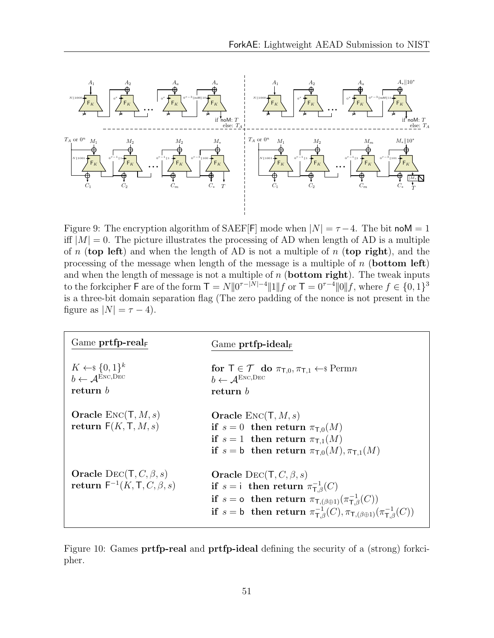<span id="page-53-0"></span>

Figure 9: The encryption algorithm of SAEF[F] mode when  $|N| = \tau - 4$ . The bit noM = 1 iff  $|M| = 0$ . The picture illustrates the processing of AD when length of AD is a multiple of n (top left) and when the length of AD is not a multiple of n (top right), and the processing of the message when length of the message is a multiple of  $n$  (bottom left) and when the length of message is not a multiple of  $n$  (**bottom right**). The tweak inputs to the forkcipher F are of the form  $T = N||0^{\tau-|N|-4}||1||f$  or  $T = 0^{\tau-4}||0||f$ , where  $f \in \{0,1\}^3$ is a three-bit domain separation flag (The zero padding of the nonce is not present in the figure as  $|N| = \tau - 4$ .

| Game $\text{prtfp-real}_F$                                                             | Game $\text{prtfp-ideal}_{F}$                                                                                                                                                                                                                                                                                           |
|----------------------------------------------------------------------------------------|-------------------------------------------------------------------------------------------------------------------------------------------------------------------------------------------------------------------------------------------------------------------------------------------------------------------------|
| $K \leftarrow \S \{0,1\}^k$<br>$b \leftarrow \mathcal{A}^{\text{Enc,Dec}}$<br>return b | for $\top \in \mathcal{T}$ do $\pi_{\top,0}, \pi_{\top,1} \leftarrow \$ \text{Perm} n$<br>$b \leftarrow A^{\text{ENC,DEC}}$<br>return b                                                                                                                                                                                 |
| <b>Oracle</b> $\text{Enc}(\mathsf{T}, M, s)$<br>return $F(K, T, M, s)$                 | <b>Oracle</b> $\text{Enc}(\mathsf{T}, M, s)$<br>if $s = 0$ then return $\pi_{\text{T,0}}(M)$<br>if $s = 1$ then return $\pi_{\text{L}1}(M)$<br>if $s = b$ then return $\pi_{\text{T},0}(M), \pi_{\text{T},1}(M)$                                                                                                        |
| Oracle DEC(T, C, $\beta$ , s)<br>return $F^{-1}(K, T, C, \beta, s)$                    | Oracle DEC(T, C, $\beta$ , s)<br>if $s = i$ then return $\pi_{\mathsf{T},\beta}^{-1}(C)$<br>if $s = \text{o}$ then return $\pi_{\mathsf{T}, (\beta \oplus 1)}(\pi_{\mathsf{T}, \beta}^{-1}(C))$<br>if $s = b$ then return $\pi_{\text{T},\beta}^{-1}(C), \pi_{\text{T},(\beta \oplus 1)}(\pi_{\text{T},\beta}^{-1}(C))$ |

Figure 10: Games **prtfp-real** and **prtfp-ideal** defining the security of a (strong) forkcipher.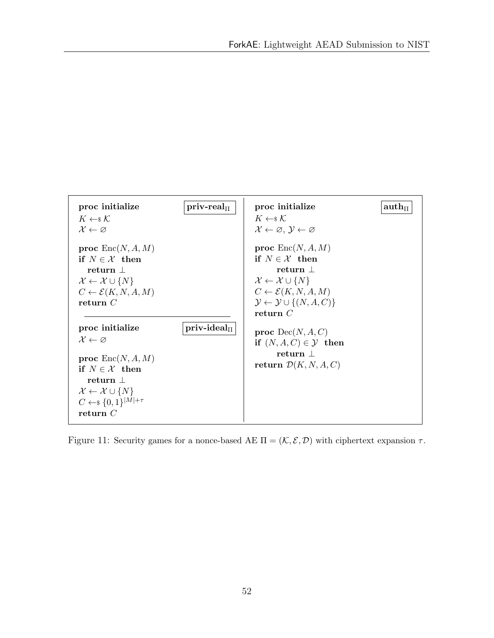<span id="page-54-0"></span>

Figure 11: Security games for a nonce-based AE  $\Pi = (\mathcal{K}, \mathcal{E}, \mathcal{D})$  with ciphertext expansion  $\tau$ .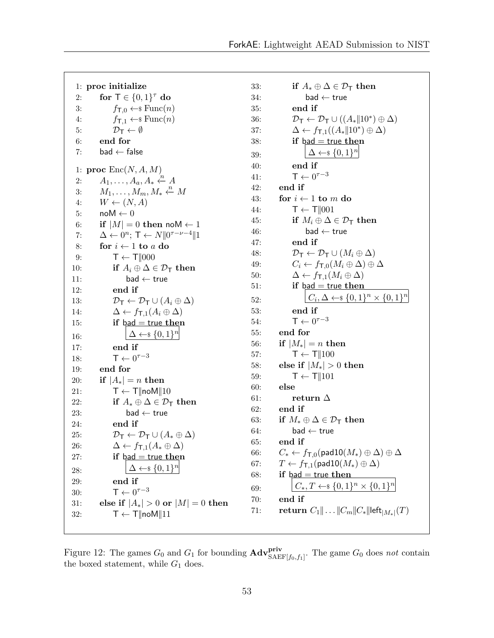<span id="page-55-0"></span>1: proc initialize 2: for  $\mathsf{T} \in \{0,1\}^{\tau}$  do 3:  $f_{\text{T},0} \leftarrow \text{\$Func}(n)$ 4:  $f_{\text{T},1} \leftarrow \text{\$Func}(n)$ 5:  $\mathcal{D}_{\mathsf{T}} \leftarrow \emptyset$ 6: end for 7: bad  $\leftarrow$  false 1: proc  $\text{Enc}(N, A, M)$ 2:  $A_1, \ldots, A_a, A_* \stackrel{\cdot n}{\leftarrow} A$ 3:  $M_1, \ldots, M_m, M_* \xleftarrow{n} M$ 4:  $W \leftarrow (N, A)$ 5:  $\mathsf{noM} \leftarrow 0$ 6: if  $|M| = 0$  then noM  $\leftarrow$  1 7:  $\Delta \leftarrow 0^n; \mathsf{T} \leftarrow N || 0^{\tau-\nu-4} || 1$ 8: for  $i \leftarrow 1$  to a do 9:  $T \leftarrow T \parallel 000$ 10: if  $A_i \oplus \Delta \in \mathcal{D}_{\mathsf{T}}$  then 11: bad  $\leftarrow$  true 12: end if 13:  $\mathcal{D}_{\mathsf{T}} \leftarrow \mathcal{D}_{\mathsf{T}} \cup (A_i \oplus \Delta)$ 14:  $\Delta \leftarrow f_{\mathsf{T},1}(A_i \oplus \Delta)$ 15: if  $bad = true$  then 16:  $\Delta \leftarrow \{0,1\}^n$ 17: end if 18:  $\mathsf{T} \leftarrow 0^{\tau-3}$ 19: end for 20: if  $|A_*| = n$  then 21:  $\mathsf{T} \leftarrow \mathsf{T} \|\mathsf{noM}\| 10$ 22: if  $A_* \oplus \Delta \in \mathcal{D}_{\mathsf{T}}$  then 23: bad  $\leftarrow$  true 24: end if 25:  $\mathcal{D}_{\mathsf{T}} \leftarrow \mathcal{D}_{\mathsf{T}} \cup (A_* \oplus \Delta)$ 26:  $\Delta \leftarrow f_{\text{T,1}}(A_{*} \oplus \Delta)$ 27: if  $bad = true$  then 28:  $\Delta \leftarrow \{0,1\}^n$ 29: end if 30:  $\mathsf{T} \leftarrow 0^{\tau-3}$ 31: else if  $|A_*| > 0$  or  $|M| = 0$  then 32:  $T \leftarrow T \cdot \| \text{noM} \| 11$ 

33: if  $A_* \oplus \Delta \in \mathcal{D}_{\mathsf{T}}$  then  $34:$  bad  $\leftarrow$  true 35: end if 36:  $\mathcal{D}_{\mathsf{T}} \leftarrow \mathcal{D}_{\mathsf{T}} \cup ((A_* \| 10^*) \oplus \Delta)$ 37:  $\Delta \leftarrow f_{\mathsf{T},1}((A_* \| 10^*) \oplus \Delta)$ 38: if  $bad = true$  then 39:  $\Delta \leftarrow \{0,1\}^n$ 40: end if 41: T ←  $0^{\tau-3}$ 42: end if 43: for  $i \leftarrow 1$  to m do 44:  $\mathsf{T} \leftarrow \mathsf{T} \parallel 001$ 45: if  $M_i \oplus \Delta \in \mathcal{D}_{\mathsf{T}}$  then  $46:$  bad  $\leftarrow$  true 47: end if 48:  $\mathcal{D}_{\mathsf{T}} \leftarrow \mathcal{D}_{\mathsf{T}} \cup (M_i \oplus \Delta)$ 49:  $C_i \leftarrow f_{\mathsf{T},0}(M_i \oplus \Delta) \oplus \Delta$ 50:  $\Delta \leftarrow f_{\mathsf{T}.1}(M_i \oplus \Delta)$ 51: if  $bad = true then$ 52:  $C_i, \Delta \leftarrow \{0, 1\}^n \times \{0, 1\}^n$ 53: end if 54:  $\mathsf{T} \leftarrow 0^{\tau-3}$ 55: end for 56: if  $|M_*| = n$  then 57:  $\mathsf{T} \leftarrow \mathsf{T} \parallel 100$ 58: else if  $|M_*| > 0$  then 59:  $\mathsf{T} \leftarrow \mathsf{T} \parallel 101$ 60: else 61: return  $\Delta$ 62: end if 63: if  $M_* \oplus \Delta \in \mathcal{D}_{\mathsf{T}}$  then  $64:$  bad  $\leftarrow$  true 65: end if 66:  $C_* \leftarrow f_{\mathsf{T},0}(\mathsf{pad10}(M_*) \oplus \Delta) \oplus \Delta$ 67:  $T \leftarrow f_{\textsf{T},1}(\textsf{pad10}(M_*) \oplus \Delta)$ 68: if  $bad = true$  then 69:  $C_*, T \leftarrow \{0,1\}^n \times \{0,1\}^n$ 70: end if  $71: \quad \quad {\bf return}\,\, C_1 \| \ldots \| C_m \| C_* \|$ left $_{|M_*|}(T)$ 

Figure 12: The games  $G_0$  and  $G_1$  for bounding  $\text{Adv}_{\text{SAEF}[f_0,f_1]}^{\text{priv}}$ . The game  $G_0$  does not contain the boxed statement, while  $G_1$  does.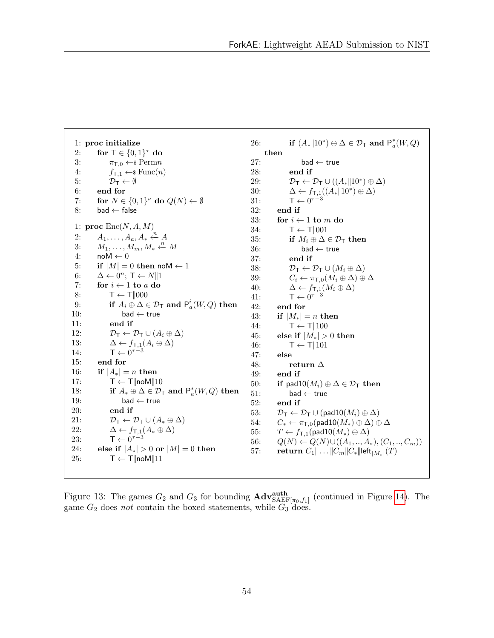```
1: proc initialize
  2: for \mathsf{T} \in \{0,1\}^{\tau} do
 3: \pi_{\text{T},0} \leftarrow \text{Perm} \text{n}4: f_{\text{T},1} \leftarrow \text{\$Func}(n)5: \mathcal{D}_{\mathsf{T}} \leftarrow \emptyset6: end for
  7: for N \in \{0,1\}^{\nu} do Q(N) \leftarrow \emptyset8: bad \leftarrow false
 1: proc \text{Enc}(N, A, M)2: A_1, \ldots, A_a, A_* \xleftarrow{n} A3: M_1, \ldots, M_m, M_* \xleftarrow{n} M4: \mathsf{noM} \leftarrow 05: if |M| = 0 then noM \leftarrow 1
  6: \Delta \leftarrow 0^n; \mathsf{T} \leftarrow N || 17: for i \leftarrow 1 to a do
 8: T \leftarrow T \parallel 0009: if A_i \oplus \Delta \in \mathcal{D}_\mathsf{T} and \mathsf{P}^i_a(W,Q) then
10: bad \leftarrow true
11: end if
12: \mathcal{D}_{\mathsf{T}} \leftarrow \mathcal{D}_{\mathsf{T}} \cup (A_i \oplus \Delta)13: \Delta \leftarrow f_{\text{T},1}(A_i \oplus \Delta)14: \mathsf{T} \leftarrow 0^{\tau-3}15: end for
16: if |A_*| = n then
17: T \leftarrow T \|\text{noM}\| 1018: if A_* \oplus \Delta \in \mathcal{D}_T and P_a^*(W, Q) then
19: bad ← true
20: end if
21: \mathcal{D}_{\mathsf{T}} \leftarrow \mathcal{D}_{\mathsf{T}} \cup (A_* \oplus \Delta)22: \Delta \leftarrow f_{\text{T},1}(A_{*} \oplus \Delta)23: \mathsf{T} \leftarrow 0^{\tau-3}24: else if |A_*| > 0 or |M| = 0 then
25: T \leftarrow T \cdot \| \text{noM} \| 1126: if (A_* \| 10^*) \oplus \Delta \in \mathcal{D}_T and P_a^*(W, Q)then
                                                                             27: bad \leftarrow true
                                                                             28: end if
                                                                              29: \mathcal{D}_{\mathsf{T}} \leftarrow \mathcal{D}_{\mathsf{T}} \cup ((A_* \| 10^*) \oplus \Delta)30: \Delta \leftarrow f_{\textsf{T},1}((A_{*} \| 10^{*}) \oplus \Delta)31: \mathsf{T} \leftarrow 0^{\tau-3}32: end if
                                                                             33: for i \leftarrow 1 to m do
                                                                             34: \mathsf{T} \leftarrow \mathsf{T} \parallel 00135: if M_i \oplus \Delta \in \mathcal{D}_{\mathsf{T}} then
                                                                             36: bad \leftarrow true
                                                                             37: end if
                                                                             38: \mathcal{D}_{\mathsf{T}} \leftarrow \mathcal{D}_{\mathsf{T}} \cup (M_i \oplus \Delta)39: C_i \leftarrow \pi_{\mathsf{T},0}(M_i \oplus \Delta) \oplus \Delta40: \Delta \leftarrow f_{\text{T},1}(M_i \oplus \Delta)41: T ← 0^{\tau-3}42: end for
                                                                             43: if |M_*| = n then
                                                                             44: \mathsf{T} \leftarrow \mathsf{T} || 10045: else if |M_*| > 0 then
                                                                             46: \mathsf{T} \leftarrow \mathsf{T} \parallel 10147: else
                                                                             48: return \Delta49: end if
                                                                             50: if pad10(M_i) \oplus \Delta \in \mathcal{D}_T then
                                                                             51: bad \leftarrow true
                                                                             52: end if
                                                                             53: \mathcal{D}_{\mathsf{T}} \leftarrow \mathcal{D}_{\mathsf{T}} \cup (\text{pad10}(M_i) \oplus \Delta)54: C_* \leftarrow \pi_{\mathsf{T},0}(\mathsf{pad10}(M_*) \oplus \Delta) \oplus \Delta55: T \leftarrow f_{\text{T},1}(\text{pad10}(M_*) \oplus \Delta)56: Q(N) \leftarrow Q(N) \cup ((A_1, ..., A_*), (C_1, ..., C_m))57: return C_1 \| ... \| C_m \| C_* \|left|_{M_*}(T)
```
Figure 13: The games  $G_2$  and  $G_3$  for bounding  $\text{Adv}_{\text{SAEF}[\pi_0,f_1]}^{auth}$  (continued in Figure [14\)](#page-57-0). The game  $G_2$  does not contain the boxed statements, while  $G_3$  does.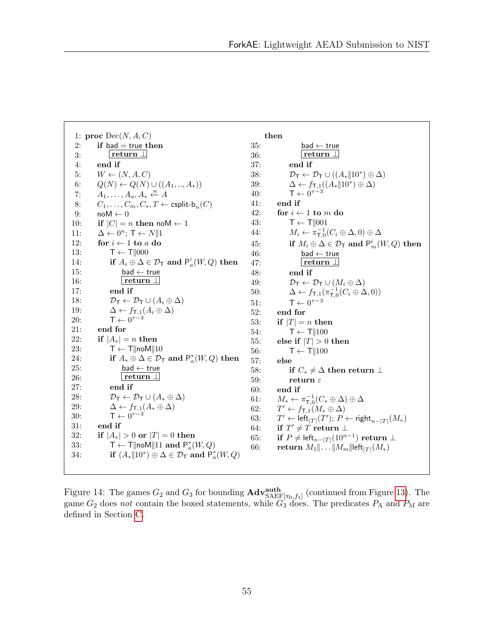<span id="page-57-0"></span>1: proc  $Dec(N, A, C)$ 2: if bad  $=$  true then 3: return  $\perp$ 4: end if 5:  $W \leftarrow (N, A, C)$ 6:  $Q(N) \leftarrow Q(N) \cup ((A_1, ..., A_*)$ 7:  $A_1, \ldots, A_a, A_* \xleftarrow{n} A$ 8:  $C_1, \ldots, C_m, C_*, T \leftarrow \text{csplit-b}_n(C)$ <br>9:  $\text{noM} \leftarrow 0$  $\mathbf{n} \cdot \mathbf{0}$ 10: if  $|C| = n$  then noM  $\leftarrow$  1 11:  $\Delta \leftarrow 0^n; \mathsf{T} \leftarrow N || 1$ 12: for  $i \leftarrow 1$  to a do 13:  $\mathsf{T} \leftarrow \mathsf{T} \parallel 000$ 14: if  $A_i \oplus \Delta \in \mathcal{D}_\mathsf{T}$  and  $\mathsf{P}_a^i(W, Q)$  then 15: bad  $\leftarrow$  true 16: return ⊥ 17: end if 18:  $\mathcal{D}_{\mathsf{T}} \leftarrow \mathcal{D}_{\mathsf{T}} \cup (A_i \oplus \Delta)$ 19:  $\Delta \leftarrow f_{\mathsf{T},1}(A_i \oplus \Delta)$ 20:  $\mathsf{T} \leftarrow 0^{\tau-3}$ 21: end for 22: if  $|A_*| = n$  then 23:  $T \leftarrow T \cdot \| \text{noM} \| 10$ 24: if  $A_* \oplus \Delta \in \mathcal{D}_T$  and  $P_a^*(W, Q)$  then 25: bad  $\leftarrow$  true 26: return ⊥ 27: end if 28:  $\mathcal{D}_{\mathsf{T}} \leftarrow \mathcal{D}_{\mathsf{T}} \cup (A_* \oplus \Delta)$ 29:  $\Delta \leftarrow f_{\mathsf{T},1}(A_* \oplus \Delta)$ 30:  $\mathsf{T} \leftarrow 0^{\tau-3}$ 31: end if 32: if  $|A_*| > 0$  or  $|T| = 0$  then 33:  $\mathsf{T} \leftarrow \mathsf{T} \|\mathsf{noM}\| 11$  and  $\mathsf{P}^*_a(W, Q)$ 34: **if**  $(A_* \| 10^*) \oplus \Delta \in \mathcal{D}_T$  and  $P_a^*(W, Q)$ then 35: bad  $\leftarrow$  true 36: return ⊥ 37: end if 38:  $\mathcal{D}_{\mathsf{T}} \leftarrow \mathcal{D}_{\mathsf{T}} \cup ((A_* \| 10^*) \oplus \Delta)$ 39:  $\Delta \leftarrow f_{\textsf{T},1}((A_{*} \| 10^{*}) \oplus \Delta)$ 40: T ←  $0^{\tau-3}$ 41: end if 42: for  $i \leftarrow 1$  to m do 43:  $\mathsf{T} \leftarrow \mathsf{T} \parallel 001$ 44:  $M_i \leftarrow \pi_{\mathsf{T},0}^{-1}(C_i \oplus \Delta,0) \oplus \Delta$ 45: if  $M_i \oplus \Delta \in \mathcal{D}_{\mathsf{T}}$  and  $\mathsf{P}^i_m(W,Q)$  then  $46:$  bad  $\leftarrow$  true 47: return ⊥ 48: end if 49:  $\mathcal{D}_{\mathsf{T}} \leftarrow \mathcal{D}_{\mathsf{T}} \cup (M_i \oplus \Delta)$ 50:  $\Delta \leftarrow f_{\mathsf{T},1}(\pi_{\mathsf{T},0}^{-1}(C_i \oplus \Delta,0))$ 51:  $\mathsf{T} \leftarrow 0^{\tau-3}$ 52: end for 53: if  $|T| = n$  then 54:  $\mathsf{T} \leftarrow \mathsf{T} || 100$ 55: else if  $|T| > 0$  then 56:  $T \leftarrow T||100$ 57: else 58: if  $C_* \neq \Delta$  then return  $\perp$ 59: return  $\varepsilon$ 60: end if 61:  $M_* \leftarrow \pi_{\mathsf{T},0}^{-1}(C_* \oplus \Delta) \oplus \Delta$ 62:  $T' \leftarrow f_{\mathsf{T},1}(M_* \oplus \Delta)$ 63:  $\mathcal{O}' \leftarrow \mathsf{left}_{|T|}(T');\ P\leftarrow \mathsf{right}_{n-|T|}(M_*)$ 64: if  $T' \neq T$  return  $\bot$ 65: if  $P \neq$  left $_{n-|T|}(10^{n-1})$  return  $\perp$ 66: return  $M_1 \| ... \| M_m \|$ left $|T|(M_*)$ 

Figure 14: The games  $G_2$  and  $G_3$  for bounding  $\text{Adv}_{\text{SAEF}[\pi_0,f_1]}^{\text{auth}}$  (continued from Figure [13\)](#page-56-0). The game  $G_2$  does not contain the boxed statements, while  $G_3$  does. The predicates  $P_A$  and  $P_M$  are defined in Section [C.](#page-37-0)